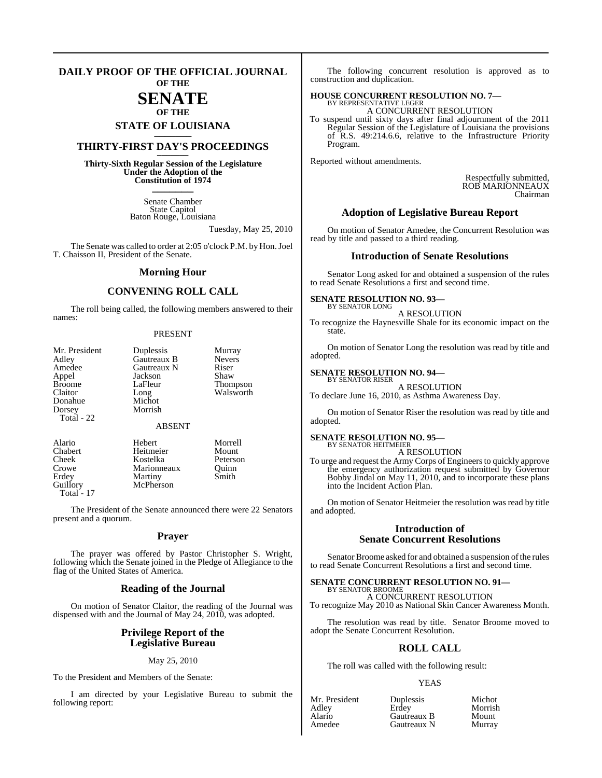#### **DAILY PROOF OF THE OFFICIAL JOURNAL OF THE**

## **SENATE OF THE**

# **STATE OF LOUISIANA \_\_\_\_\_\_\_**

## **THIRTY-FIRST DAY'S PROCEEDINGS \_\_\_\_\_\_\_**

**Thirty-Sixth Regular Session of the Legislature Under the Adoption of the Constitution of 1974 \_\_\_\_\_\_\_**

> Senate Chamber State Capitol Baton Rouge, Louisiana

> > Tuesday, May 25, 2010

The Senate was called to order at 2:05 o'clock P.M. by Hon. Joel T. Chaisson II, President of the Senate.

#### **Morning Hour**

### **CONVENING ROLL CALL**

The roll being called, the following members answered to their names:

#### PRESENT

| Mr. President<br>Adley | Duplessis<br>Gautreaux B | Murray<br><b>Nevers</b> |
|------------------------|--------------------------|-------------------------|
| Amedee                 | Gautreaux N              | Riser                   |
| Appel                  | Jackson                  | Shaw                    |
| <b>Broome</b>          | LaFleur                  | <b>Thompson</b>         |
| Claitor                | Long                     | Walsworth               |
| Donahue                | Michot                   |                         |
| Dorsey                 | Morrish                  |                         |
| Total - 22             |                          |                         |
|                        | <b>ABSENT</b>            |                         |
| Alario                 | Hebert                   | Morrell                 |
| Chabert                | Heitmeier                | Mount                   |
| Cheek                  | Kostelka                 | Peterson                |
| Crowe                  | Marionneaux              | Ouinn                   |

Erdey Martiny Smith<br>Guillory McPherson Smith McPherson

Total - 17

The President of the Senate announced there were 22 Senators present and a quorum.

#### **Prayer**

The prayer was offered by Pastor Christopher S. Wright, following which the Senate joined in the Pledge of Allegiance to the flag of the United States of America.

#### **Reading of the Journal**

On motion of Senator Claitor, the reading of the Journal was dispensed with and the Journal of May 24, 2010, was adopted.

### **Privilege Report of the Legislative Bureau**

#### May 25, 2010

To the President and Members of the Senate:

I am directed by your Legislative Bureau to submit the following report:

The following concurrent resolution is approved as to construction and duplication.

# **HOUSE CONCURRENT RESOLUTION NO. 7—** BY REPRESENTATIVE LEGER

A CONCURRENT RESOLUTION To suspend until sixty days after final adjournment of the 2011 Regular Session of the Legislature of Louisiana the provisions of R.S. 49:214.6.6, relative to the Infrastructure Priority Program.

Reported without amendments.

Respectfully submitted, ROB MARIONNEAUX Chairman

#### **Adoption of Legislative Bureau Report**

On motion of Senator Amedee, the Concurrent Resolution was read by title and passed to a third reading.

#### **Introduction of Senate Resolutions**

Senator Long asked for and obtained a suspension of the rules to read Senate Resolutions a first and second time.

#### **SENATE RESOLUTION NO. 93—** BY SENATOR LONG

A RESOLUTION

To recognize the Haynesville Shale for its economic impact on the state.

On motion of Senator Long the resolution was read by title and adopted.

#### **SENATE RESOLUTION NO. 94—**

BY SENATOR RISER A RESOLUTION To declare June 16, 2010, as Asthma Awareness Day.

On motion of Senator Riser the resolution was read by title and adopted.

#### **SENATE RESOLUTION NO. 95—** BY SENATOR HEITMEIER

A RESOLUTION

To urge and request the Army Corps of Engineersto quickly approve the emergency authorization request submitted by Governor Bobby Jindal on May 11, 2010, and to incorporate these plans into the Incident Action Plan.

On motion of Senator Heitmeier the resolution was read by title and adopted.

#### **Introduction of Senate Concurrent Resolutions**

Senator Broome asked for and obtained a suspension of the rules to read Senate Concurrent Resolutions a first and second time.

#### **SENATE CONCURRENT RESOLUTION NO. 91—** BY SENATOR BROOME

A CONCURRENT RESOLUTION To recognize May 2010 as National Skin Cancer Awareness Month.

The resolution was read by title. Senator Broome moved to adopt the Senate Concurrent Resolution.

## **ROLL CALL**

The roll was called with the following result:

#### YEAS

Amedee Gautreaux N Murray

Mr. President Duplessis Michot<br>Adley Erdey Morrish Adley Erdey Morrish Gautreaux B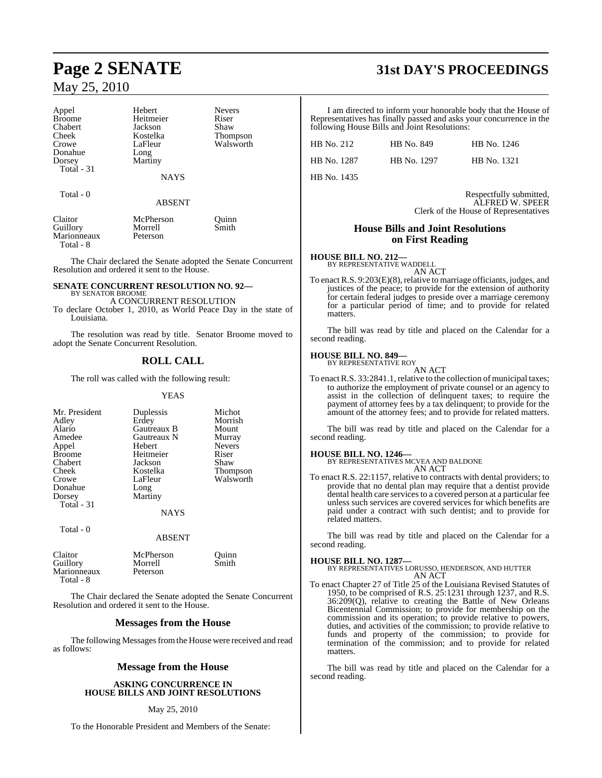Marionneaux Peterson

Total - 8

| Appel         | Hebert        | <b>Nevers</b>   |
|---------------|---------------|-----------------|
| <b>Broome</b> | Heitmeier     | Riser           |
| Chabert       | Jackson       | Shaw            |
| Cheek         | Kostelka      | <b>Thompson</b> |
| Crowe         | LaFleur       | Walsworth       |
| Donahue       | Long          |                 |
| Dorsey        | Martiny       |                 |
| Total - 31    |               |                 |
|               | <b>NAYS</b>   |                 |
| Total - 0     |               |                 |
|               | <b>ABSENT</b> |                 |
| Claitor       | McPherson     | Ouinn           |
| Guillory      | Morrell       | Smith           |

The Chair declared the Senate adopted the Senate Concurrent Resolution and ordered it sent to the House.

#### **SENATE CONCURRENT RESOLUTION NO. 92—** BY SENATOR BROOME

A CONCURRENT RESOLUTION

To declare October 1, 2010, as World Peace Day in the state of Louisiana.

The resolution was read by title. Senator Broome moved to adopt the Senate Concurrent Resolution.

#### **ROLL CALL**

The roll was called with the following result:

#### YEAS

| Mr. President<br>Adley<br>Alario<br>Amedee<br>Appel<br><b>Broome</b><br>Chabert<br>Cheek<br>Crowe<br>Donahue | Duplessis<br>Erdey<br>Gautreaux B<br>Gautreaux N<br><b>Hebert</b><br>Heitmeier<br>Jackson<br>Kostelka<br>LaFleur | Michot<br>Morrish<br>Mount<br>Murray<br><b>Nevers</b><br>Riser<br>Shaw<br><b>Thompson</b><br>Walsworth |
|--------------------------------------------------------------------------------------------------------------|------------------------------------------------------------------------------------------------------------------|--------------------------------------------------------------------------------------------------------|
| Dorsey                                                                                                       | Long<br>Martiny                                                                                                  |                                                                                                        |
| Total - 31                                                                                                   |                                                                                                                  |                                                                                                        |
|                                                                                                              | <b>NAYS</b>                                                                                                      |                                                                                                        |
| Total - 0                                                                                                    | <b>ABSENT</b>                                                                                                    |                                                                                                        |

| Claitor     | McPherson | Ouinn |
|-------------|-----------|-------|
| Guillory    | Morrell   | Smith |
| Marionneaux | Peterson  |       |
| Total - 8   |           |       |

The Chair declared the Senate adopted the Senate Concurrent Resolution and ordered it sent to the House.

#### **Messages from the House**

The following Messages from the House were received and read as follows:

#### **Message from the House**

**ASKING CONCURRENCE IN HOUSE BILLS AND JOINT RESOLUTIONS**

#### May 25, 2010

To the Honorable President and Members of the Senate:

# **Page 2 SENATE 31st DAY'S PROCEEDINGS**

I am directed to inform your honorable body that the House of Representatives has finally passed and asks your concurrence in the following House Bills and Joint Resolutions:

| HB No. 212  | HB No. 849  | HB No. 1246 |
|-------------|-------------|-------------|
| HB No. 1287 | HB No. 1297 | HB No. 1321 |
| HB No. 1435 |             |             |

Respectfully submitted, ALFRED W. SPEER Clerk of the House of Representatives

#### **House Bills and Joint Resolutions on First Reading**

#### **HOUSE BILL NO. 212—** BY REPRESENTATIVE WADDELL

AN ACT

To enact R.S.  $9:203(E)(8)$ , relative to marriage officiants, judges, and justices of the peace; to provide for the extension of authority for certain federal judges to preside over a marriage ceremony for a particular period of time; and to provide for related matters.

The bill was read by title and placed on the Calendar for a second reading.

#### **HOUSE BILL NO. 849—**

BY REPRESENTATIVE ROY AN ACT

To enact R.S. 33:2841.1, relative to the collection of municipal taxes; to authorize the employment of private counsel or an agency to assist in the collection of delinquent taxes; to require the payment of attorney fees by a tax delinquent; to provide for the amount of the attorney fees; and to provide for related matters.

The bill was read by title and placed on the Calendar for a second reading.

#### **HOUSE BILL NO. 1246—**

BY REPRESENTATIVES MCVEA AND BALDONE

- AN ACT
- To enact R.S. 22:1157, relative to contracts with dental providers; to provide that no dental plan may require that a dentist provide dental health care services to a covered person at a particular fee unless such services are covered services for which benefits are paid under a contract with such dentist; and to provide for related matters.

The bill was read by title and placed on the Calendar for a second reading.

**HOUSE BILL NO. 1287—** BY REPRESENTATIVES LORUSSO, HENDERSON, AND HUTTER AN ACT

To enact Chapter 27 of Title 25 of the Louisiana Revised Statutes of 1950, to be comprised of R.S. 25:1231 through 1237, and R.S. 36:209(Q), relative to creating the Battle of New Orleans Bicentennial Commission; to provide for membership on the commission and its operation; to provide relative to powers, duties, and activities of the commission; to provide relative to funds and property of the commission; to provide for termination of the commission; and to provide for related matters.

The bill was read by title and placed on the Calendar for a second reading.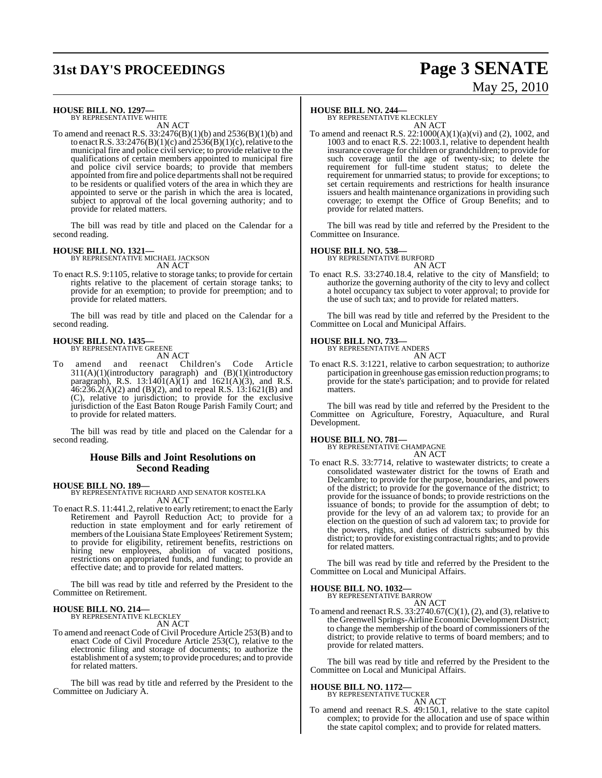# **31st DAY'S PROCEEDINGS Page 3 SENATE**

# May 25, 2010

# **HOUSE BILL NO. 1297—** BY REPRESENTATIVE WHITE

AN ACT

To amend and reenact R.S. 33:2476(B)(1)(b) and 2536(B)(1)(b) and to enact R.S.  $33:2476(B)(1)(c)$  and  $2536(B)(1)(c)$ , relative to the municipal fire and police civil service; to provide relative to the qualifications of certain members appointed to municipal fire and police civil service boards; to provide that members appointed fromfire and police departmentsshall not be required to be residents or qualified voters of the area in which they are appointed to serve or the parish in which the area is located, subject to approval of the local governing authority; and to provide for related matters.

The bill was read by title and placed on the Calendar for a second reading.

#### **HOUSE BILL NO. 1321—**

BY REPRESENTATIVE MICHAEL JACKSON AN ACT

To enact R.S. 9:1105, relative to storage tanks; to provide for certain rights relative to the placement of certain storage tanks; to provide for an exemption; to provide for preemption; and to provide for related matters.

The bill was read by title and placed on the Calendar for a second reading.

#### **HOUSE BILL NO. 1435—**

BY REPRESENTATIVE GREENE

- AN ACT
- To amend and reenact Children's Code Article 311(A)(1)(introductory paragraph) and (B)(1)(introductory paragraph), R.S.  $13:1401(A)(1)$  and  $1621(A)(3)$ , and R.S.  $46:236.2(A)(2)$  and (B)(2), and to repeal R.S. 13:1621(B) and (C), relative to jurisdiction; to provide for the exclusive jurisdiction of the East Baton Rouge Parish Family Court; and to provide for related matters.

The bill was read by title and placed on the Calendar for a second reading.

#### **House Bills and Joint Resolutions on Second Reading**

**HOUSE BILL NO. 189—** BY REPRESENTATIVE RICHARD AND SENATOR KOSTELKA AN ACT

To enact R.S. 11:441.2, relative to early retirement; to enact the Early Retirement and Payroll Reduction Act; to provide for a reduction in state employment and for early retirement of members of the Louisiana State Employees' Retirement System; to provide for eligibility, retirement benefits, restrictions on hiring new employees, abolition of vacated positions, restrictions on appropriated funds, and funding; to provide an effective date; and to provide for related matters.

The bill was read by title and referred by the President to the Committee on Retirement.

# **HOUSE BILL NO. 214—** BY REPRESENTATIVE KLECKLEY

AN ACT

To amend and reenact Code of Civil Procedure Article 253(B) and to enact Code of Civil Procedure Article 253(C), relative to the electronic filing and storage of documents; to authorize the establishment of a system; to provide procedures; and to provide for related matters.

The bill was read by title and referred by the President to the Committee on Judiciary A.

#### **HOUSE BILL NO. 244—**

BY REPRESENTATIVE KLECKLEY AN ACT

To amend and reenact R.S. 22:1000(A)(1)(a)(vi) and (2), 1002, and 1003 and to enact R.S.  $22:1003.1$ , relative to dependent health insurance coverage for children or grandchildren; to provide for such coverage until the age of twenty-six; to delete the requirement for full-time student status; to delete the requirement for unmarried status; to provide for exceptions; to set certain requirements and restrictions for health insurance issuers and health maintenance organizations in providing such coverage; to exempt the Office of Group Benefits; and to provide for related matters.

The bill was read by title and referred by the President to the Committee on Insurance.

#### **HOUSE BILL NO. 538—**

BY REPRESENTATIVE BURFORD AN ACT

To enact R.S. 33:2740.18.4, relative to the city of Mansfield; to authorize the governing authority of the city to levy and collect a hotel occupancy tax subject to voter approval; to provide for the use of such tax; and to provide for related matters.

The bill was read by title and referred by the President to the Committee on Local and Municipal Affairs.

#### **HOUSE BILL NO. 733—**

BY REPRESENTATIVE ANDERS AN ACT

To enact R.S. 3:1221, relative to carbon sequestration; to authorize participation in greenhouse gas emission reduction programs; to provide for the state's participation; and to provide for related matters.

The bill was read by title and referred by the President to the Committee on Agriculture, Forestry, Aquaculture, and Rural Development.

**HOUSE BILL NO. 781—** BY REPRESENTATIVE CHAMPAGNE AN ACT

To enact R.S. 33:7714, relative to wastewater districts; to create a consolidated wastewater district for the towns of Erath and Delcambre; to provide for the purpose, boundaries, and powers of the district; to provide for the governance of the district; to provide for the issuance of bonds; to provide restrictions on the issuance of bonds; to provide for the assumption of debt; to provide for the levy of an ad valorem tax; to provide for an election on the question of such ad valorem tax; to provide for the powers, rights, and duties of districts subsumed by this district; to provide for existing contractual rights; and to provide for related matters.

The bill was read by title and referred by the President to the Committee on Local and Municipal Affairs.

#### **HOUSE BILL NO. 1032—**

BY REPRESENTATIVE BARROW

AN ACT To amend and reenact R.S.  $33:2740.67(C)(1)$ , (2), and (3), relative to the Greenwell Springs-Airline Economic Development District; to change the membership of the board of commissioners of the district; to provide relative to terms of board members; and to provide for related matters.

The bill was read by title and referred by the President to the Committee on Local and Municipal Affairs.

#### **HOUSE BILL NO. 1172—** BY REPRESENTATIVE TUCKER

AN ACT

To amend and reenact R.S. 49:150.1, relative to the state capitol complex; to provide for the allocation and use of space within the state capitol complex; and to provide for related matters.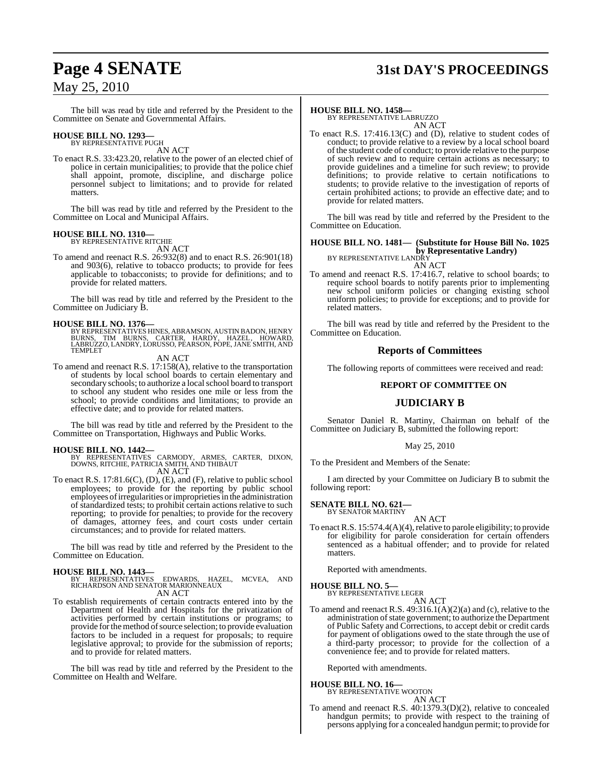# **Page 4 SENATE 31st DAY'S PROCEEDINGS**

## May 25, 2010

The bill was read by title and referred by the President to the Committee on Senate and Governmental Affairs.

# **HOUSE BILL NO. 1293—** BY REPRESENTATIVE PUGH

AN ACT

To enact R.S. 33:423.20, relative to the power of an elected chief of police in certain municipalities; to provide that the police chief shall appoint, promote, discipline, and discharge police personnel subject to limitations; and to provide for related matters.

The bill was read by title and referred by the President to the Committee on Local and Municipal Affairs.

#### **HOUSE BILL NO. 1310—** BY REPRESENTATIVE RITCHIE

AN ACT

To amend and reenact R.S. 26:932(8) and to enact R.S. 26:901(18) and 903(6), relative to tobacco products; to provide for fees applicable to tobacconists; to provide for definitions; and to provide for related matters.

The bill was read by title and referred by the President to the Committee on Judiciary B.

**HOUSE BILL NO. 1376—**<br>BY REPRESENTATIVES HINES, ABRAMSON, AUSTIN BADON, HENRY<br>BURNS, TIM BURNS, CARTER, HARDY, HAZEL, HOWARD,<br>LABRUZZO, LANDRY, LORUSSO, PEARSON, POPE, JANE SMITH, AND TEMPLET

AN ACT

To amend and reenact R.S. 17:158(A), relative to the transportation of students by local school boards to certain elementary and secondary schools; to authorize a local school board to transport to school any student who resides one mile or less from the school; to provide conditions and limitations; to provide an effective date; and to provide for related matters.

The bill was read by title and referred by the President to the Committee on Transportation, Highways and Public Works.

- **HOUSE BILL NO. 1442—** BY REPRESENTATIVES CARMODY, ARMES, CARTER, DIXON, DOWNS, RITCHIE, PATRICIA SMITH, AND THIBAUT AN ACT
- To enact R.S. 17:81.6(C), (D), (E), and (F), relative to public school employees; to provide for the reporting by public school employees ofirregularities or improprieties in the administration of standardized tests; to prohibit certain actions relative to such reporting; to provide for penalties; to provide for the recovery of damages, attorney fees, and court costs under certain circumstances; and to provide for related matters.

The bill was read by title and referred by the President to the Committee on Education.

#### **HOUSE BILL NO. 1443—**

BY REPRESENTATIVES EDWARDS, HAZEL, MCVEA, AND RICHARDSON AND SENATOR MARIONNEAUX AN ACT

To establish requirements of certain contracts entered into by the Department of Health and Hospitals for the privatization of activities performed by certain institutions or programs; to provide for the method of source selection; to provide evaluation factors to be included in a request for proposals; to require legislative approval; to provide for the submission of reports; and to provide for related matters.

The bill was read by title and referred by the President to the Committee on Health and Welfare.

#### **HOUSE BILL NO. 1458—**

BY REPRESENTATIVE LABRUZZO AN ACT

To enact R.S. 17:416.13(C) and (D), relative to student codes of conduct; to provide relative to a review by a local school board ofthe student code of conduct; to provide relative to the purpose of such review and to require certain actions as necessary; to provide guidelines and a timeline for such review; to provide definitions; to provide relative to certain notifications to students; to provide relative to the investigation of reports of certain prohibited actions; to provide an effective date; and to provide for related matters.

The bill was read by title and referred by the President to the Committee on Education.

#### **HOUSE BILL NO. 1481— (Substitute for House Bill No. 1025 by Representative Landry)** BY REPRESENTATIVE LANDRY

AN ACT

To amend and reenact R.S. 17:416.7, relative to school boards; to require school boards to notify parents prior to implementing new school uniform policies or changing existing school uniform policies; to provide for exceptions; and to provide for related matters.

The bill was read by title and referred by the President to the Committee on Education.

#### **Reports of Committees**

The following reports of committees were received and read:

### **REPORT OF COMMITTEE ON**

### **JUDICIARY B**

Senator Daniel R. Martiny, Chairman on behalf of the Committee on Judiciary B, submitted the following report:

#### May 25, 2010

To the President and Members of the Senate:

I am directed by your Committee on Judiciary B to submit the following report:

#### **SENATE BILL NO. 621—** BY SENATOR MARTINY

AN ACT

To enact R.S.  $15:574.4(A)(4)$ , relative to parole eligibility; to provide for eligibility for parole consideration for certain offenders sentenced as a habitual offender; and to provide for related matters.

Reported with amendments.

**HOUSE BILL NO. 5—**

BY REPRESENTATIVE LEGER AN ACT

To amend and reenact R.S. 49:316.1(A)(2)(a) and (c), relative to the administration of state government; to authorize the Department of Public Safety and Corrections, to accept debit or credit cards for payment of obligations owed to the state through the use of a third-party processor; to provide for the collection of a convenience fee; and to provide for related matters.

Reported with amendments.

**HOUSE BILL NO. 16—**

BY REPRESENTATIVE WOOTON AN ACT

To amend and reenact R.S. 40:1379.3(D)(2), relative to concealed handgun permits; to provide with respect to the training of persons applying for a concealed handgun permit; to provide for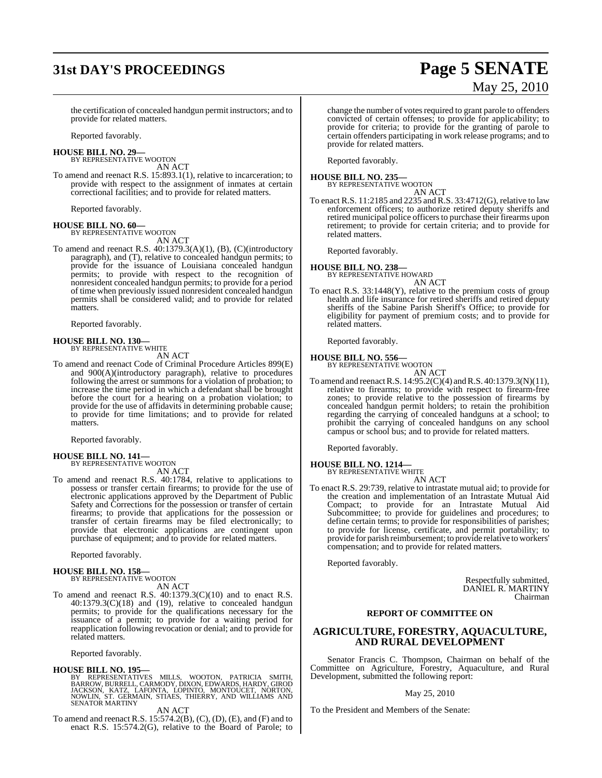# **31st DAY'S PROCEEDINGS Page 5 SENATE**

# May 25, 2010

the certification of concealed handgun permit instructors; and to provide for related matters.

Reported favorably.

**HOUSE BILL NO. 29—** BY REPRESENTATIVE WOOTON

AN ACT

To amend and reenact R.S. 15:893.1(1), relative to incarceration; to provide with respect to the assignment of inmates at certain correctional facilities; and to provide for related matters.

Reported favorably.

#### **HOUSE BILL NO. 60—** BY REPRESENTATIVE WOOTON

AN ACT

To amend and reenact R.S. 40:1379.3(A)(1), (B), (C)(introductory paragraph), and (T), relative to concealed handgun permits; to provide for the issuance of Louisiana concealed handgun permits; to provide with respect to the recognition of nonresident concealed handgun permits; to provide for a period of time when previously issued nonresident concealed handgun permits shall be considered valid; and to provide for related matters.

Reported favorably.

#### **HOUSE BILL NO. 130—**

BY REPRESENTATIVE WHITE

AN ACT

To amend and reenact Code of Criminal Procedure Articles 899(E) and 900(A)(introductory paragraph), relative to procedures following the arrest or summons for a violation of probation; to increase the time period in which a defendant shall be brought before the court for a hearing on a probation violation; to provide for the use of affidavits in determining probable cause; to provide for time limitations; and to provide for related matters.

Reported favorably.

### **HOUSE BILL NO. 141—**

BY REPRESENTATIVE WOOTON AN ACT

To amend and reenact R.S. 40:1784, relative to applications to possess or transfer certain firearms; to provide for the use of electronic applications approved by the Department of Public Safety and Corrections for the possession or transfer of certain firearms; to provide that applications for the possession or transfer of certain firearms may be filed electronically; to provide that electronic applications are contingent upon purchase of equipment; and to provide for related matters.

Reported favorably.

# **HOUSE BILL NO. 158—** BY REPRESENTATIVE WOOTON

AN ACT

To amend and reenact R.S. 40:1379.3(C)(10) and to enact R.S. 40:1379.3(C)(18) and (19), relative to concealed handgun permits; to provide for the qualifications necessary for the issuance of a permit; to provide for a waiting period for reapplication following revocation or denial; and to provide for related matters.

Reported favorably.

**HOUSE BILL NO. 195—**<br>BY REPRESENTATIVES MILLS, WOOTON, PATRICIA SMITH,<br>BARROW,BURRELL,CARMODY,DIXON,EDWARDS,HARDY,GIROD<br>JACKSON, KATZ, LAFONTA, LOPINTO, MONTOUCET, NORTON,<br>NOWLIN, ST. GERMANN, STIAES, THIERRY, AND WILLIAM

AN ACT

To amend and reenact R.S. 15:574.2(B), (C), (D), (E), and (F) and to enact R.S. 15:574.2(G), relative to the Board of Parole; to change the number of votes required to grant parole to offenders convicted of certain offenses; to provide for applicability; to provide for criteria; to provide for the granting of parole to certain offenders participating in work release programs; and to provide for related matters.

Reported favorably.

**HOUSE BILL NO. 235—** BY REPRESENTATIVE WOOTON

AN ACT

To enact R.S. 11:2185 and 2235 and R.S. 33:4712(G), relative to law enforcement officers; to authorize retired deputy sheriffs and retired municipal police officers to purchase their firearms upon retirement; to provide for certain criteria; and to provide for related matters.

Reported favorably.

#### **HOUSE BILL NO. 238—**

BY REPRESENTATIVE HOWARD AN ACT

To enact R.S. 33:1448(Y), relative to the premium costs of group health and life insurance for retired sheriffs and retired deputy sheriffs of the Sabine Parish Sheriff's Office; to provide for eligibility for payment of premium costs; and to provide for related matters.

Reported favorably.

# **HOUSE BILL NO. 556—** BY REPRESENTATIVE WOOTON

AN ACT

To amend and reenact R.S. 14:95.2(C)(4) and R.S. 40:1379.3(N)(11), relative to firearms; to provide with respect to firearm-free zones; to provide relative to the possession of firearms by concealed handgun permit holders; to retain the prohibition regarding the carrying of concealed handguns at a school; to prohibit the carrying of concealed handguns on any school campus or school bus; and to provide for related matters.

Reported favorably.

### **HOUSE BILL NO. 1214—**

BY REPRESENTATIVE WHITE AN ACT

To enact R.S. 29:739, relative to intrastate mutual aid; to provide for the creation and implementation of an Intrastate Mutual Aid Compact; to provide for an Intrastate Mutual Aid Subcommittee; to provide for guidelines and procedures; to define certain terms; to provide for responsibilities of parishes; to provide for license, certificate, and permit portability; to provide for parish reimbursement; to provide relative to workers' compensation; and to provide for related matters.

Reported favorably.

Respectfully submitted, DANIEL R. MARTINY Chairman

### **REPORT OF COMMITTEE ON**

## **AGRICULTURE, FORESTRY, AQUACULTURE, AND RURAL DEVELOPMENT**

Senator Francis C. Thompson, Chairman on behalf of the Committee on Agriculture, Forestry, Aquaculture, and Rural Development, submitted the following report:

#### May 25, 2010

To the President and Members of the Senate: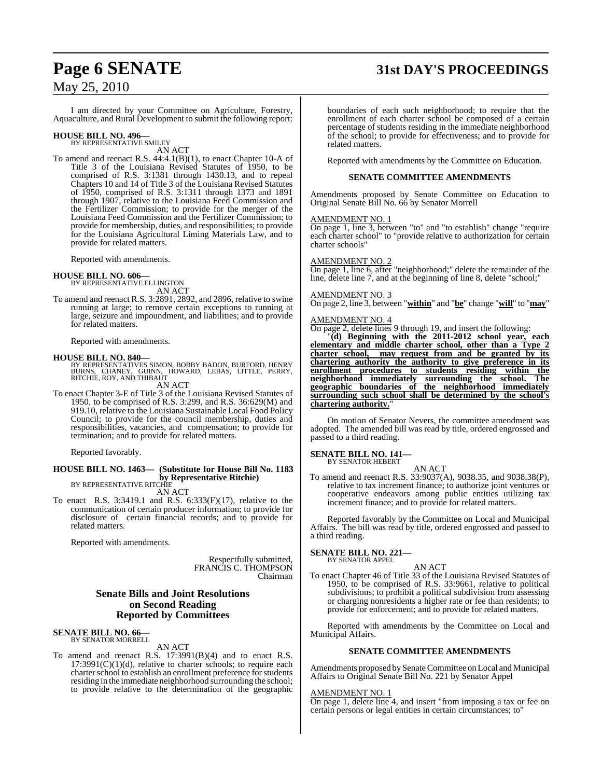# **Page 6 SENATE 31st DAY'S PROCEEDINGS**

I am directed by your Committee on Agriculture, Forestry, Aquaculture, and Rural Development to submit the following report:

# **HOUSE BILL NO. 496—** BY REPRESENTATIVE SMILEY

AN ACT

To amend and reenact R.S. 44:4.1(B)(1), to enact Chapter 10-A of Title 3 of the Louisiana Revised Statutes of 1950, to be comprised of R.S. 3:1381 through 1430.13, and to repeal Chapters 10 and 14 of Title 3 of the Louisiana Revised Statutes of 1950, comprised of R.S. 3:1311 through 1373 and 1891 through 1907, relative to the Louisiana Feed Commission and the Fertilizer Commission; to provide for the merger of the Louisiana Feed Commission and the Fertilizer Commission; to provide for membership, duties, and responsibilities; to provide for the Louisiana Agricultural Liming Materials Law, and to provide for related matters.

Reported with amendments.

**HOUSE BILL NO. 606—** BY REPRESENTATIVE ELLINGTON AN ACT

To amend and reenact R.S. 3:2891, 2892, and 2896, relative to swine running at large; to remove certain exceptions to running at large, seizure and impoundment, and liabilities; and to provide for related matters.

Reported with amendments.

**HOUSE BILL NO. 840—**<br>BY REPRESENTATIVES SIMON, BOBBY BADON, BURFORD, HENRY<br>BURNS, CHANEY, GUINN, HOWARD, LEBAS, LITTLE, PERRY,<br>RITCHIE, ROY, AND THIBAUT

AN ACT

To enact Chapter 3-E of Title 3 of the Louisiana Revised Statutes of 1950, to be comprised of R.S. 3:299, and R.S. 36:629(M) and 919.10, relative to the Louisiana Sustainable Local Food Policy Council; to provide for the council membership, duties and responsibilities, vacancies, and compensation; to provide for termination; and to provide for related matters.

Reported favorably.

#### **HOUSE BILL NO. 1463— (Substitute for House Bill No. 1183 by Representative Ritchie)** BY REPRESENTATIVE RITCHIE

AN ACT

To enact R.S. 3:3419.1 and R.S. 6:333(F)(17), relative to the communication of certain producer information; to provide for disclosure of certain financial records; and to provide for related matters.

Reported with amendments.

Respectfully submitted, FRANCIS C. THOMPSON Chairman

### **Senate Bills and Joint Resolutions on Second Reading Reported by Committees**

#### **SENATE BILL NO. 66—** BY SENATOR MORRELL

AN ACT

To amend and reenact R.S. 17:3991(B)(4) and to enact R.S.  $17:3991(C)(1)(d)$ , relative to charter schools; to require each charter school to establish an enrollment preference for students residing in the immediate neighborhood surrounding the school; to provide relative to the determination of the geographic boundaries of each such neighborhood; to require that the enrollment of each charter school be composed of a certain percentage of students residing in the immediate neighborhood of the school; to provide for effectiveness; and to provide for related matters.

Reported with amendments by the Committee on Education.

#### **SENATE COMMITTEE AMENDMENTS**

Amendments proposed by Senate Committee on Education to Original Senate Bill No. 66 by Senator Morrell

#### AMENDMENT NO. 1

On page 1, line 3, between "to" and "to establish" change "require each charter school" to "provide relative to authorization for certain charter schools"

#### AMENDMENT NO. 2

On page 1, line 6, after "neighborhood;" delete the remainder of the line, delete line 7, and at the beginning of line 8, delete "school;"

#### AMENDMENT NO. 3

On page 2, line 3, between "**within**" and "**be**" change "**will**" to "**may**"

#### AMENDMENT NO. 4

On page 2, delete lines 9 through 19, and insert the following:

"**(d) Beginning with the 2011-2012 school year, each elementary and middle charter school, other than a Type 2 charter school, may request from and be granted by its chartering authority the authority to give preference in its enrollment procedures to students residing within the neighborhood immediately surrounding the school. The geographic boundaries of the neighborhood immediately surrounding such school shall be determined by the school's chartering authority.**"

On motion of Senator Nevers, the committee amendment was adopted. The amended bill was read by title, ordered engrossed and passed to a third reading.

#### **SENATE BILL NO. 141—**

BY SENATOR HEBERT

AN ACT To amend and reenact R.S. 33:9037(A), 9038.35, and 9038.38(P), relative to tax increment finance; to authorize joint ventures or cooperative endeavors among public entities utilizing tax increment finance; and to provide for related matters.

Reported favorably by the Committee on Local and Municipal Affairs. The bill was read by title, ordered engrossed and passed to a third reading.

#### **SENATE BILL NO. 221—** BY SENATOR APPEL

AN ACT

To enact Chapter 46 of Title 33 of the Louisiana Revised Statutes of 1950, to be comprised of R.S. 33:9661, relative to political subdivisions; to prohibit a political subdivision from assessing or charging nonresidents a higher rate or fee than residents; to provide for enforcement; and to provide for related matters.

Reported with amendments by the Committee on Local and Municipal Affairs.

#### **SENATE COMMITTEE AMENDMENTS**

Amendments proposed by Senate Committee on Local and Municipal Affairs to Original Senate Bill No. 221 by Senator Appel

#### AMENDMENT NO. 1

On page 1, delete line 4, and insert "from imposing a tax or fee on certain persons or legal entities in certain circumstances; to"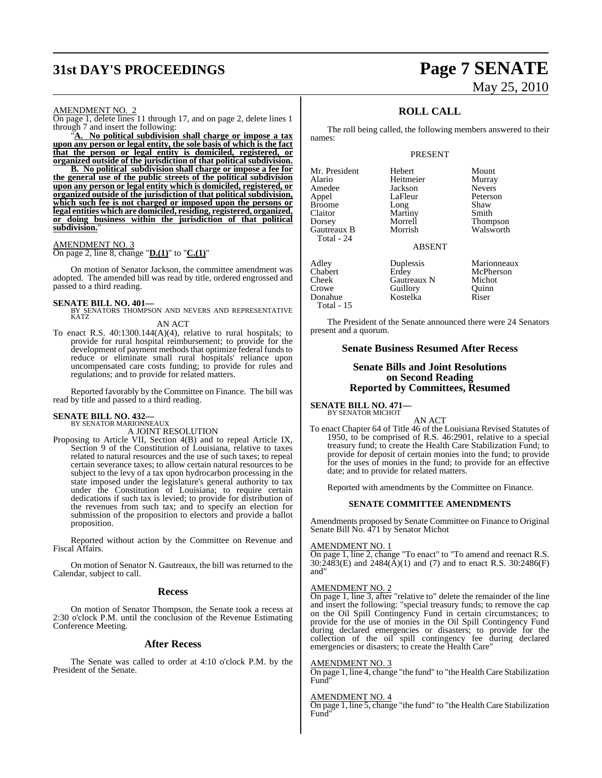# **31st DAY'S PROCEEDINGS Page 7 SENATE**

# May 25, 2010

#### AMENDMENT NO. 2

On page 1, delete lines 11 through 17, and on page 2, delete lines 1 through 7 and insert the following:

"**A. No political subdivision shall charge or impose a tax upon any person or legal entity, the sole basis of which is the fact that the person or legal entity is domiciled, registered, or organized outside of the jurisdiction of that political subdivision.**

**B. No political subdivision shall charge or impose a fee for the general use of the public streets of the political subdivision upon any person or legal entity which is domiciled, registered, or organized outside of the jurisdiction of that political subdivision, which such fee is not charged or imposed upon the persons or legal entities which are domiciled, residing, registered, organized, or doing business within the jurisdiction of that political subdivision.**"

#### AMENDMENT NO. 3

On page 2, line 8, change "**D.(1)**" to "**C.(1)**"

On motion of Senator Jackson, the committee amendment was adopted. The amended bill was read by title, ordered engrossed and passed to a third reading.

#### **SENATE BILL NO. 401—**

BY SENATORS THOMPSON AND NEVERS AND REPRESENTATIVE KATZ

AN ACT

To enact R.S.  $40:1300.144(A)(4)$ , relative to rural hospitals; to provide for rural hospital reimbursement; to provide for the development of payment methods that optimize federal funds to reduce or eliminate small rural hospitals' reliance upon uncompensated care costs funding; to provide for rules and regulations; and to provide for related matters.

Reported favorably by the Committee on Finance. The bill was read by title and passed to a third reading.

# **SENATE BILL NO. 432—** BY SENATOR MARIONNEAUX

A JOINT RESOLUTION

Proposing to Article VII, Section 4(B) and to repeal Article IX, Section 9 of the Constitution of Louisiana, relative to taxes related to natural resources and the use of such taxes; to repeal certain severance taxes; to allow certain natural resources to be subject to the levy of a tax upon hydrocarbon processing in the state imposed under the legislature's general authority to tax under the Constitution of Louisiana; to require certain dedications if such tax is levied; to provide for distribution of the revenues from such tax; and to specify an election for submission of the proposition to electors and provide a ballot proposition.

Reported without action by the Committee on Revenue and Fiscal Affairs.

On motion of Senator N. Gautreaux, the bill was returned to the Calendar, subject to call.

#### **Recess**

On motion of Senator Thompson, the Senate took a recess at 2:30 o'clock P.M. until the conclusion of the Revenue Estimating Conference Meeting.

#### **After Recess**

The Senate was called to order at 4:10 o'clock P.M. by the President of the Senate.

## **ROLL CALL**

The roll being called, the following members answered to their names:

#### PRESENT

Mr. President Hebert Mount Alario Heitmeier Murray Amedee Jackson<br>Appel LaFleur Broome Long Shaw<br>Claitor Martiny Smith Dorsey Morrell Thompson Gautreaux B Total - 24

Total - 15

Martiny<br>Morrell

LaFleur Peterson<br>Long Shaw

ABSENT

Adley Duplessis Marionneaux<br>
Chabert Erdey McPherson Chabert Erdey McPherson<br>Cheek Gautreaux N Michot Cheek Gautreaux N Micho<br>Crowe Guillory Cuinn Guillory<br>Kostelka Donahue Kostelka Riser

The President of the Senate announced there were 24 Senators present and a quorum.

### **Senate Business Resumed After Recess**

#### **Senate Bills and Joint Resolutions on Second Reading Reported by Committees, Resumed**

**SENATE BILL NO. 471—** BY SENATOR MICHOT

AN ACT

To enact Chapter 64 of Title 46 of the Louisiana Revised Statutes of 1950, to be comprised of R.S. 46:2901, relative to a special treasury fund; to create the Health Care Stabilization Fund; to provide for deposit of certain monies into the fund; to provide for the uses of monies in the fund; to provide for an effective date; and to provide for related matters.

Reported with amendments by the Committee on Finance.

#### **SENATE COMMITTEE AMENDMENTS**

Amendments proposed by Senate Committee on Finance to Original Senate Bill No. 471 by Senator Michot

#### AMENDMENT NO. 1

On page 1, line 2, change "To enact" to "To amend and reenact R.S.  $30:\overline{2483(E)}$  and  $2484(\overline{A})(1)$  and (7) and to enact R.S.  $30:2486(F)$ and"

#### AMENDMENT NO. 2

On page 1, line 3, after "relative to" delete the remainder of the line and insert the following: "special treasury funds; to remove the cap on the Oil Spill Contingency Fund in certain circumstances; to provide for the use of monies in the Oil Spill Contingency Fund during declared emergencies or disasters; to provide for the collection of the oil spill contingency fee during declared emergencies or disasters; to create the Health Care"

#### AMENDMENT NO. 3

On page 1, line 4, change "the fund" to "the Health Care Stabilization Fund"

#### AMENDMENT NO. 4

On page 1, line 5, change "the fund" to "the Health Care Stabilization Fund"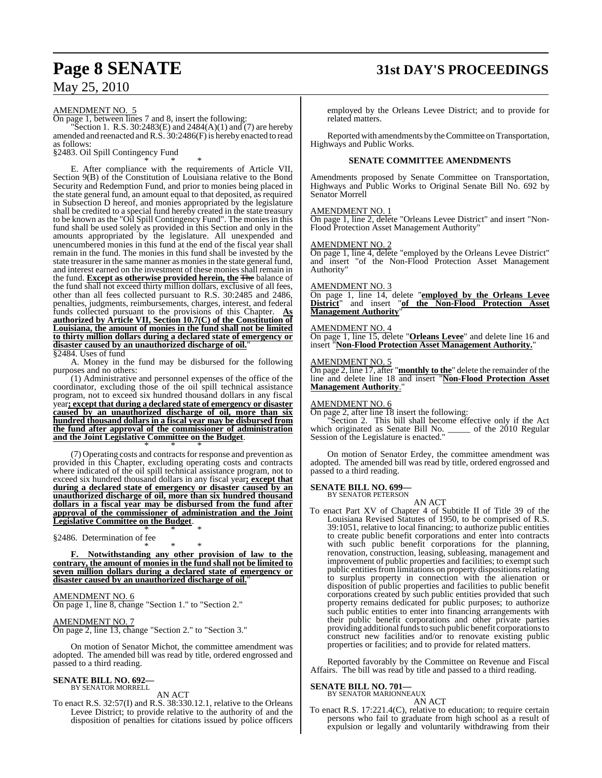# **Page 8 SENATE 31st DAY'S PROCEEDINGS**

May 25, 2010

AMENDMENT NO. 5

On page 1, between lines 7 and 8, insert the following:

"Section 1. R.S. 30:2483(E) and  $2484(A)(1)$  and  $(7)$  are hereby amended and reenacted and R.S. 30:2486(F) is hereby enacted to read as follows:

§2483. Oil Spill Contingency Fund \* \* \*

E. After compliance with the requirements of Article VII, Section 9(B) of the Constitution of Louisiana relative to the Bond Security and Redemption Fund, and prior to monies being placed in the state general fund, an amount equal to that deposited, as required in Subsection D hereof, and monies appropriated by the legislature shall be credited to a special fund hereby created in the state treasury to be known as the "Oil Spill Contingency Fund". The monies in this fund shall be used solely as provided in this Section and only in the amounts appropriated by the legislature. All unexpended and unencumbered monies in this fund at the end of the fiscal year shall remain in the fund. The monies in this fund shall be invested by the state treasurer in the same manner as monies in the state general fund, and interest earned on the investment of these monies shall remain in the fund. **Except as otherwise provided herein, the** The balance of the fund shall not exceed thirty million dollars, exclusive of all fees, other than all fees collected pursuant to R.S. 30:2485 and 2486, penalties, judgments, reimbursements, charges, interest, and federal funds collected pursuant to the provisions of this Chapter. **As authorized by Article VII, Section 10.7(C) of the Constitution of Louisiana, the amount of monies in the fund shall not be limited to thirty million dollars during a declared state of emergency or disaster caused by an unauthorized discharge of oil.**" §2484. Uses of fund

A. Money in the fund may be disbursed for the following purposes and no others:

(1) Administrative and personnel expenses of the office of the coordinator, excluding those of the oil spill technical assistance program, not to exceed six hundred thousand dollars in any fiscal year**; except that during a declared state of emergency or disaster caused by an unauthorized discharge of oil, more than six hundred thousand dollars in a fiscal year may be disbursed from the fund after approval of the commissioner of administration and the Joint Legislative Committee on the Budget**. \* \* \*

(7) Operating costs and contractsfor response and prevention as provided in this Chapter, excluding operating costs and contracts where indicated of the oil spill technical assistance program, not to exceed six hundred thousand dollars in any fiscal year**; except that during a declared state of emergency or disaster caused by an unauthorized discharge of oil, more than six hundred thousand dollars in a fiscal year may be disbursed from the fund after approval of the commissioner of administration and the Joint Legislative Committee on the Budget**. \* \* \*

§2486. Determination of fee

\* \* \* **F. Notwithstanding any other provision of law to the contrary, the amount of monies in the fund shall not be limited to seven million dollars during a declared state of emergency or disaster caused by an unauthorized discharge of oil.**"

#### AMENDMENT NO. 6

On page 1, line 8, change "Section 1." to "Section 2."

#### AMENDMENT NO. 7

On page 2, line 13, change "Section 2." to "Section 3."

On motion of Senator Michot, the committee amendment was adopted. The amended bill was read by title, ordered engrossed and passed to a third reading.

#### **SENATE BILL NO. 692—** BY SENATOR MORRELL

AN ACT

To enact R.S. 32:57(I) and R.S. 38:330.12.1, relative to the Orleans Levee District; to provide relative to the authority of and the disposition of penalties for citations issued by police officers

employed by the Orleans Levee District; and to provide for related matters.

Reported with amendments by the Committee on Transportation, Highways and Public Works.

#### **SENATE COMMITTEE AMENDMENTS**

Amendments proposed by Senate Committee on Transportation, Highways and Public Works to Original Senate Bill No. 692 by Senator Morrell

#### AMENDMENT NO. 1

On page 1, line 2, delete "Orleans Levee District" and insert "Non-Flood Protection Asset Management Authority"

#### AMENDMENT NO. 2

On page 1, line 4, delete "employed by the Orleans Levee District" and insert "of the Non-Flood Protection Asset Management Authority"

#### AMENDMENT NO. 3

On page 1, line 14, delete "**employed by the Orleans Levee District**" and insert "**of the Non-Flood Protection Asset Management Authority**"

#### AMENDMENT NO. 4

On page 1, line 15, delete "**Orleans Levee**" and delete line 16 and insert "**Non-Flood Protection Asset Management Authority.**"

#### AMENDMENT NO. 5

On page 2, line 17, after "**monthly to the**" delete the remainder ofthe line and delete line 18 and insert "**Non-Flood Protection Asset Management Authority**."

#### AMENDMENT NO. 6

On page 2, after line 18 insert the following:

Section 2. This bill shall become effective only if the Act which originated as Senate Bill No. \_\_\_\_\_ of the 2010 Regular Session of the Legislature is enacted."

On motion of Senator Erdey, the committee amendment was adopted. The amended bill was read by title, ordered engrossed and passed to a third reading.

#### **SENATE BILL NO. 699—**

BY SENATOR PETERSON

AN ACT To enact Part XV of Chapter 4 of Subtitle II of Title 39 of the Louisiana Revised Statutes of 1950, to be comprised of R.S. 39:1051, relative to local financing; to authorize public entities to create public benefit corporations and enter into contracts with such public benefit corporations for the planning, renovation, construction, leasing, subleasing, management and improvement of public properties and facilities; to exempt such public entities from limitations on property dispositions relating to surplus property in connection with the alienation or disposition of public properties and facilities to public benefit corporations created by such public entities provided that such property remains dedicated for public purposes; to authorize such public entities to enter into financing arrangements with their public benefit corporations and other private parties providing additional funds to such public benefit corporations to construct new facilities and/or to renovate existing public properties or facilities; and to provide for related matters.

Reported favorably by the Committee on Revenue and Fiscal Affairs. The bill was read by title and passed to a third reading.

#### **SENATE BILL NO. 701—**

BY SENATOR MARIONNEAUX

AN ACT To enact R.S. 17:221.4(C), relative to education; to require certain persons who fail to graduate from high school as a result of expulsion or legally and voluntarily withdrawing from their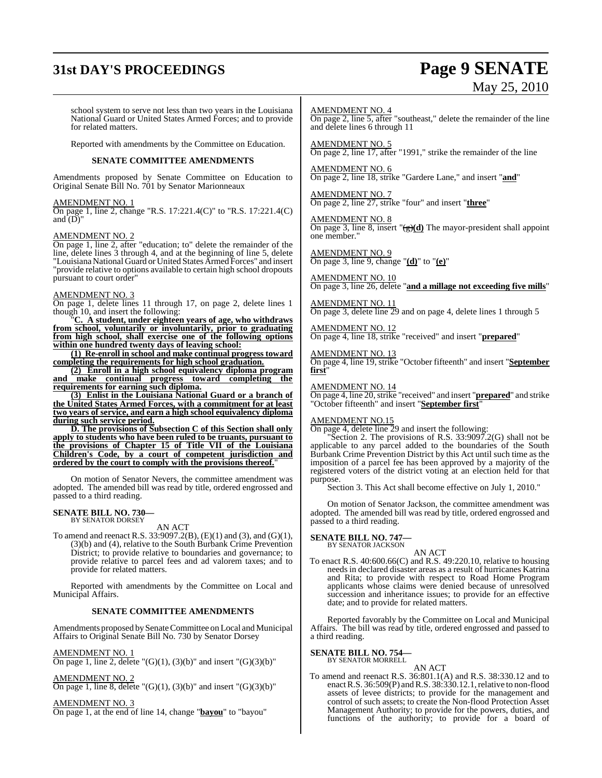# **31st DAY'S PROCEEDINGS Page 9 SENATE**

# May 25, 2010

school system to serve not less than two years in the Louisiana National Guard or United States Armed Forces; and to provide for related matters.

Reported with amendments by the Committee on Education.

#### **SENATE COMMITTEE AMENDMENTS**

Amendments proposed by Senate Committee on Education to Original Senate Bill No. 701 by Senator Marionneaux

#### AMENDMENT NO. 1

On page 1, line 2, change "R.S. 17:221.4(C)" to "R.S. 17:221.4(C) and  $(D)$ "

#### AMENDMENT NO. 2

On page 1, line 2, after "education; to" delete the remainder of the line, delete lines 3 through 4, and at the beginning of line 5, delete "Louisiana National Guard or United States Armed Forces" and insert "provide relative to options available to certain high school dropouts pursuant to court order"

#### AMENDMENT NO. 3

On page 1, delete lines 11 through 17, on page 2, delete lines 1 though 10, and insert the following:<br>"C. A student, under eighteen

A student, under eighteen years of age, who withdraws **from school, voluntarily or involuntarily, prior to graduating from high school, shall exercise one of the following options within one hundred twenty days of leaving school:**

**(1) Re-enroll in school and make continual progress toward completing the requirements for high school graduation.**

**(2) Enroll in a high school equivalency diploma program and make continual progress toward completing the requirements for earning such diploma.**

**(3) Enlist in the Louisiana National Guard or a branch of the United States Armed Forces, with a commitment for at least two years of service, and earn a high school equivalency diploma during such service period.**

**D. The provisions of Subsection C of this Section shall only apply to students who have been ruled to be truants, pursuant to the provisions of Chapter 15 of Title VII of the Louisiana Children's Code, by a court of competent jurisdiction and ordered by the court to comply with the provisions thereof.**"

On motion of Senator Nevers, the committee amendment was adopted. The amended bill was read by title, ordered engrossed and passed to a third reading.

# **SENATE BILL NO. 730—** BY SENATOR DORSEY

AN ACT

To amend and reenact R.S. 33:9097.2(B), (E)(1) and (3), and (G)(1), (3)(b) and (4), relative to the South Burbank Crime Prevention District; to provide relative to boundaries and governance; to provide relative to parcel fees and ad valorem taxes; and to provide for related matters.

Reported with amendments by the Committee on Local and Municipal Affairs.

#### **SENATE COMMITTEE AMENDMENTS**

Amendments proposed by Senate Committee on Local and Municipal Affairs to Original Senate Bill No. 730 by Senator Dorsey

AMENDMENT NO. 1

On page 1, line 2, delete " $(G)(1)$ ,  $(3)(b)$ " and insert " $(G)(3)(b)$ "

AMENDMENT NO. 2 On page 1, line 8, delete " $(G)(1)$ ,  $(3)(b)$ " and insert " $(G)(3)(b)$ "

AMENDMENT NO. 3

On page 1, at the end of line 14, change "**bayou**" to "bayou"

#### AMENDMENT NO. 4

On page 2, line 5, after "southeast," delete the remainder of the line and delete lines 6 through 11

AMENDMENT NO. 5 On page 2, line 17, after "1991," strike the remainder of the line

AMENDMENT NO. 6 On page 2, line 18, strike "Gardere Lane," and insert "**and**"

AMENDMENT NO. 7 On page 2, line 27, strike "four" and insert "**three**"

AMENDMENT NO. 8 On page 3, line 8, insert "(g)**(d)** The mayor-president shall appoint one member."

AMENDMENT NO. 9 On page 3, line 9, change "**(d)**" to "**(e)**"

AMENDMENT NO. 10 On page 3, line 26, delete "**and a millage not exceeding five mills**"

AMENDMENT NO. 11 On page 3, delete line 29 and on page 4, delete lines 1 through 5

AMENDMENT NO. 12 On page 4, line 18, strike "received" and insert "**prepared**"

AMENDMENT NO. 13 On page 4, line 19, strike "October fifteenth" and insert "**September first**"

AMENDMENT NO. 14

On page 4, line 20,strike "received" and insert "**prepared**" and strike "October fifteenth" and insert "**September first**"

### AMENDMENT NO.15

On page 4, delete line 29 and insert the following:

Section 2. The provisions of R.S. 33:9097.2(G) shall not be applicable to any parcel added to the boundaries of the South Burbank Crime Prevention District by this Act until such time as the imposition of a parcel fee has been approved by a majority of the registered voters of the district voting at an election held for that purpose.

Section 3. This Act shall become effective on July 1, 2010."

On motion of Senator Jackson, the committee amendment was adopted. The amended bill was read by title, ordered engrossed and passed to a third reading.

**SENATE BILL NO. 747—** BY SENATOR JACKSON

AN ACT

To enact R.S. 40:600.66(C) and R.S. 49:220.10, relative to housing needs in declared disaster areas as a result of hurricanes Katrina and Rita; to provide with respect to Road Home Program applicants whose claims were denied because of unresolved succession and inheritance issues; to provide for an effective date; and to provide for related matters.

Reported favorably by the Committee on Local and Municipal Affairs. The bill was read by title, ordered engrossed and passed to a third reading.

**SENATE BILL NO. 754—**

BY SENATOR MORRELL

AN ACT To amend and reenact R.S. 36:801.1(A) and R.S. 38:330.12 and to enactR.S. 36:509(P) andR.S. 38:330.12.1, relative to non-flood assets of levee districts; to provide for the management and control of such assets; to create the Non-flood Protection Asset Management Authority; to provide for the powers, duties, and functions of the authority; to provide for a board of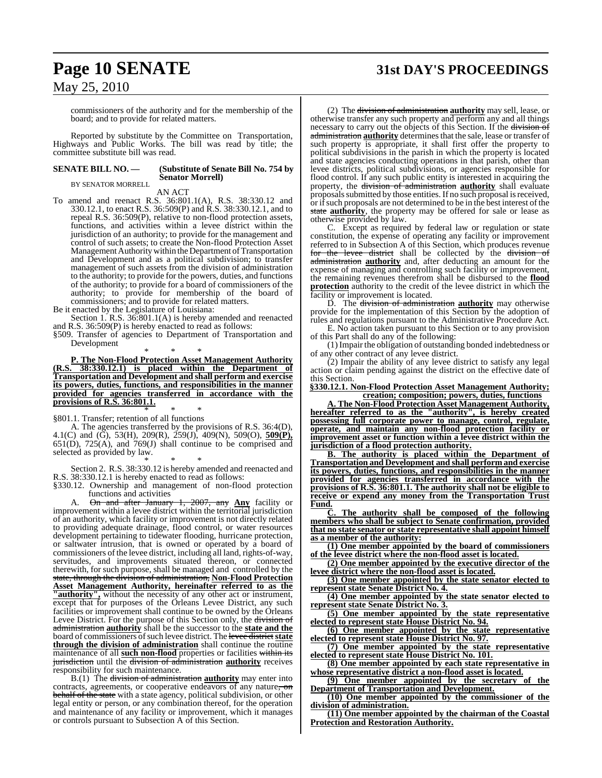# **Page 10 SENATE 31st DAY'S PROCEEDINGS**

May 25, 2010

commissioners of the authority and for the membership of the board; and to provide for related matters.

Reported by substitute by the Committee on Transportation, Highways and Public Works. The bill was read by title; the committee substitute bill was read.

#### **SENATE BILL NO. — (Substitute of Senate Bill No. 754 by Senator Morrell)** BY SENATOR MORRELL

AN ACT

To amend and reenact R.S. 36:801.1(A), R.S. 38:330.12 and 330.12.1, to enact R.S. 36:509(P) and R.S. 38:330.12.1, and to repeal R.S. 36:509(P), relative to non-flood protection assets, functions, and activities within a levee district within the jurisdiction of an authority; to provide for the management and control of such assets; to create the Non-flood Protection Asset Management Authority within the Department of Transportation and Development and as a political subdivision; to transfer management of such assets from the division of administration to the authority; to provide for the powers, duties, and functions of the authority; to provide for a board of commissioners of the authority; to provide for membership of the board of commissioners; and to provide for related matters.

Be it enacted by the Legislature of Louisiana:

Section 1. R.S. 36:801.1(A) is hereby amended and reenacted and R.S. 36:509(P) is hereby enacted to read as follows:

§509. Transfer of agencies to Department of Transportation and Development

\* \* \* **P. The Non-Flood Protection Asset Management Authority (R.S. 38:330.12.1) is placed within the Department of Transportation and Development and shall perform and exercise its powers, duties, functions, and responsibilities in the manner provided for agencies transferred in accordance with the provisions of R.S. 36:801.1.**

\* \* \* §801.1. Transfer; retention of all functions

A. The agencies transferred by the provisions of R.S. 36:4(D), 4.1(C) and (G), 53(H), 209(R), 259(J), 409(N), 509(O), **509(P),** 651(D),  $725(A)$ , and  $769(J)$  shall continue to be comprised and selected as provided by law.

\* \* \* Section 2. R.S. 38:330.12 is hereby amended and reenacted and R.S. 38:330.12.1 is hereby enacted to read as follows:

§330.12. Ownership and management of non-flood protection

functions and activities<br>On and after January A. On and after January 1, 2007, any **Any** facility or improvement within a levee district within the territorial jurisdiction of an authority, which facility or improvement is not directly related to providing adequate drainage, flood control, or water resources development pertaining to tidewater flooding, hurricane protection, or saltwater intrusion, that is owned or operated by a board of commissioners of the levee district, including all land, rights-of-way, servitudes, and improvements situated thereon, or connected therewith, for such purpose, shall be managed and controlled by the state, through the division of administration, **Non-Flood Protection Asset Management Authority, hereinafter referred to as the "authority",** without the necessity of any other act or instrument, except that for purposes of the Orleans Levee District, any such facilities or improvement shall continue to be owned by the Orleans Levee District. For the purpose of this Section only, the division of administration **authority** shall be the successor to the **state and the** board of commissioners of such levee district. The levee district state **through the division of administration** shall continue the routine maintenance of all **such non-flood** properties or facilities within its jurisdiction until the division of administration **authority** receives responsibility for such maintenance.

B.(1) The division of administration **authority** may enter into contracts, agreements, or cooperative endeavors of any nature, on behalf of the state with a state agency, political subdivision, or other legal entity or person, or any combination thereof, for the operation and maintenance of any facility or improvement, which it manages or controls pursuant to Subsection A of this Section.

(2) The division of administration **authority** may sell, lease, or otherwise transfer any such property and perform any and all things necessary to carry out the objects of this Section. If the division of administration authority determines that the sale, lease or transfer of such property is appropriate, it shall first offer the property to political subdivisions in the parish in which the property is located and state agencies conducting operations in that parish, other than levee districts, political subdivisions, or agencies responsible for flood control. If any such public entity is interested in acquiring the property, the division of administration **authority** shall evaluate proposals submitted by those entities. If no such proposal is received, or if such proposals are not determined to be in the best interest of the state **authority**, the property may be offered for sale or lease as otherwise provided by law.

C. Except as required by federal law or regulation or state constitution, the expense of operating any facility or improvement referred to in Subsection A of this Section, which produces revenue for the levee district shall be collected by the division of administration **authority** and, after deducting an amount for the expense of managing and controlling such facility or improvement, the remaining revenues therefrom shall be disbursed to the **flood protection** authority to the credit of the levee district in which the facility or improvement is located.

D. The division of administration **authority** may otherwise provide for the implementation of this Section by the adoption of rules and regulations pursuant to the Administrative Procedure Act. E. No action taken pursuant to this Section or to any provision

of this Part shall do any of the following: (1) Impair the obligation of outstanding bonded indebtedness or of any other contract of any levee district.

(2) Impair the ability of any levee district to satisfy any legal action or claim pending against the district on the effective date of this Section.

**§330.12.1. Non-Flood Protection Asset Management Authority; creation; composition; powers, duties, functions**

**A. The Non-Flood Protection Asset Management Authority, hereafter referred to as the "authority", is hereby created possessing full corporate power to manage, control, regulate, operate, and maintain any non-flood protection facility or improvement asset or function within a levee district within the jurisdiction of a flood protection authority.**

**B. The authority is placed within the Department of Transportation and Development and shall perform and exercise its powers, duties, functions, and responsibilities in the manner provided for agencies transferred in accordance with the provisions of R.S. 36:801.1. The authority shall not be eligible to receive or expend any money from the Transportation Trust Fund.**

**C. The authority shall be composed of the following members who shall be subject to Senate confirmation, provided that no state senator or state representative shall appoint himself as a member of the authority:**

**(1) One member appointed by the board of commissioners of the levee district where the non-flood asset is located.**

**(2) One member appointed by the executive director of the levee district where the non-flood asset is located.**

**(3) One member appointed by the state senator elected to represent state Senate District No. 4.**

**(4) One member appointed by the state senator elected to represent state Senate District No. 3.**

**(5) One member appointed by the state representative elected to represent state House District No. 94.**

**(6) One member appointed by the state representative elected to represent state House District No. 97.**

**(7) One member appointed by the state representative elected to represent state House District No. 101.**

**(8) One member appointed by each state representative in whose representative district a non-flood asset is located.**

**(9) One member appointed by the secretary of the Department of Transportation and Development.**

**(10) One member appointed by the commissioner of the division of administration.**

**(11) One member appointed by the chairman of the Coastal Protection and Restoration Authority.**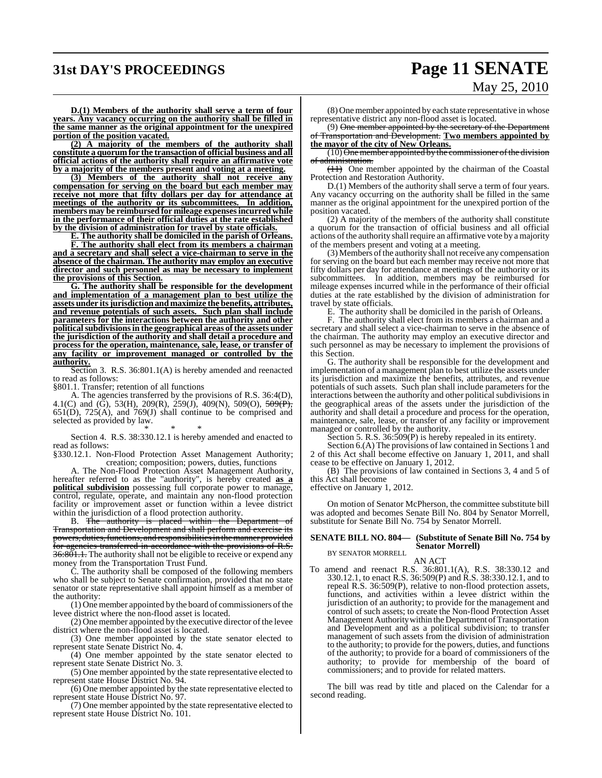# **31st DAY'S PROCEEDINGS Page 11 SENATE**

# May 25, 2010

**D.(1) Members of the authority shall serve a term of four years. Any vacancy occurring on the authority shall be filled in the same manner as the original appointment for the unexpired portion of the position vacated.**

**(2) A majority of the members of the authority shall constitute a quorum for the transaction of official business and all official actions of the authority shall require an affirmative vote by a majority of the members present and voting at a meeting.**

**(3) Members of the authority shall not receive any compensation for serving on the board but each member may receive not more that fifty dollars per day for attendance at meetings of the authority or its subcommittees. In addition, members may be reimbursed for mileage expensesincurred while in the performance of their official duties at the rate established by the division of administration for travel by state officials.**

**E. The authority shall be domiciled in the parish of Orleans.**

**F. The authority shall elect from its members a chairman and a secretary and shall select a vice-chairman to serve in the absence of the chairman. The authority may employ an executive director and such personnel as may be necessary to implement the provisions of this Section.**

**G. The authority shall be responsible for the development and implementation of a management plan to best utilize the assets under itsjurisdiction and maximize the benefits, attributes, and revenue potentials of such assets. Such plan shall include parameters for the interactions between the authority and other politicalsubdivisionsin the geographical areas of the assets under the jurisdiction of the authority and shall detail a procedure and process for the operation, maintenance, sale, lease, or transfer of any facility or improvement managed or controlled by the authority.**

Section 3. R.S. 36:801.1(A) is hereby amended and reenacted to read as follows:

§801.1. Transfer; retention of all functions

A. The agencies transferred by the provisions of R.S. 36:4(D), 4.1(C) and (G), 53(H), 209(R), 259(J), 409(N), 509(O), <del>509(P),</del>  $651(D)$ ,  $725(A)$ , and  $769(J)$  shall continue to be comprised and selected as provided by law.

\* \* \* Section 4. R.S. 38:330.12.1 is hereby amended and enacted to read as follows:

§330.12.1. Non-Flood Protection Asset Management Authority; creation; composition; powers, duties, functions

A. The Non-Flood Protection Asset Management Authority, hereafter referred to as the "authority", is hereby created **as a political subdivision** possessing full corporate power to manage, control, regulate, operate, and maintain any non-flood protection facility or improvement asset or function within a levee district within the jurisdiction of a flood protection authority.

B. The authority is placed within the Department of Transportation and Development and shall perform and exercise its powers, duties, functions, and responsibilities in the manner provided for agencies transferred in accordance with the provisions of R.S.  $36:801.1$ . The authority shall not be eligible to receive or expend any money from the Transportation Trust Fund.

C. The authority shall be composed of the following members who shall be subject to Senate confirmation, provided that no state senator or state representative shall appoint himself as a member of the authority:

(1) One member appointed by the board of commissioners ofthe levee district where the non-flood asset is located.

 $(2)$  One member appointed by the executive director of the levee district where the non-flood asset is located.

(3) One member appointed by the state senator elected to represent state Senate District No. 4.

(4) One member appointed by the state senator elected to represent state Senate District No. 3.

(5) One member appointed by the state representative elected to represent state House District No. 94.

(6) One member appointed by the state representative elected to represent state House District No. 97.

(7) One member appointed by the state representative elected to represent state House District No. 101.

(8) One member appointed by each state representative in whose representative district any non-flood asset is located.

(9) One member appointed by the secretary of the Department of Transportation and Development. **Two members appointed by the mayor of the city of New Orleans.**

 $(10)$  One member appointed by the commissioner of the division of administration.

(11) One member appointed by the chairman of the Coastal Protection and Restoration Authority.

D.(1) Members of the authority shall serve a term of four years. Any vacancy occurring on the authority shall be filled in the same manner as the original appointment for the unexpired portion of the position vacated.

(2) A majority of the members of the authority shall constitute a quorum for the transaction of official business and all official actions of the authority shall require an affirmative vote by a majority of the members present and voting at a meeting.

(3) Members of the authority shall not receive any compensation for serving on the board but each member may receive not more that fifty dollars per day for attendance at meetings of the authority or its subcommittees. In addition, members may be reimbursed for mileage expenses incurred while in the performance of their official duties at the rate established by the division of administration for travel by state officials.

E. The authority shall be domiciled in the parish of Orleans.

F. The authority shall elect from its members a chairman and a secretary and shall select a vice-chairman to serve in the absence of the chairman. The authority may employ an executive director and such personnel as may be necessary to implement the provisions of this Section.

G. The authority shall be responsible for the development and implementation of a management plan to best utilize the assets under its jurisdiction and maximize the benefits, attributes, and revenue potentials of such assets. Such plan shall include parameters for the interactions between the authority and other political subdivisions in the geographical areas of the assets under the jurisdiction of the authority and shall detail a procedure and process for the operation, maintenance, sale, lease, or transfer of any facility or improvement managed or controlled by the authority.

Section 5. R.S. 36:509(P) is hereby repealed in its entirety.

Section 6.(A) The provisions of law contained in Sections 1 and 2 of this Act shall become effective on January 1, 2011, and shall cease to be effective on January 1, 2012.

(B) The provisions of law contained in Sections 3, 4 and 5 of this Act shall become

effective on January 1, 2012.

On motion of Senator McPherson, the committee substitute bill was adopted and becomes Senate Bill No. 804 by Senator Morrell, substitute for Senate Bill No. 754 by Senator Morrell.

#### **SENATE BILL NO. 804— (Substitute of Senate Bill No. 754 by Senator Morrell)** BY SENATOR MORRELL

AN ACT

To amend and reenact R.S. 36:801.1(A), R.S. 38:330.12 and 330.12.1, to enact R.S. 36:509(P) and R.S. 38:330.12.1, and to repeal R.S. 36:509(P), relative to non-flood protection assets, functions, and activities within a levee district within the jurisdiction of an authority; to provide for the management and control of such assets; to create the Non-flood Protection Asset Management Authority within the Department of Transportation and Development and as a political subdivision; to transfer management of such assets from the division of administration to the authority; to provide for the powers, duties, and functions of the authority; to provide for a board of commissioners of the authority; to provide for membership of the board of commissioners; and to provide for related matters.

The bill was read by title and placed on the Calendar for a second reading.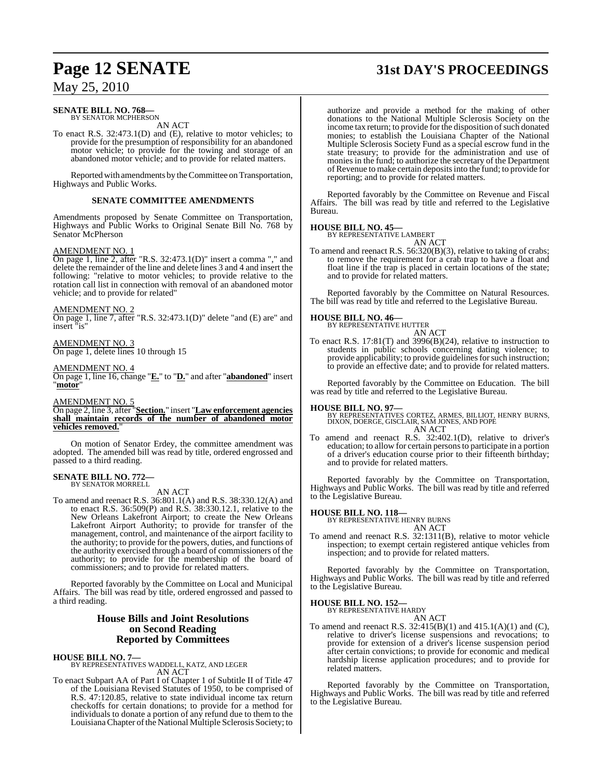# **Page 12 SENATE 31st DAY'S PROCEEDINGS**

## May 25, 2010

#### **SENATE BILL NO. 768—** BY SENATOR MCPHERSON

AN ACT

To enact R.S. 32:473.1(D) and (E), relative to motor vehicles; to provide for the presumption of responsibility for an abandoned motor vehicle; to provide for the towing and storage of an abandoned motor vehicle; and to provide for related matters.

Reported with amendments by the Committee on Transportation, Highways and Public Works.

#### **SENATE COMMITTEE AMENDMENTS**

Amendments proposed by Senate Committee on Transportation, Highways and Public Works to Original Senate Bill No. 768 by Senator McPherson

#### AMENDMENT NO. 1

On page 1, line 2, after "R.S. 32:473.1(D)" insert a comma "," and delete the remainder of the line and delete lines 3 and 4 and insert the following: "relative to motor vehicles; to provide relative to the rotation call list in connection with removal of an abandoned motor vehicle; and to provide for related"

#### AMENDMENT NO. 2

On page 1, line 7, after "R.S. 32:473.1(D)" delete "and (E) are" and insert "is"

## AMENDMENT NO. 3

On page 1, delete lines 10 through 15

#### AMENDMENT NO. 4

On page 1, line 16, change "**E.**" to "**D.**" and after "**abandoned**" insert "**motor**"

#### AMENDMENT NO. 5

On page 2, line 3, after "**Section.**" insert "**Law enforcement agencies shall maintain records of the number of abandoned motor vehicles removed.**"

On motion of Senator Erdey, the committee amendment was adopted. The amended bill was read by title, ordered engrossed and passed to a third reading.

#### **SENATE BILL NO. 772—** BY SENATOR MORRELL

AN ACT

To amend and reenact R.S. 36:801.1(A) and R.S. 38:330.12(A) and to enact R.S. 36:509(P) and R.S. 38:330.12.1, relative to the New Orleans Lakefront Airport; to create the New Orleans Lakefront Airport Authority; to provide for transfer of the management, control, and maintenance of the airport facility to the authority; to provide for the powers, duties, and functions of the authority exercised through a board of commissioners of the authority; to provide for the membership of the board of commissioners; and to provide for related matters.

Reported favorably by the Committee on Local and Municipal Affairs. The bill was read by title, ordered engrossed and passed to a third reading.

### **House Bills and Joint Resolutions on Second Reading Reported by Committees**

**HOUSE BILL NO. 7—**

BY REPRESENTATIVES WADDELL, KATZ, AND LEGER AN ACT

To enact Subpart AA of Part I of Chapter 1 of Subtitle II of Title 47 of the Louisiana Revised Statutes of 1950, to be comprised of R.S. 47:120.85, relative to state individual income tax return checkoffs for certain donations; to provide for a method for individuals to donate a portion of any refund due to them to the LouisianaChapter ofthe National Multiple Sclerosis Society; to

authorize and provide a method for the making of other donations to the National Multiple Sclerosis Society on the income tax return; to provide for the disposition of such donated monies; to establish the Louisiana Chapter of the National Multiple Sclerosis Society Fund as a special escrow fund in the state treasury; to provide for the administration and use of monies in the fund; to authorize the secretary of the Department ofRevenue to make certain depositsinto the fund; to provide for reporting; and to provide for related matters.

Reported favorably by the Committee on Revenue and Fiscal Affairs. The bill was read by title and referred to the Legislative Bureau.

#### **HOUSE BILL NO. 45—**

BY REPRESENTATIVE LAMBERT AN ACT

To amend and reenact R.S. 56:320(B)(3), relative to taking of crabs; to remove the requirement for a crab trap to have a float and float line if the trap is placed in certain locations of the state; and to provide for related matters.

Reported favorably by the Committee on Natural Resources. The bill was read by title and referred to the Legislative Bureau.

# **HOUSE BILL NO. 46—** BY REPRESENTATIVE HUTTER



To enact R.S. 17:81(T) and  $3996(B)(24)$ , relative to instruction to students in public schools concerning dating violence; to provide applicability; to provide guidelines for such instruction; to provide an effective date; and to provide for related matters.

Reported favorably by the Committee on Education. The bill was read by title and referred to the Legislative Bureau.

- **HOUSE BILL NO. 97—** BY REPRESENTATIVES CORTEZ, ARMES, BILLIOT, HENRY BURNS, DIXON, DOERGE, GISCLAIR, SAM JONES, AND POPE AN ACT
- To amend and reenact R.S. 32:402.1(D), relative to driver's education; to allow for certain personsto participate in a portion of a driver's education course prior to their fifteenth birthday; and to provide for related matters.

Reported favorably by the Committee on Transportation, Highways and Public Works. The bill was read by title and referred to the Legislative Bureau.

# **HOUSE BILL NO. 118—** BY REPRESENTATIVE HENRY BURNS



To amend and reenact R.S. 32:1311(B), relative to motor vehicle inspection; to exempt certain registered antique vehicles from inspection; and to provide for related matters.

Reported favorably by the Committee on Transportation, Highways and Public Works. The bill was read by title and referred to the Legislative Bureau.

# **HOUSE BILL NO. 152—** BY REPRESENTATIVE HARDY

AN ACT

To amend and reenact R.S.  $32:415(B)(1)$  and  $415.1(A)(1)$  and  $(C)$ , relative to driver's license suspensions and revocations; to provide for extension of a driver's license suspension period after certain convictions; to provide for economic and medical hardship license application procedures; and to provide for related matters.

Reported favorably by the Committee on Transportation, Highways and Public Works. The bill was read by title and referred to the Legislative Bureau.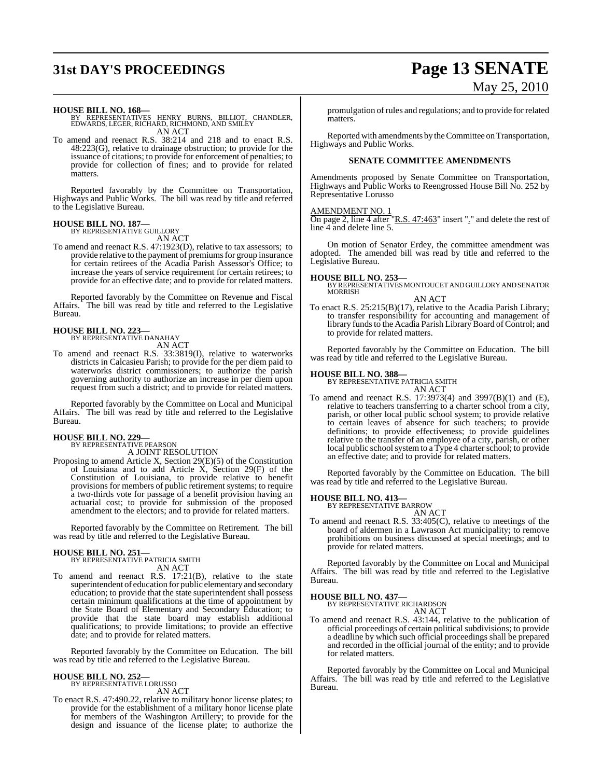# **31st DAY'S PROCEEDINGS Page 13 SENATE**

# May 25, 2010

**HOUSE BILL NO. 168—** BY REPRESENTATIVES HENRY BURNS, BILLIOT, CHANDLER, EDWARDS, LEGER, RICHARD, RICHMOND, AND SMILEY AN ACT

To amend and reenact R.S. 38:214 and 218 and to enact R.S. 48:223(G), relative to drainage obstruction; to provide for the issuance of citations; to provide for enforcement of penalties; to provide for collection of fines; and to provide for related matters.

Reported favorably by the Committee on Transportation, Highways and Public Works. The bill was read by title and referred to the Legislative Bureau.

#### **HOUSE BILL NO. 187—**

BY REPRESENTATIVE GUILLORY AN ACT

To amend and reenact R.S. 47:1923(D), relative to tax assessors; to provide relative to the payment of premiums for group insurance for certain retirees of the Acadia Parish Assessor's Office; to increase the years of service requirement for certain retirees; to provide for an effective date; and to provide for related matters.

Reported favorably by the Committee on Revenue and Fiscal Affairs. The bill was read by title and referred to the Legislative Bureau.

#### **HOUSE BILL NO. 223—**

BY REPRESENTATIVE DANAHAY AN ACT

To amend and reenact R.S. 33:3819(I), relative to waterworks districts in Calcasieu Parish; to provide for the per diem paid to waterworks district commissioners; to authorize the parish governing authority to authorize an increase in per diem upon request from such a district; and to provide for related matters.

Reported favorably by the Committee on Local and Municipal Affairs. The bill was read by title and referred to the Legislative Bureau.

## **HOUSE BILL NO. 229—**

BY REPRESENTATIVE PEARSON A JOINT RESOLUTION

Proposing to amend Article X, Section 29(E)(5) of the Constitution of Louisiana and to add Article X, Section 29(F) of the Constitution of Louisiana, to provide relative to benefit provisions for members of public retirement systems; to require a two-thirds vote for passage of a benefit provision having an actuarial cost; to provide for submission of the proposed amendment to the electors; and to provide for related matters.

Reported favorably by the Committee on Retirement. The bill was read by title and referred to the Legislative Bureau.

**HOUSE BILL NO. 251—** BY REPRESENTATIVE PATRICIA SMITH AN ACT

To amend and reenact R.S. 17:21(B), relative to the state superintendent of education for public elementary and secondary education; to provide that the state superintendent shall possess certain minimum qualifications at the time of appointment by the State Board of Elementary and Secondary Education; to provide that the state board may establish additional qualifications; to provide limitations; to provide an effective date; and to provide for related matters.

Reported favorably by the Committee on Education. The bill was read by title and referred to the Legislative Bureau.

#### **HOUSE BILL NO. 252—**

BY REPRESENTATIVE LORUSSO AN ACT

To enact R.S. 47:490.22, relative to military honor license plates; to provide for the establishment of a military honor license plate for members of the Washington Artillery; to provide for the design and issuance of the license plate; to authorize the

promulgation ofrules and regulations; and to provide for related matters.

Reported with amendments by the Committee on Transportation, Highways and Public Works.

#### **SENATE COMMITTEE AMENDMENTS**

Amendments proposed by Senate Committee on Transportation, Highways and Public Works to Reengrossed House Bill No. 252 by Representative Lorusso

#### AMENDMENT NO. 1

On page 2, line 4 after "R.S. 47:463" insert "." and delete the rest of line 4 and delete line 5.

On motion of Senator Erdey, the committee amendment was adopted. The amended bill was read by title and referred to the Legislative Bureau.

**HOUSE BILL NO. 253—** BY REPRESENTATIVESMONTOUCET AND GUILLORY AND SENATOR MORRISH

#### AN ACT

To enact R.S. 25:215(B)(17), relative to the Acadia Parish Library; to transfer responsibility for accounting and management of library funds to the Acadia Parish Library Board of Control; and to provide for related matters.

Reported favorably by the Committee on Education. The bill was read by title and referred to the Legislative Bureau.

**HOUSE BILL NO. 388—** BY REPRESENTATIVE PATRICIA SMITH

AN ACT To amend and reenact R.S. 17:3973(4) and 3997(B)(1) and (E), relative to teachers transferring to a charter school from a city, parish, or other local public school system; to provide relative to certain leaves of absence for such teachers; to provide definitions; to provide effectiveness; to provide guidelines relative to the transfer of an employee of a city, parish, or other local public school system to a Type 4 charter school; to provide an effective date; and to provide for related matters.

Reported favorably by the Committee on Education. The bill was read by title and referred to the Legislative Bureau.

# **HOUSE BILL NO. 413—** BY REPRESENTATIVE BARROW

AN ACT

To amend and reenact R.S. 33:405(C), relative to meetings of the board of aldermen in a Lawrason Act municipality; to remove prohibitions on business discussed at special meetings; and to provide for related matters.

Reported favorably by the Committee on Local and Municipal Affairs. The bill was read by title and referred to the Legislative Bureau.

**HOUSE BILL NO. 437—** BY REPRESENTATIVE RICHARDSON AN ACT

To amend and reenact R.S. 43:144, relative to the publication of official proceedings of certain political subdivisions; to provide a deadline by which such official proceedings shall be prepared and recorded in the official journal of the entity; and to provide for related matters.

Reported favorably by the Committee on Local and Municipal Affairs. The bill was read by title and referred to the Legislative Bureau.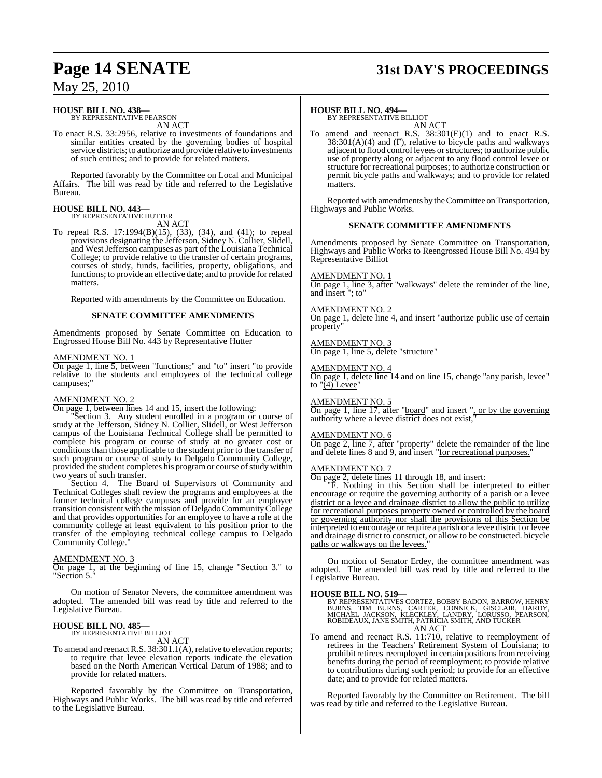#### **HOUSE BILL NO. 438—** BY REPRESENTATIVE PEARSON

AN ACT

To enact R.S. 33:2956, relative to investments of foundations and similar entities created by the governing bodies of hospital service districts; to authorize and provide relative to investments of such entities; and to provide for related matters.

Reported favorably by the Committee on Local and Municipal Affairs. The bill was read by title and referred to the Legislative Bureau.

#### **HOUSE BILL NO. 443—** BY REPRESENTATIVE HUTTER

AN ACT

To repeal R.S. 17:1994(B)(15), (33), (34), and (41); to repeal provisions designating the Jefferson, Sidney N. Collier, Slidell, and West Jefferson campuses as part of the Louisiana Technical College; to provide relative to the transfer of certain programs, courses of study, funds, facilities, property, obligations, and functions; to provide an effective date; and to provide for related matters.

Reported with amendments by the Committee on Education.

#### **SENATE COMMITTEE AMENDMENTS**

Amendments proposed by Senate Committee on Education to Engrossed House Bill No. 443 by Representative Hutter

#### AMENDMENT NO. 1

On page 1, line 5, between "functions;" and "to" insert "to provide relative to the students and employees of the technical college campuses;"

## AMENDMENT NO. 2

On page 1, between lines 14 and 15, insert the following:

Section 3. Any student enrolled in a program or course of study at the Jefferson, Sidney N. Collier, Slidell, or West Jefferson campus of the Louisiana Technical College shall be permitted to complete his program or course of study at no greater cost or conditions than those applicable to the student prior to the transfer of such program or course of study to Delgado Community College, provided the student completes his program or course of study within two years of such transfer.

Section 4. The Board of Supervisors of Community and Technical Colleges shall review the programs and employees at the former technical college campuses and provide for an employee transition consistent with themission of Delgado Community College and that provides opportunities for an employee to have a role at the community college at least equivalent to his position prior to the transfer of the employing technical college campus to Delgado Community College."

#### AMENDMENT NO. 3

On page 1, at the beginning of line 15, change "Section 3." to "Section 5.

On motion of Senator Nevers, the committee amendment was adopted. The amended bill was read by title and referred to the Legislative Bureau.

# **HOUSE BILL NO. 485—** BY REPRESENTATIVE BILLIOT

AN ACT

To amend and reenact R.S. 38:301.1(A), relative to elevation reports; to require that levee elevation reports indicate the elevation based on the North American Vertical Datum of 1988; and to provide for related matters.

Reported favorably by the Committee on Transportation, Highways and Public Works. The bill was read by title and referred to the Legislative Bureau.

# **Page 14 SENATE 31st DAY'S PROCEEDINGS**

#### **HOUSE BILL NO. 494—**

BY REPRESENTATIVE BILLIOT AN ACT

To amend and reenact R.S. 38:301(E)(1) and to enact R.S.  $38:301(A)(4)$  and (F), relative to bicycle paths and walkways adjacent to flood control levees orstructures; to authorize public use of property along or adjacent to any flood control levee or structure for recreational purposes; to authorize construction or permit bicycle paths and walkways; and to provide for related matters.

Reported with amendments by theCommittee on Transportation, Highways and Public Works.

#### **SENATE COMMITTEE AMENDMENTS**

Amendments proposed by Senate Committee on Transportation, Highways and Public Works to Reengrossed House Bill No. 494 by Representative Billiot

#### AMENDMENT NO. 1

On page 1, line 3, after "walkways" delete the reminder of the line, and insert "; to"

#### AMENDMENT NO. 2

On page 1, delete line 4, and insert "authorize public use of certain property'

### AMENDMENT NO. 3

On page 1, line 5, delete "structure"

#### AMENDMENT NO. 4

On page 1, delete line 14 and on line 15, change "any parish, levee" to  $\sqrt{4}$  Levee'

AMENDMENT NO. 5

On page 1, line 17, after "board" and insert ", or by the governing authority where a levee district does not exist,"

#### AMENDMENT NO. 6

On page 2, line 7, after "property" delete the remainder of the line and delete lines 8 and 9, and insert "for recreational purposes."

#### AMENDMENT NO. 7

On page 2, delete lines 11 through 18, and insert:

"F. Nothing in this Section shall be interpreted to either encourage or require the governing authority of a parish or a levee district or a levee and drainage district to allow the public to utilize for recreational purposes property owned or controlled by the board or governing authority nor shall the provisions of this Section be interpreted to encourage or require a parish or a levee district or levee and drainage district to construct, or allow to be constructed. bicycle paths or walkways on the levees.

On motion of Senator Erdey, the committee amendment was adopted. The amended bill was read by title and referred to the Legislative Bureau.

**HOUSE BILL NO. 519—** BY REPRESENTATIVES CORTEZ, BOBBY BADON, BARROW, HENRY BURNS, TIM BURNS, CARTER, CONNICK, GISCLAIR, HARDY,<br>MICHAEL JACKSON, KLECKLEY, LANDRY, LORUSSO, PEARSON,<br>ROBIDEAUX,JANESMITH,PATRICIASMITH,ANDTUCKER AN ACT

To amend and reenact R.S. 11:710, relative to reemployment of retirees in the Teachers' Retirement System of Louisiana; to prohibit retirees reemployed in certain positions from receiving benefits during the period of reemployment; to provide relative to contributions during such period; to provide for an effective date; and to provide for related matters.

Reported favorably by the Committee on Retirement. The bill was read by title and referred to the Legislative Bureau.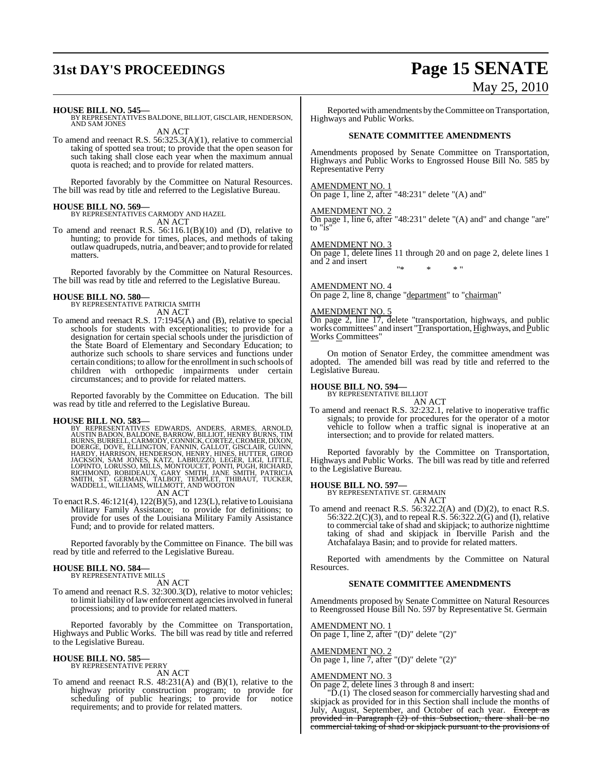# **31st DAY'S PROCEEDINGS Page 15 SENATE**

#### **HOUSE BILL NO. 545—**

BY REPRESENTATIVES BALDONE, BILLIOT, GISCLAIR, HENDERSON, AND SAM JONES

AN ACT

To amend and reenact R.S. 56:325.3(A)(1), relative to commercial taking of spotted sea trout; to provide that the open season for such taking shall close each year when the maximum annual quota is reached; and to provide for related matters.

Reported favorably by the Committee on Natural Resources. The bill was read by title and referred to the Legislative Bureau.

#### **HOUSE BILL NO. 569—**

BY REPRESENTATIVES CARMODY AND HAZEL AN ACT

To amend and reenact R.S. 56:116.1(B)(10) and (D), relative to hunting; to provide for times, places, and methods of taking outlawquadrupeds, nutria, and beaver; and to provide for related matters.

Reported favorably by the Committee on Natural Resources. The bill was read by title and referred to the Legislative Bureau.

# **HOUSE BILL NO. 580—** BY REPRESENTATIVE PATRICIA SMITH

AN ACT

To amend and reenact R.S. 17:1945(A) and (B), relative to special schools for students with exceptionalities; to provide for a designation for certain special schools under the jurisdiction of the State Board of Elementary and Secondary Education; to authorize such schools to share services and functions under certain conditions; to allow for the enrollment in such schools of children with orthopedic impairments under certain circumstances; and to provide for related matters.

Reported favorably by the Committee on Education. The bill was read by title and referred to the Legislative Bureau.

**HOUSE BILL NO. 583—**<br>BY REPRESENTATIVES EDWARDS, ANDERS, ARMES, ARNOLD,<br>AUSTIN BADON, BALDONE, BARROW, BILLIOT, HENRY BURNS, FIM<br>BURNS, BURRELL, CARMODY, CONNICK, CORTEZ, CROMER, DIXON,<br>DOERGE, DOVE, ELLINGTON, FANNIN, GA

To enact R.S.  $46:121(4)$ ,  $122(B)(5)$ , and  $123(L)$ , relative to Louisiana Military Family Assistance; to provide for definitions; to provide for uses of the Louisiana Military Family Assistance Fund; and to provide for related matters.

Reported favorably by the Committee on Finance. The bill was read by title and referred to the Legislative Bureau.

# **HOUSE BILL NO. 584—** BY REPRESENTATIVE MILLS

- AN ACT
- To amend and reenact R.S. 32:300.3(D), relative to motor vehicles; to limit liability of law enforcement agencies involved in funeral processions; and to provide for related matters.

Reported favorably by the Committee on Transportation, Highways and Public Works. The bill was read by title and referred to the Legislative Bureau.

#### **HOUSE BILL NO. 585—**

BY REPRESENTATIVE PERRY AN ACT

To amend and reenact R.S. 48:231(A) and (B)(1), relative to the highway priority construction program; to provide for scheduling of public hearings; to provide for notice requirements; and to provide for related matters.

# May 25, 2010

Reported with amendments by the Committee on Transportation, Highways and Public Works.

#### **SENATE COMMITTEE AMENDMENTS**

Amendments proposed by Senate Committee on Transportation, Highways and Public Works to Engrossed House Bill No. 585 by Representative Perry

#### AMENDMENT NO. 1

 $\overline{\text{On page 1, line 2, after}}$  "48:231" delete "(A) and"

## AMENDMENT NO. 2

On page 1, line 6, after "48:231" delete "(A) and" and change "are" to "is"

#### AMENDMENT NO. 3

On page 1, delete lines 11 through 20 and on page 2, delete lines 1 and 2 and insert "\* \* \* "

#### AMENDMENT NO. 4

On page 2, line 8, change "department" to "chairman"

#### AMENDMENT NO. 5

On page 2, line 17, delete "transportation, highways, and public works committees" and insert "Transportation, Highways, and Public Works Committees"

On motion of Senator Erdey, the committee amendment was adopted. The amended bill was read by title and referred to the Legislative Bureau.

# **HOUSE BILL NO. 594—** BY REPRESENTATIVE BILLIOT

AN ACT

To amend and reenact R.S. 32:232.1, relative to inoperative traffic signals; to provide for procedures for the operator of a motor vehicle to follow when a traffic signal is inoperative at an intersection; and to provide for related matters.

Reported favorably by the Committee on Transportation, Highways and Public Works. The bill was read by title and referred to the Legislative Bureau.

#### **HOUSE BILL NO. 597—**

BY REPRESENTATIVE ST. GERMAIN AN ACT

To amend and reenact R.S.  $56:322.2(A)$  and  $(D)(2)$ , to enact R.S. 56:322.2(C)(3), and to repeal R.S. 56:322.2(G) and (I), relative to commercial take of shad and skipjack; to authorize nighttime taking of shad and skipjack in Iberville Parish and the Atchafalaya Basin; and to provide for related matters.

Reported with amendments by the Committee on Natural Resources.

#### **SENATE COMMITTEE AMENDMENTS**

Amendments proposed by Senate Committee on Natural Resources to Reengrossed House Bill No. 597 by Representative St. Germain

AMENDMENT NO. 1  $\overline{\text{On page 1, line 2, after}}$  "(D)" delete "(2)"

## AMENDMENT NO. 2

On page 1, line 7, after "(D)" delete " $(2)$ "

AMENDMENT NO. 3 On page 2, delete lines 3 through 8 and insert:

"D.(1) The closed season for commercially harvesting shad and skipjack as provided for in this Section shall include the months of July, August, September, and October of each year. Except as provided in Paragraph (2) of this Subsection, there shall be no commercial taking of shad or skipjack pursuant to the provisions of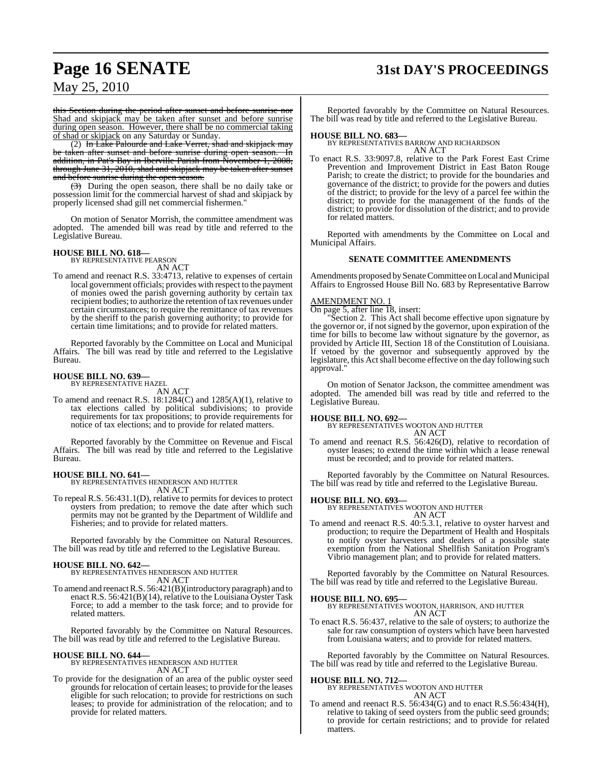# **Page 16 SENATE 31st DAY'S PROCEEDINGS**

May 25, 2010

this Section during the period after sunset and before sunrise nor Shad and skipjack may be taken after sunset and before sunrise during open season. However, there shall be no commercial taking of shad or skipjack on any Saturday or Sunday.

(2) In Lake Palourde and Lake Verret, shad and skipjack may be taken after sunset and before sunrise during open season. In addition, in Pat's Bay in Iberville Parish from November 1, 2008, through June 31, 2010, shad and skipjack may be taken after sunset and before sunrise during the open season.

(3) During the open season, there shall be no daily take or possession limit for the commercial harvest of shad and skipjack by properly licensed shad gill net commercial fishermen."

On motion of Senator Morrish, the committee amendment was adopted. The amended bill was read by title and referred to the Legislative Bureau.

#### **HOUSE BILL NO. 618—** BY REPRESENTATIVE PEARSON

AN ACT

To amend and reenact R.S. 33:4713, relative to expenses of certain local government officials; provides with respect to the payment of monies owed the parish governing authority by certain tax recipient bodies; to authorize the retention of tax revenues under certain circumstances; to require the remittance of tax revenues by the sheriff to the parish governing authority; to provide for certain time limitations; and to provide for related matters.

Reported favorably by the Committee on Local and Municipal Affairs. The bill was read by title and referred to the Legislative Bureau.

#### **HOUSE BILL NO. 639—** BY REPRESENTATIVE HAZEL

AN ACT

To amend and reenact R.S. 18:1284(C) and 1285(A)(1), relative to tax elections called by political subdivisions; to provide requirements for tax propositions; to provide requirements for notice of tax elections; and to provide for related matters.

Reported favorably by the Committee on Revenue and Fiscal Affairs. The bill was read by title and referred to the Legislative Bureau.

#### **HOUSE BILL NO. 641—**

BY REPRESENTATIVES HENDERSON AND HUTTER AN ACT

To repeal R.S. 56:431.1(D), relative to permits for devices to protect oysters from predation; to remove the date after which such permits may not be granted by the Department of Wildlife and Fisheries; and to provide for related matters.

Reported favorably by the Committee on Natural Resources. The bill was read by title and referred to the Legislative Bureau.

#### **HOUSE BILL NO. 642—**

BY REPRESENTATIVES HENDERSON AND HUTTER AN ACT

To amend and reenactR.S. 56:421(B)(introductory paragraph) and to enact R.S. 56:421(B)(14), relative to the Louisiana Oyster Task Force; to add a member to the task force; and to provide for related matters.

Reported favorably by the Committee on Natural Resources. The bill was read by title and referred to the Legislative Bureau.

#### **HOUSE BILL NO. 644—**

BY REPRESENTATIVES HENDERSON AND HUTTER AN ACT

To provide for the designation of an area of the public oyster seed grounds for relocation of certain leases; to provide for the leases eligible for such relocation; to provide for restrictions on such leases; to provide for administration of the relocation; and to provide for related matters.

Reported favorably by the Committee on Natural Resources. The bill was read by title and referred to the Legislative Bureau.

**HOUSE BILL NO. 683—** BY REPRESENTATIVES BARROW AND RICHARDSON AN ACT

To enact R.S. 33:9097.8, relative to the Park Forest East Crime Prevention and Improvement District in East Baton Rouge Parish; to create the district; to provide for the boundaries and governance of the district; to provide for the powers and duties of the district; to provide for the levy of a parcel fee within the district; to provide for the management of the funds of the district; to provide for dissolution of the district; and to provide for related matters.

Reported with amendments by the Committee on Local and Municipal Affairs.

#### **SENATE COMMITTEE AMENDMENTS**

Amendments proposed by Senate Committee on Local and Municipal Affairs to Engrossed House Bill No. 683 by Representative Barrow

#### AMENDMENT NO. 1

On page 5, after line 18, insert:

"Section 2. This Act shall become effective upon signature by the governor or, if notsigned by the governor, upon expiration of the time for bills to become law without signature by the governor, as provided by Article III, Section 18 of the Constitution of Louisiana. If vetoed by the governor and subsequently approved by the legislature, this Act shall become effective on the day following such approval."

On motion of Senator Jackson, the committee amendment was adopted. The amended bill was read by title and referred to the Legislative Bureau.

#### **HOUSE BILL NO. 692—**

BY REPRESENTATIVES WOOTON AND HUTTER AN ACT

To amend and reenact R.S. 56:426(D), relative to recordation of oyster leases; to extend the time within which a lease renewal must be recorded; and to provide for related matters.

Reported favorably by the Committee on Natural Resources. The bill was read by title and referred to the Legislative Bureau.

#### **HOUSE BILL NO. 693—**

BY REPRESENTATIVES WOOTON AND HUTTER AN ACT

To amend and reenact R.S. 40:5.3.1, relative to oyster harvest and production; to require the Department of Health and Hospitals to notify oyster harvesters and dealers of a possible state exemption from the National Shellfish Sanitation Program's Vibrio management plan; and to provide for related matters.

Reported favorably by the Committee on Natural Resources. The bill was read by title and referred to the Legislative Bureau.

#### **HOUSE BILL NO. 695—**

BY REPRESENTATIVES WOOTON, HARRISON, AND HUTTER AN ACT

To enact R.S. 56:437, relative to the sale of oysters; to authorize the sale for raw consumption of oysters which have been harvested from Louisiana waters; and to provide for related matters.

Reported favorably by the Committee on Natural Resources. The bill was read by title and referred to the Legislative Bureau.

# **HOUSE BILL NO. 712—** BY REPRESENTATIVES WOOTON AND HUTTER

### AN ACT

To amend and reenact R.S. 56:434(G) and to enact R.S.56:434(H), relative to taking of seed oysters from the public seed grounds; to provide for certain restrictions; and to provide for related matters.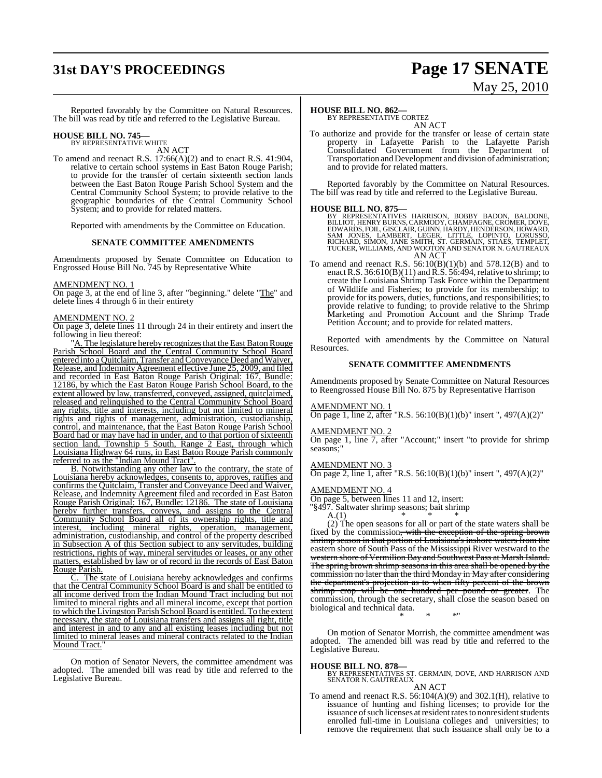# **31st DAY'S PROCEEDINGS Page 17 SENATE**

# May 25, 2010

Reported favorably by the Committee on Natural Resources. The bill was read by title and referred to the Legislative Bureau.

# **HOUSE BILL NO. 745—** BY REPRESENTATIVE WHITE

AN ACT

To amend and reenact R.S. 17:66(A)(2) and to enact R.S. 41:904, relative to certain school systems in East Baton Rouge Parish; to provide for the transfer of certain sixteenth section lands between the East Baton Rouge Parish School System and the Central Community School System; to provide relative to the geographic boundaries of the Central Community School System; and to provide for related matters.

Reported with amendments by the Committee on Education.

#### **SENATE COMMITTEE AMENDMENTS**

Amendments proposed by Senate Committee on Education to Engrossed House Bill No. 745 by Representative White

#### AMENDMENT NO. 1

On page 3, at the end of line 3, after "beginning." delete "The" and delete lines 4 through 6 in their entirety

#### AMENDMENT NO. 2

On page 3, delete lines 11 through 24 in their entirety and insert the following in lieu thereof:

"A. The legislature hereby recognizes that the East Baton Rouge Parish School Board and the Central Community School Board entered into a Quitclaim, Transfer and Conveyance Deed and Waiver, Release, and Indemnity Agreement effective June 25, 2009, and filed and recorded in East Baton Rouge Parish Original: 167, Bundle: 12186, by which the East Baton Rouge Parish School Board, to the extent allowed by law, transferred, conveyed, assigned, quitclaimed, released and relinquished to the Central Community School Board any rights, title and interests, including but not limited to mineral rights and rights of management, administration, custodianship, control, and maintenance, that the East Baton Rouge Parish School Board had or may have had in under, and to that portion of sixteenth section land, Township 5 South, Range 2 East, through which Louisiana Highway 64 runs, in East Baton Rouge Parish commonly referred to as the "Indian Mound Tract".

B. Notwithstanding any other law to the contrary, the state of Louisiana hereby acknowledges, consents to, approves, ratifies and confirms the Quitclaim, Transfer and Conveyance Deed and Waiver, Release, and Indemnity Agreement filed and recorded in East Baton Rouge Parish Original: 167, Bundle: 12186. The state of Louisiana hereby further transfers, conveys, and assigns to the Central Community School Board all of its ownership rights, title and interest, including mineral rights, operation, management, administration, custodianship, and control of the property described in Subsection A of this Section subject to any servitudes, building restrictions, rights of way, mineral servitudes or leases, or any other matters, established by law or of record in the records of East Baton Rouge Parish.

C. The state of Louisiana hereby acknowledges and confirms that the Central Community School Board is and shall be entitled to all income derived from the Indian Mound Tract including but not limited to mineral rights and all mineral income, except that portion to which the Livingston Parish School Board is entitled. To the extent necessary, the state of Louisiana transfers and assigns all right, title and interest in and to any and all existing leases including but not limited to mineral leases and mineral contracts related to the Indian Mound Tract."

On motion of Senator Nevers, the committee amendment was adopted. The amended bill was read by title and referred to the Legislative Bureau.

#### **HOUSE BILL NO. 862—**

BY REPRESENTATIVE CORTEZ AN ACT

To authorize and provide for the transfer or lease of certain state property in Lafayette Parish to the Lafayette Parish Consolidated Government from the Department of Transportation and Development and division of administration; and to provide for related matters.

Reported favorably by the Committee on Natural Resources. The bill was read by title and referred to the Legislative Bureau.

#### **HOUSE BILL NO. 875—**

BY REPRESENTATIVES HARRISON, BOBBY BADON, BALDONE,<br>BILLIOT,HENRYBURNS,CARMODY,CHAMPAGNE,CRÓMER,DOVE,<br>EDWARDS,FOIL,GISCLAIR,GUINN,HARDY,HENDERSON,HOWARD,<br>SAM JONES, LAMBERT, LEGER, LITTLE, LOPINTO, LORUSSO,<br>RICHARD,SIMON,JA AN ACT

To amend and reenact R.S.  $56:10(B)(1)(b)$  and  $578.12(B)$  and to enact R.S.  $36:610(B)(11)$  and R.S.  $56:494$ , relative to shrimp; to create the Louisiana Shrimp Task Force within the Department of Wildlife and Fisheries; to provide for its membership; to provide for its powers, duties, functions, and responsibilities; to provide relative to funding; to provide relative to the Shrimp Marketing and Promotion Account and the Shrimp Trade Petition Account; and to provide for related matters.

Reported with amendments by the Committee on Natural Resources.

#### **SENATE COMMITTEE AMENDMENTS**

Amendments proposed by Senate Committee on Natural Resources to Reengrossed House Bill No. 875 by Representative Harrison

#### AMENDMENT NO. 1

On page 1, line 2, after "R.S. 56:10(B)(1)(b)" insert ", 497(A)(2)"

#### AMENDMENT NO. 2

On page 1, line 7, after "Account;" insert "to provide for shrimp seasons;"

#### AMENDMENT NO. 3

On page 2, line 1, after "R.S.  $56:10(B)(1)(b)$ " insert ",  $497(A)(2)$ "

#### AMENDMENT NO. 4

On page 5, between lines 11 and 12, insert:

 $\frac{8497}{A(1)}$ . Saltwater shrimp seasons; bait shrimp  $A(1)$ 

A.(1)  $* * * * * *$ 

(2) The open seasons for all or part of the state waters shall be fixed by the commission<del>, with the exception of the spring brown</del> shrimp season in that portion of Louisiana's inshore waters from the eastern shore of South Pass of the Mississippi River westward to the western shore of Vermilion Bay and Southwest Pass at Marsh Island. The spring brown shrimp seasons in this area shall be opened by the commission no later than the third Monday in May after considering the department's projection as to when fifty percent of the brown shrimp crop will be one hundred per pound or greater. The commission, through the secretary, shall close the season based on biological and technical data. \* \* \*"

On motion of Senator Morrish, the committee amendment was adopted. The amended bill was read by title and referred to the Legislative Bureau.

#### **HOUSE BILL NO. 878—**

BY REPRESENTATIVES ST. GERMAIN, DOVE, AND HARRISON AND SENATOR N. GAUTREAUX AN ACT

To amend and reenact R.S. 56:104(A)(9) and 302.1(H), relative to issuance of hunting and fishing licenses; to provide for the issuance of such licenses at resident rates to nonresident students enrolled full-time in Louisiana colleges and universities; to remove the requirement that such issuance shall only be to a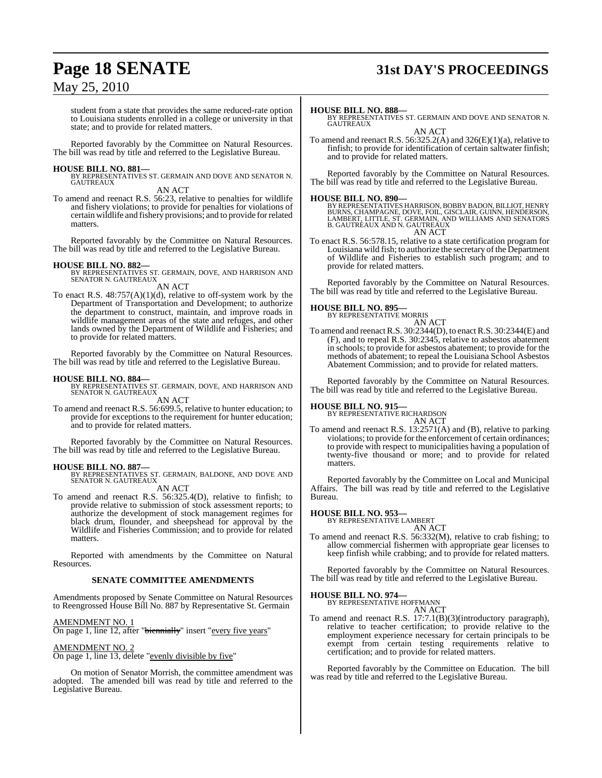# **Page 18 SENATE 31st DAY'S PROCEEDINGS**

## May 25, 2010

student from a state that provides the same reduced-rate option to Louisiana students enrolled in a college or university in that state; and to provide for related matters.

Reported favorably by the Committee on Natural Resources. The bill was read by title and referred to the Legislative Bureau.

**HOUSE BILL NO. 881—** BY REPRESENTATIVES ST. GERMAIN AND DOVE AND SENATOR N. GAUTREAUX

AN ACT

To amend and reenact R.S. 56:23, relative to penalties for wildlife and fishery violations; to provide for penalties for violations of certain wildlife and fishery provisions; and to provide forrelated matters.

Reported favorably by the Committee on Natural Resources. The bill was read by title and referred to the Legislative Bureau.

**HOUSE BILL NO. 882—** BY REPRESENTATIVES ST. GERMAIN, DOVE, AND HARRISON AND SENATOR N. GAUTREAUX AN ACT

To enact R.S.  $48:757(A)(1)(d)$ , relative to off-system work by the Department of Transportation and Development; to authorize the department to construct, maintain, and improve roads in wildlife management areas of the state and refuges, and other lands owned by the Department of Wildlife and Fisheries; and to provide for related matters.

Reported favorably by the Committee on Natural Resources. The bill was read by title and referred to the Legislative Bureau.

**HOUSE BILL NO. 884—** BY REPRESENTATIVES ST. GERMAIN, DOVE, AND HARRISON AND SENATOR N. GAUTREAUX

AN ACT

To amend and reenact R.S. 56:699.5, relative to hunter education; to provide for exceptions to the requirement for hunter education; and to provide for related matters.

Reported favorably by the Committee on Natural Resources. The bill was read by title and referred to the Legislative Bureau.

#### **HOUSE BILL NO. 887—**

BY REPRESENTATIVES ST. GERMAIN, BALDONE, AND DOVE AND SENATOR N. GAUTREAUX

AN ACT

To amend and reenact R.S. 56:325.4(D), relative to finfish; to provide relative to submission of stock assessment reports; to authorize the development of stock management regimes for black drum, flounder, and sheepshead for approval by the Wildlife and Fisheries Commission; and to provide for related matters.

Reported with amendments by the Committee on Natural Resources.

#### **SENATE COMMITTEE AMENDMENTS**

Amendments proposed by Senate Committee on Natural Resources to Reengrossed House Bill No. 887 by Representative St. Germain

#### AMENDMENT NO. 1

On page 1, line 12, after "biennially" insert "every five years"

#### AMENDMENT NO. 2

On page 1, line 13, delete "evenly divisible by five"

On motion of Senator Morrish, the committee amendment was adopted. The amended bill was read by title and referred to the Legislative Bureau.

#### **HOUSE BILL NO. 888—**

BY REPRESENTATIVES ST. GERMAIN AND DOVE AND SENATOR N. **GAUTREAUX** 

AN ACT

To amend and reenact R.S.  $56:325.2(A)$  and  $326(E)(1)(a)$ , relative to finfish; to provide for identification of certain saltwater finfish; and to provide for related matters.

Reported favorably by the Committee on Natural Resources. The bill was read by title and referred to the Legislative Bureau.

**HOUSE BILL NO. 890—**<br>BY REPRESENTATIVES HARRISON, BOBBY BADON, BILLIOT, HENRY<br>BURNS, CHAMPAGNE, DOVE, FOIL, GISCLAIR, GUINN, HENDERSON,<br>LAMBERT, LITTLE, ST. GERMAIN, AND WILLIAMS AND SENATORS<br>B. GAUTREAUX AND N. GAUTREAUX AN ACT

To enact R.S. 56:578.15, relative to a state certification program for Louisiana wild fish; to authorize the secretary of the Department of Wildlife and Fisheries to establish such program; and to provide for related matters.

Reported favorably by the Committee on Natural Resources. The bill was read by title and referred to the Legislative Bureau.

### **HOUSE BILL NO. 895—**

BY REPRESENTATIVE MORRIS

AN ACT To amend and reenactR.S. 30:2344(D), to enactR.S. 30:2344(E) and (F), and to repeal R.S. 30:2345, relative to asbestos abatement in schools; to provide for asbestos abatement; to provide for the methods of abatement; to repeal the Louisiana School Asbestos Abatement Commission; and to provide for related matters.

Reported favorably by the Committee on Natural Resources. The bill was read by title and referred to the Legislative Bureau.

#### **HOUSE BILL NO. 915—**

BY REPRESENTATIVE RICHARDSON AN ACT

To amend and reenact R.S. 13:2571(A) and (B), relative to parking violations; to provide for the enforcement of certain ordinances; to provide with respect to municipalities having a population of twenty-five thousand or more; and to provide for related matters.

Reported favorably by the Committee on Local and Municipal Affairs. The bill was read by title and referred to the Legislative Bureau.

# **HOUSE BILL NO. 953—** BY REPRESENTATIVE LAMBERT

AN ACT

To amend and reenact R.S. 56:332(M), relative to crab fishing; to allow commercial fishermen with appropriate gear licenses to keep finfish while crabbing; and to provide for related matters.

Reported favorably by the Committee on Natural Resources. The bill was read by title and referred to the Legislative Bureau.

# **HOUSE BILL NO. 974—** BY REPRESENTATIVE HOFFMANN

AN ACT

To amend and reenact R.S. 17:7.1(B)(3)(introductory paragraph), relative to teacher certification; to provide relative to the employment experience necessary for certain principals to be exempt from certain testing requirements relative to certification; and to provide for related matters.

Reported favorably by the Committee on Education. The bill was read by title and referred to the Legislative Bureau.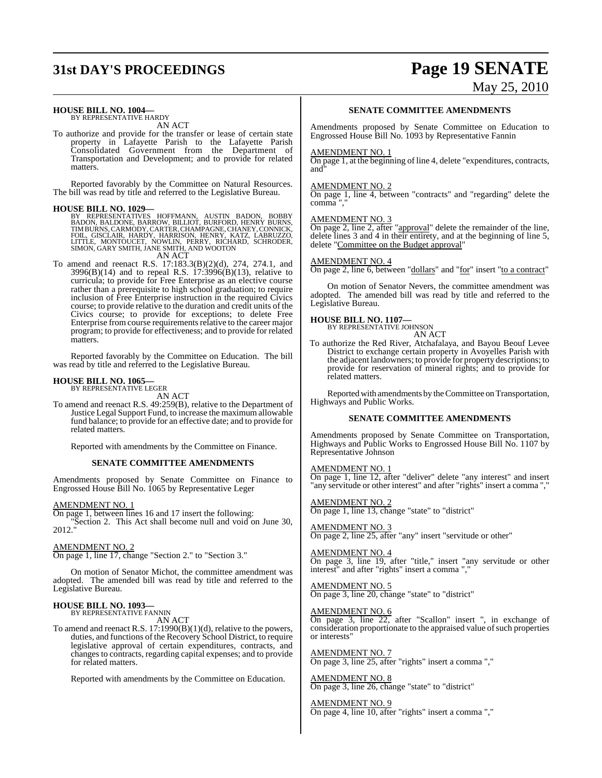# **31st DAY'S PROCEEDINGS Page 19 SENATE**

#### **HOUSE BILL NO. 1004—**

BY REPRESENTATIVE HARDY AN ACT

To authorize and provide for the transfer or lease of certain state property in Lafayette Parish to the Lafayette Parish Consolidated Government from the Department of Transportation and Development; and to provide for related matters.

Reported favorably by the Committee on Natural Resources. The bill was read by title and referred to the Legislative Bureau.

#### **HOUSE BILL NO. 1029—**

BY REPRESENTATIVES HOFFMANN, AUSTIN BADON, BOBBY<br>BADON,BALDONE,BARROW,BILLIOT,BURFORD,HENRYBURNS,<br>TIMBURNS,CARMODY,CARTER,CHAMPAGNE,CHANEY,BURNS,<br>FOIL, GISCLAIR,HARDY,HARRISON,HENRY,KATZ,LABRUZZO,<br>LITTLE, MONTOUCET, NOWLIN

AN ACT

To amend and reenact R.S. 17:183.3(B)(2)(d), 274, 274.1, and 3996(B)(14) and to repeal R.S. 17:3996(B)(13), relative to curricula; to provide for Free Enterprise as an elective course rather than a prerequisite to high school graduation; to require inclusion of Free Enterprise instruction in the required Civics course; to provide relative to the duration and credit units of the Civics course; to provide for exceptions; to delete Free Enterprise from course requirements relative to the career major program; to provide for effectiveness; and to provide for related matters.

Reported favorably by the Committee on Education. The bill was read by title and referred to the Legislative Bureau.

#### **HOUSE BILL NO. 1065—** BY REPRESENTATIVE LEGER

AN ACT

To amend and reenact R.S. 49:259(B), relative to the Department of Justice Legal Support Fund, to increase the maximumallowable fund balance; to provide for an effective date; and to provide for related matters.

Reported with amendments by the Committee on Finance.

#### **SENATE COMMITTEE AMENDMENTS**

Amendments proposed by Senate Committee on Finance to Engrossed House Bill No. 1065 by Representative Leger

#### <u>AMENDMENT NO. 1</u>

On page 1, between lines 16 and 17 insert the following:

"Section 2. This Act shall become null and void on June 30, 2012."

#### AMENDMENT NO. 2

On page 1, line 17, change "Section 2." to "Section 3."

On motion of Senator Michot, the committee amendment was adopted. The amended bill was read by title and referred to the Legislative Bureau.

# **HOUSE BILL NO. 1093—** BY REPRESENTATIVE FANNIN

AN ACT

To amend and reenact R.S. 17:1990(B)(1)(d), relative to the powers, duties, and functions of the Recovery School District, to require legislative approval of certain expenditures, contracts, and changes to contracts, regarding capital expenses; and to provide for related matters.

Reported with amendments by the Committee on Education.

#### **SENATE COMMITTEE AMENDMENTS**

Amendments proposed by Senate Committee on Education to Engrossed House Bill No. 1093 by Representative Fannin

#### AMENDMENT NO. 1

On page 1, at the beginning of line 4, delete "expenditures, contracts, and"

#### AMENDMENT NO. 2

On page 1, line 4, between "contracts" and "regarding" delete the comma",

#### AMENDMENT NO. 3

On page 2, line 2, after "approval" delete the remainder of the line, delete lines 3 and 4 in their entirety, and at the beginning of line 5, delete "Committee on the Budget approval"

#### AMENDMENT NO. 4

On page 2, line 6, between "dollars" and "for" insert "to a contract"

On motion of Senator Nevers, the committee amendment was adopted. The amended bill was read by title and referred to the Legislative Bureau.

# **HOUSE BILL NO. 1107—** BY REPRESENTATIVE JOHNSON

AN ACT

To authorize the Red River, Atchafalaya, and Bayou Beouf Levee District to exchange certain property in Avoyelles Parish with the adjacent landowners; to provide for property descriptions; to provide for reservation of mineral rights; and to provide for related matters.

Reported with amendments by the Committee on Transportation, Highways and Public Works.

#### **SENATE COMMITTEE AMENDMENTS**

Amendments proposed by Senate Committee on Transportation, Highways and Public Works to Engrossed House Bill No. 1107 by Representative Johnson

#### AMENDMENT NO. 1

On page 1, line 12, after "deliver" delete "any interest" and insert "any servitude or other interest" and after "rights" insert a comma ","

#### AMENDMENT NO. 2

On page 1, line 13, change "state" to "district"

AMENDMENT NO. 3 On page 2, line 25, after "any" insert "servitude or other"

#### AMENDMENT NO. 4

On page 3, line 19, after "title," insert "any servitude or other interest" and after "rights" insert a comma ",

#### AMENDMENT NO. 5 On page 3, line 20, change "state" to "district"

## AMENDMENT NO. 6

On page 3, line 22, after "Scallon" insert ", in exchange of consideration proportionate to the appraised value of such properties or interests"

## AMENDMENT NO. 7

On page 3, line 25, after "rights" insert a comma ","

AMENDMENT NO. 8 On page 3, line 26, change "state" to "district"

#### AMENDMENT NO. 9

On page 4, line 10, after "rights" insert a comma ","

# May 25, 2010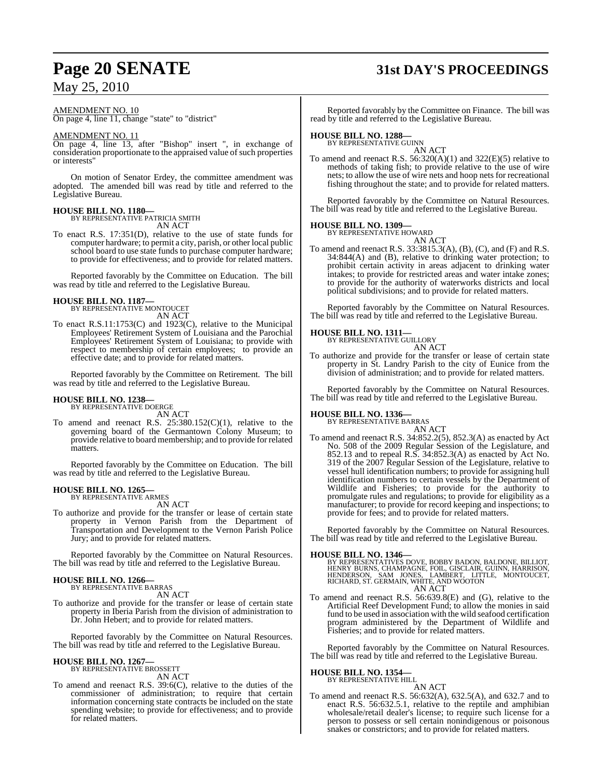# **Page 20 SENATE 31st DAY'S PROCEEDINGS**

AMENDMENT NO. 10

On page 4, line 11, change "state" to "district"

#### AMENDMENT NO. 11

On page 4, line 13, after "Bishop" insert ", in exchange of consideration proportionate to the appraised value of such properties or interests"

On motion of Senator Erdey, the committee amendment was adopted. The amended bill was read by title and referred to the Legislative Bureau.

# **HOUSE BILL NO. 1180—** BY REPRESENTATIVE PATRICIA SMITH

AN ACT

To enact R.S. 17:351(D), relative to the use of state funds for computer hardware; to permit a city, parish, or other local public school board to use state funds to purchase computer hardware; to provide for effectiveness; and to provide for related matters.

Reported favorably by the Committee on Education. The bill was read by title and referred to the Legislative Bureau.

#### **HOUSE BILL NO. 1187—**

BY REPRESENTATIVE MONTOUCET AN ACT

To enact R.S.11:1753(C) and 1923(C), relative to the Municipal Employees' Retirement System of Louisiana and the Parochial Employees' Retirement System of Louisiana; to provide with respect to membership of certain employees; to provide an effective date; and to provide for related matters.

Reported favorably by the Committee on Retirement. The bill was read by title and referred to the Legislative Bureau.

# **HOUSE BILL NO. 1238—** BY REPRESENTATIVE DOERGE

AN ACT

To amend and reenact R.S.  $25:380.152(C)(1)$ , relative to the governing board of the Germantown Colony Museum; to provide relative to board membership; and to provide for related matters.

Reported favorably by the Committee on Education. The bill was read by title and referred to the Legislative Bureau.

#### **HOUSE BILL NO. 1265—** BY REPRESENTATIVE ARMES

AN ACT

To authorize and provide for the transfer or lease of certain state property in Vernon Parish from the Department of Transportation and Development to the Vernon Parish Police Jury; and to provide for related matters.

Reported favorably by the Committee on Natural Resources. The bill was read by title and referred to the Legislative Bureau.

#### **HOUSE BILL NO. 1266—** BY REPRESENTATIVE BARRAS

AN ACT

To authorize and provide for the transfer or lease of certain state property in Iberia Parish from the division of administration to Dr. John Hebert; and to provide for related matters.

Reported favorably by the Committee on Natural Resources. The bill was read by title and referred to the Legislative Bureau.

#### **HOUSE BILL NO. 1267—** BY REPRESENTATIVE BROSSETT

AN ACT

To amend and reenact R.S. 39:6(C), relative to the duties of the commissioner of administration; to require that certain information concerning state contracts be included on the state spending website; to provide for effectiveness; and to provide for related matters.

Reported favorably by the Committee on Finance. The bill was read by title and referred to the Legislative Bureau.

# **HOUSE BILL NO. 1288—** BY REPRESENTATIVE GUINN

AN ACT

To amend and reenact R.S.  $56:320(A)(1)$  and  $322(E)(5)$  relative to methods of taking fish; to provide relative to the use of wire nets; to allow the use of wire nets and hoop nets for recreational fishing throughout the state; and to provide for related matters.

Reported favorably by the Committee on Natural Resources. The bill was read by title and referred to the Legislative Bureau.

#### **HOUSE BILL NO. 1309—**

BY REPRESENTATIVE HOWARD AN ACT

To amend and reenact R.S. 33:3815.3(A), (B), (C), and (F) and R.S. 34:844(A) and (B), relative to drinking water protection; to prohibit certain activity in areas adjacent to drinking water intakes; to provide for restricted areas and water intake zones; to provide for the authority of waterworks districts and local political subdivisions; and to provide for related matters.

Reported favorably by the Committee on Natural Resources. The bill was read by title and referred to the Legislative Bureau.

# **HOUSE BILL NO. 1311—** BY REPRESENTATIVE GUILLORY



AN ACT To authorize and provide for the transfer or lease of certain state property in St. Landry Parish to the city of Eunice from the division of administration; and to provide for related matters.

Reported favorably by the Committee on Natural Resources. The bill was read by title and referred to the Legislative Bureau.

#### **HOUSE BILL NO. 1336—** BY REPRESENTATIVE BARRAS

AN ACT

To amend and reenact R.S. 34:852.2(5), 852.3(A) as enacted by Act No. 508 of the 2009 Regular Session of the Legislature, and 852.13 and to repeal R.S. 34:852.3(A) as enacted by Act No. 319 of the 2007 Regular Session of the Legislature, relative to vessel hull identification numbers; to provide for assigning hull identification numbers to certain vessels by the Department of Wildlife and Fisheries; to provide for the authority to promulgate rules and regulations; to provide for eligibility as a manufacturer; to provide for record keeping and inspections; to provide for fees; and to provide for related matters.

Reported favorably by the Committee on Natural Resources. The bill was read by title and referred to the Legislative Bureau.

#### **HOUSE BILL NO. 1346—**

BY REPRESENTATIVES DOVE, BOBBY BADON, BALDONE, BILLIOT,<br>HENRY BURNS, CHAMPAGNE, FOIL, GISCLAIR, GUINN, HARRISON,<br>HENDERSON, SAM JONES, LAMBERT, LITTLE, MONTOUCET,<br>RICHARD, ST. GERMAIN, WHITE, AND WOOTON<br>AN ACT

To amend and reenact R.S. 56:639.8(E) and (G), relative to the Artificial Reef Development Fund; to allow the monies in said fund to be used in association with the wild seafood certification program administered by the Department of Wildlife and Fisheries; and to provide for related matters.

Reported favorably by the Committee on Natural Resources. The bill was read by title and referred to the Legislative Bureau.

# **HOUSE BILL NO. 1354—** BY REPRESENTATIVE HILL

AN ACT

To amend and reenact R.S. 56:632(A), 632.5(A), and 632.7 and to enact R.S. 56:632.5.1, relative to the reptile and amphibian wholesale/retail dealer's license; to require such license for a person to possess or sell certain nonindigenous or poisonous snakes or constrictors; and to provide for related matters.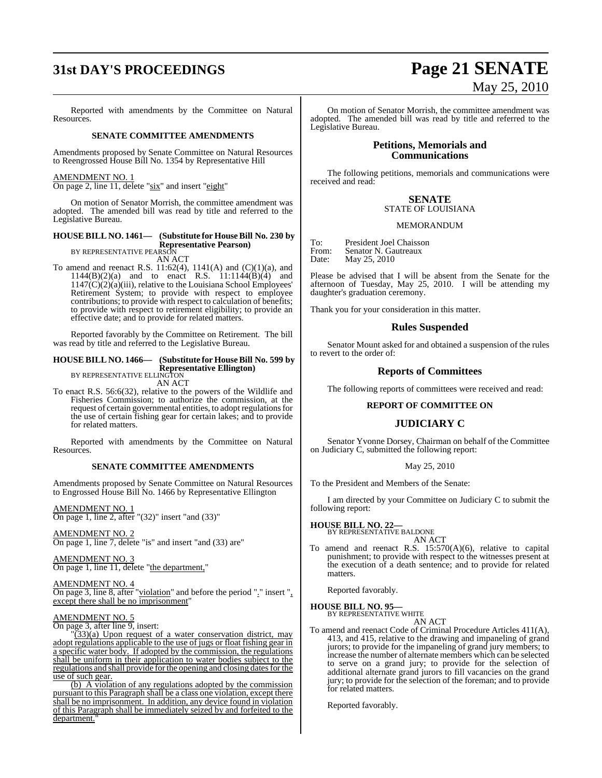# **31st DAY'S PROCEEDINGS Page 21 SENATE**

Reported with amendments by the Committee on Natural Resources.

#### **SENATE COMMITTEE AMENDMENTS**

Amendments proposed by Senate Committee on Natural Resources to Reengrossed House Bill No. 1354 by Representative Hill

## AMENDMENT NO. 1

On page 2, line 11, delete "six" and insert "eight"

On motion of Senator Morrish, the committee amendment was adopted. The amended bill was read by title and referred to the Legislative Bureau.

## **HOUSE BILL NO. 1461— (Substitute for HouseBill No. 230 by Representative Pearson)** BY REPRESENTATIVE PEARSON

AN ACT

To amend and reenact R.S. 11:62(4), 1141(A) and (C)(1)(a), and 1144(B)(2)(a) and to enact R.S. 11:1144(B)(4) and  $1147(\overline{C})(2)(a)(iii)$ , relative to the Louisiana School Employees' Retirement System; to provide with respect to employee contributions; to provide with respect to calculation of benefits; to provide with respect to retirement eligibility; to provide an effective date; and to provide for related matters.

Reported favorably by the Committee on Retirement. The bill was read by title and referred to the Legislative Bureau.

#### **HOUSE BILL NO. 1466— (Substitute for HouseBill No. 599 by Representative Ellington)** BY REPRESENTATIVE ELLINGTON

AN ACT

To enact R.S. 56:6(32), relative to the powers of the Wildlife and Fisheries Commission; to authorize the commission, at the request of certain governmental entities, to adopt regulationsfor the use of certain fishing gear for certain lakes; and to provide for related matters.

Reported with amendments by the Committee on Natural Resources.

#### **SENATE COMMITTEE AMENDMENTS**

Amendments proposed by Senate Committee on Natural Resources to Engrossed House Bill No. 1466 by Representative Ellington

AMENDMENT NO. 1

On page 1, line 2, after " $(32)$ " insert "and  $(33)$ "

AMENDMENT NO. 2 On page 1, line 7, delete "is" and insert "and (33) are"

#### AMENDMENT NO. 3 On page 1, line 11, delete "the department,"

AMENDMENT NO. 4

#### On page 3, line 8, after "violation" and before the period "." insert ", except there shall be no imprisonment"

AMENDMENT NO. 5

On page 3, after line 9, insert:

 $\sqrt{(33)}$ (a) Upon request of a water conservation district, may adopt regulations applicable to the use of jugs or float fishing gear in a specific water body. If adopted by the commission, the regulations shall be uniform in their application to water bodies subject to the regulations and shall provide for the opening and closing dates for the use of such gear.

(b) A violation of any regulations adopted by the commission pursuant to this Paragraph shall be a class one violation, except there shall be no imprisonment. In addition, any device found in violation of this Paragraph shall be immediately seized by and forfeited to the department.

# May 25, 2010

On motion of Senator Morrish, the committee amendment was adopted. The amended bill was read by title and referred to the Legislative Bureau.

### **Petitions, Memorials and Communications**

The following petitions, memorials and communications were received and read:

#### **SENATE** STATE OF LOUISIANA

#### MEMORANDUM

To: President Joel Chaisson<br>From: Senator N. Gautreaux From: Senator N. Gautreaux<br>Date: May 25, 2010 May 25, 2010

Please be advised that I will be absent from the Senate for the afternoon of Tuesday, May 25, 2010. I will be attending my daughter's graduation ceremony.

Thank you for your consideration in this matter.

#### **Rules Suspended**

Senator Mount asked for and obtained a suspension of the rules to revert to the order of:

#### **Reports of Committees**

The following reports of committees were received and read:

#### **REPORT OF COMMITTEE ON**

#### **JUDICIARY C**

Senator Yvonne Dorsey, Chairman on behalf of the Committee on Judiciary C, submitted the following report:

#### May 25, 2010

To the President and Members of the Senate:

I am directed by your Committee on Judiciary C to submit the following report:

**HOUSE BILL NO. 22—** BY REPRESENTATIVE BALDONE

AN ACT To amend and reenact R.S. 15:570(A)(6), relative to capital punishment; to provide with respect to the witnesses present at the execution of a death sentence; and to provide for related matters.

Reported favorably.

#### **HOUSE BILL NO. 95—**

BY REPRESENTATIVE WHITE AN ACT

- To amend and reenact Code of Criminal Procedure Articles 411(A),
- 413, and 415, relative to the drawing and impaneling of grand jurors; to provide for the impaneling of grand jury members; to increase the number of alternate members which can be selected to serve on a grand jury; to provide for the selection of additional alternate grand jurors to fill vacancies on the grand jury; to provide for the selection of the foreman; and to provide for related matters.

Reported favorably.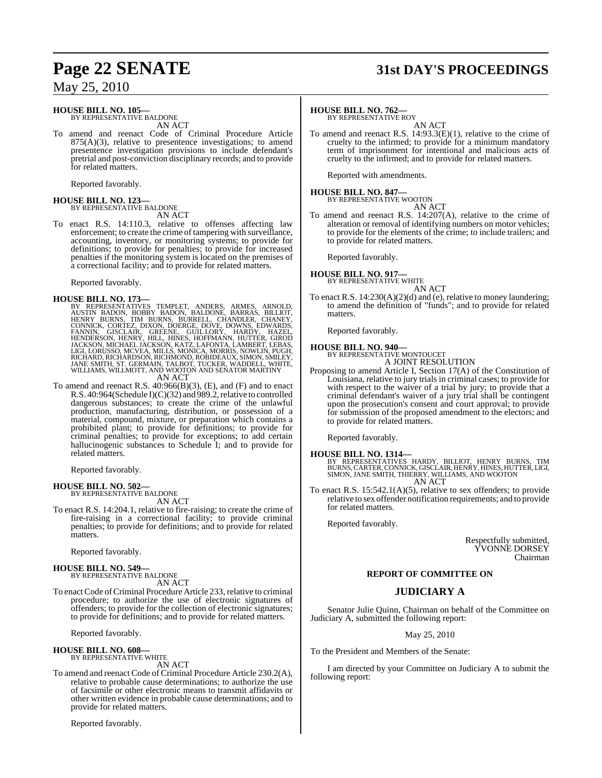## **HOUSE BILL NO. 105—**

BY REPRESENTATIVE BALDONE AN ACT

To amend and reenact Code of Criminal Procedure Article  $875(A)(3)$ , relative to presentence investigations; to amend presentence investigation provisions to include defendant's pretrial and post-conviction disciplinary records; and to provide for related matters.

Reported favorably.

# **HOUSE BILL NO. 123—** BY REPRESENTATIVE BALDONE

AN ACT

To enact R.S. 14:110.3, relative to offenses affecting law enforcement; to create the crime of tampering with surveillance, accounting, inventory, or monitoring systems; to provide for definitions; to provide for penalties; to provide for increased penalties if the monitoring system is located on the premises of a correctional facility; and to provide for related matters.

Reported favorably.

HOUSE BILL NO. 173—<br>
BY REPRESENTATIVES TEMPLET, ANDERS, ARMES, ARNOLD,<br>
AUSTIN BADON, BOBBY BADON, BALDONE, BARRAS, BILLIOT,<br>
HENRY BURNS, TIM BURNS, BURRELL, CHANDLER, CHANEY,<br>
CONNICK, CORTEZ, DIXON, DOERGE, DOVE, DOWNS

To amend and reenact R.S. 40:966(B)(3), (E), and (F) and to enact R.S. 40:964(Schedule I)(C)(32) and 989.2, relative to controlled dangerous substances; to create the crime of the unlawful production, manufacturing, distribution, or possession of a material, compound, mixture, or preparation which contains a prohibited plant; to provide for definitions; to provide for criminal penalties; to provide for exceptions; to add certain hallucinogenic substances to Schedule I; and to provide for related matters.

Reported favorably.

#### **HOUSE BILL NO. 502—** BY REPRESENTATIVE BALDONE

AN ACT

To enact R.S. 14:204.1, relative to fire-raising; to create the crime of fire-raising in a correctional facility; to provide criminal penalties; to provide for definitions; and to provide for related matters.

Reported favorably.

# **HOUSE BILL NO. 549—** BY REPRESENTATIVE BALDONE

AN ACT

To enactCode ofCriminal Procedure Article 233, relative to criminal procedure; to authorize the use of electronic signatures of offenders; to provide for the collection of electronic signatures; to provide for definitions; and to provide for related matters.

Reported favorably.

#### **HOUSE BILL NO. 608—**

BY REPRESENTATIVE WHITE AN ACT

To amend and reenact Code of Criminal Procedure Article 230.2(A), relative to probable cause determinations; to authorize the use of facsimile or other electronic means to transmit affidavits or other written evidence in probable cause determinations; and to provide for related matters.

Reported favorably.

# **Page 22 SENATE 31st DAY'S PROCEEDINGS**

#### **HOUSE BILL NO. 762—**

BY REPRESENTATIVE ROY

AN ACT To amend and reenact R.S. 14:93.3(E)(1), relative to the crime of cruelty to the infirmed; to provide for a minimum mandatory term of imprisonment for intentional and malicious acts of cruelty to the infirmed; and to provide for related matters.

Reported with amendments.

# **HOUSE BILL NO. 847—** BY REPRESENTATIVE WOOTON

AN ACT

To amend and reenact R.S. 14:207(A), relative to the crime of alteration or removal of identifying numbers on motor vehicles; to provide for the elements of the crime; to include trailers; and to provide for related matters.

Reported favorably.

# **HOUSE BILL NO. 917—** BY REPRESENTATIVE WHITE

AN ACT

To enact R.S. 14:230(A)(2)(d) and (e), relative to money laundering; to amend the definition of "funds"; and to provide for related matters.

Reported favorably.

# **HOUSE BILL NO. 940—** BY REPRESENTATIVE MONTOUCET

A JOINT RESOLUTION

Proposing to amend Article I, Section 17(A) of the Constitution of Louisiana, relative to jury trials in criminal cases; to provide for with respect to the waiver of a trial by jury; to provide that a criminal defendant's waiver of a jury trial shall be contingent upon the prosecution's consent and court approval; to provide for submission of the proposed amendment to the electors; and to provide for related matters.

Reported favorably.

**HOUSE BILL NO. 1314—** BY REPRESENTATIVES HARDY, BILLIOT, HENRY BURNS, TIM BURNS,CARTER,CONNICK, GISCLAIR, HENRY, HINES, HUTTER,LIGI, SIMON, JANE SMITH, THIERRY, WILLIAMS, AND WOOTON AN ACT

To enact R.S. 15:542.1(A)(5), relative to sex offenders; to provide relative to sex offender notification requirements; and to provide for related matters.

Reported favorably.

Respectfully submitted, YVONNE DORSEY Chairman

#### **REPORT OF COMMITTEE ON**

## **JUDICIARY A**

Senator Julie Quinn, Chairman on behalf of the Committee on Judiciary A, submitted the following report:

May 25, 2010

To the President and Members of the Senate:

I am directed by your Committee on Judiciary A to submit the following report: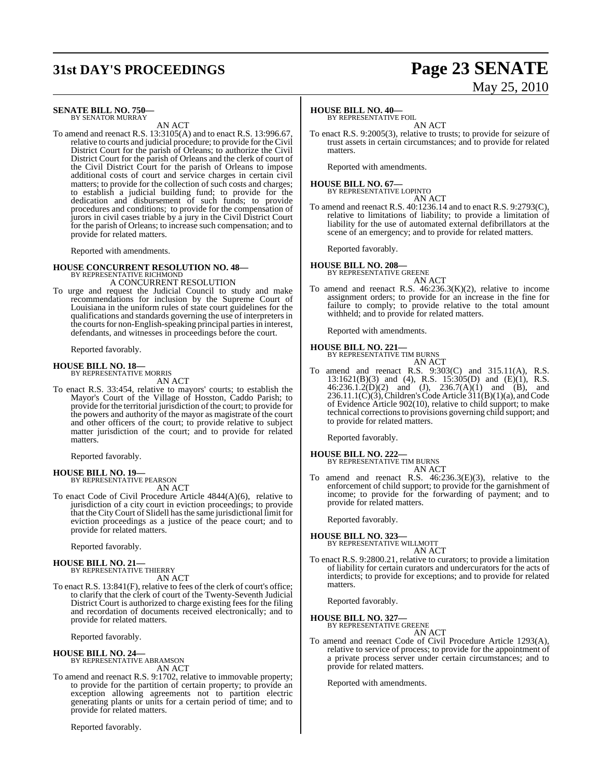# **31st DAY'S PROCEEDINGS Page 23 SENATE**

#### **SENATE BILL NO. 750—** BY SENATOR MURRAY

AN ACT

To amend and reenact R.S. 13:3105(A) and to enact R.S. 13:996.67, relative to courts and judicial procedure; to provide for the Civil District Court for the parish of Orleans; to authorize the Civil District Court for the parish of Orleans and the clerk of court of the Civil District Court for the parish of Orleans to impose additional costs of court and service charges in certain civil matters; to provide for the collection of such costs and charges; to establish a judicial building fund; to provide for the dedication and disbursement of such funds; to provide procedures and conditions; to provide for the compensation of jurors in civil cases triable by a jury in the Civil District Court for the parish of Orleans; to increase such compensation; and to provide for related matters.

Reported with amendments.

# **HOUSE CONCURRENT RESOLUTION NO. 48—** BY REPRESENTATIVE RICHMOND

A CONCURRENT RESOLUTION

To urge and request the Judicial Council to study and make recommendations for inclusion by the Supreme Court of Louisiana in the uniform rules of state court guidelines for the qualifications and standards governing the use of interpreters in the courts for non-English-speaking principal parties in interest, defendants, and witnesses in proceedings before the court.

Reported favorably.

# **HOUSE BILL NO. 18—** BY REPRESENTATIVE MORRIS

AN ACT

To enact R.S. 33:454, relative to mayors' courts; to establish the Mayor's Court of the Village of Hosston, Caddo Parish; to provide for the territorial jurisdiction of the court; to provide for the powers and authority of the mayor as magistrate of the court and other officers of the court; to provide relative to subject matter jurisdiction of the court; and to provide for related matters.

Reported favorably.

# **HOUSE BILL NO. 19—** BY REPRESENTATIVE PEARSON

AN ACT

To enact Code of Civil Procedure Article 4844(A)(6), relative to jurisdiction of a city court in eviction proceedings; to provide that the CityCourt of Slidell hasthe same jurisdictional limit for eviction proceedings as a justice of the peace court; and to provide for related matters.

Reported favorably.

# **HOUSE BILL NO. 21—** BY REPRESENTATIVE THIERRY

AN ACT

To enact R.S. 13:841(F), relative to fees of the clerk of court's office; to clarify that the clerk of court of the Twenty-Seventh Judicial District Court is authorized to charge existing fees for the filing and recordation of documents received electronically; and to provide for related matters.

Reported favorably.

#### **HOUSE BILL NO. 24—**

BY REPRESENTATIVE ABRAMSON AN ACT

To amend and reenact R.S. 9:1702, relative to immovable property; to provide for the partition of certain property; to provide an exception allowing agreements not to partition electric generating plants or units for a certain period of time; and to provide for related matters.

Reported favorably.

#### **HOUSE BILL NO. 40—**

BY REPRESENTATIVE FOIL

AN ACT To enact R.S. 9:2005(3), relative to trusts; to provide for seizure of trust assets in certain circumstances; and to provide for related matters.

Reported with amendments.

#### **HOUSE BILL NO. 67—** BY REPRESENTATIVE LOPINTO

AN ACT

To amend and reenact R.S. 40:1236.14 and to enact R.S. 9:2793(C), relative to limitations of liability; to provide a limitation of liability for the use of automated external defibrillators at the scene of an emergency; and to provide for related matters.

Reported favorably.

**HOUSE BILL NO. 208—** BY REPRESENTATIVE GREENE AN ACT

- 
- To amend and reenact R.S.  $46:236.3(K)(2)$ , relative to income assignment orders; to provide for an increase in the fine for failure to comply; to provide relative to the total amount withheld; and to provide for related matters.

Reported with amendments.

**HOUSE BILL NO. 221—**

BY REPRESENTATIVE TIM BURNS AN ACT

To amend and reenact R.S. 9:303(C) and 315.11(A), R.S. 13:1621(B)(3) and (4), R.S. 15:305(D) and (E)(1), R.S.  $46:236.1.2(D)(2)$  and  $(J), 236.7(A)(1)$  and  $(B),$  and 236.11.1(C)(3), Children's Code Article  $311(B)(1)(a)$ , and Code of Evidence Article 902(10), relative to child support; to make technical correctionsto provisions governing child support; and to provide for related matters.

Reported favorably.

- **HOUSE BILL NO. 222—** BY REPRESENTATIVE TIM BURNS
	- AN ACT
- To amend and reenact R.S. 46:236.3(E)(3), relative to the enforcement of child support; to provide for the garnishment of income; to provide for the forwarding of payment; and to provide for related matters.

Reported favorably.

**HOUSE BILL NO. 323—** BY REPRESENTATIVE WILLMOTT

AN ACT

To enact R.S. 9:2800.21, relative to curators; to provide a limitation of liability for certain curators and undercurators for the acts of interdicts; to provide for exceptions; and to provide for related matters.

Reported favorably.

**HOUSE BILL NO. 327—** BY REPRESENTATIVE GREENE

AN ACT

To amend and reenact Code of Civil Procedure Article 1293(A), relative to service of process; to provide for the appointment of a private process server under certain circumstances; and to provide for related matters.

Reported with amendments.

# May 25, 2010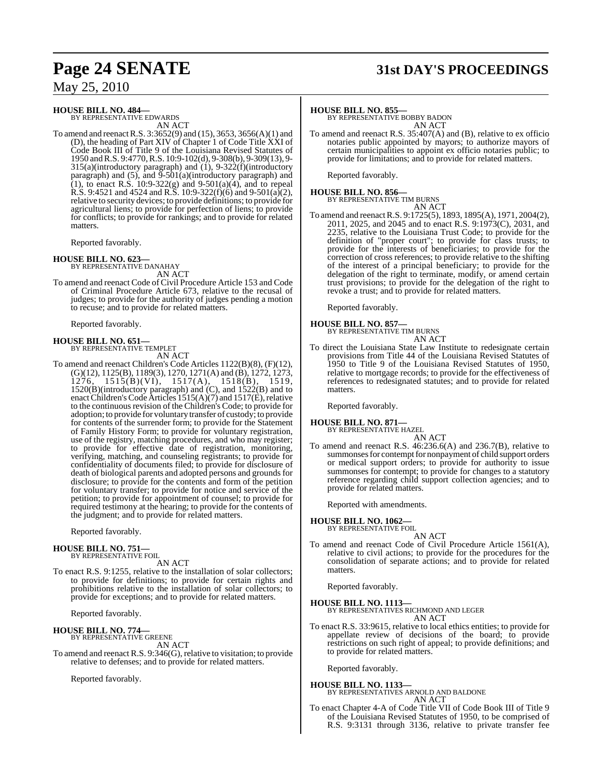### **HOUSE BILL NO. 484—**

BY REPRESENTATIVE EDWARDS AN ACT

To amend and reenactR.S. 3:3652(9) and (15), 3653, 3656(A)(1) and (D), the heading of Part XIV of Chapter 1 of Code Title XXI of Code Book III of Title 9 of the Louisiana Revised Statutes of 1950 andR.S. 9:4770, R.S. 10:9-102(d), 9-308(b), 9-309(13), 9- 315(a)(introductory paragraph) and (1), 9-322(f)(introductory paragraph) and  $(5)$ , and  $\overline{9}$ - $\overline{501(a)}$ (introductory paragraph) and (1), to enact R.S.  $10:9-322(g)$  and  $9-501(a)(4)$ , and to repeal R.S. 9:4521 and 4524 and R.S. 10:9-322(f)(6) and 9-501(a)(2), relative to security devices; to provide definitions; to provide for agricultural liens; to provide for perfection of liens; to provide for conflicts; to provide for rankings; and to provide for related matters.

Reported favorably.

**HOUSE BILL NO. 623—** BY REPRESENTATIVE DANAHAY AN ACT

To amend and reenact Code of Civil Procedure Article 153 and Code of Criminal Procedure Article 673, relative to the recusal of judges; to provide for the authority of judges pending a motion to recuse; and to provide for related matters.

Reported favorably.

#### **HOUSE BILL NO. 651—**

BY REPRESENTATIVE TEMPLET AN ACT

To amend and reenact Children's Code Articles 1122(B)(8), (F)(12), (G)(12), 1125(B), 1189(3), 1270, 1271(A) and (B),  $\frac{1}{272}$ , 1273,  $\frac{1276}{1515(B)(VI)}$ , 1517(A), 1518(B), 1519, 1520(B)(introductory paragraph) and (C), and 1522(B) and to enact Children's Code Articles 1515(A)(7) and 1517(E), relative to the continuous revision of the Children's Code; to provide for adoption; to provide for voluntary transfer of custody; to provide for contents of the surrender form; to provide for the Statement of Family History Form; to provide for voluntary registration, use of the registry, matching procedures, and who may register; to provide for effective date of registration, monitoring, verifying, matching, and counseling registrants; to provide for confidentiality of documents filed; to provide for disclosure of death of biological parents and adopted persons and grounds for disclosure; to provide for the contents and form of the petition for voluntary transfer; to provide for notice and service of the petition; to provide for appointment of counsel; to provide for required testimony at the hearing; to provide for the contents of the judgment; and to provide for related matters.

Reported favorably.

# **HOUSE BILL NO. 751—** BY REPRESENTATIVE FOIL

AN ACT

To enact R.S. 9:1255, relative to the installation of solar collectors; to provide for definitions; to provide for certain rights and prohibitions relative to the installation of solar collectors; to provide for exceptions; and to provide for related matters.

Reported favorably.

#### **HOUSE BILL NO. 774—** BY REPRESENTATIVE GREENE

AN ACT To amend and reenact R.S. 9:346(G), relative to visitation; to provide relative to defenses; and to provide for related matters.

Reported favorably.

# **Page 24 SENATE 31st DAY'S PROCEEDINGS**

#### **HOUSE BILL NO. 855—**

BY REPRESENTATIVE BOBBY BADON AN ACT

To amend and reenact R.S. 35:407(A) and (B), relative to ex officio notaries public appointed by mayors; to authorize mayors of certain municipalities to appoint ex officio notaries public; to provide for limitations; and to provide for related matters.

Reported favorably.

## **HOUSE BILL NO. 856—** BY REPRESENTATIVE TIM BURNS AN ACT

To amend and reenactR.S. 9:1725(5), 1893, 1895(A), 1971, 2004(2), 2011, 2025, and 2045 and to enact R.S. 9:1973(C), 2031, and 2235, relative to the Louisiana Trust Code; to provide for the definition of "proper court"; to provide for class trusts; to provide for the interests of beneficiaries; to provide for the correction of cross references; to provide relative to the shifting of the interest of a principal beneficiary; to provide for the delegation of the right to terminate, modify, or amend certain trust provisions; to provide for the delegation of the right to revoke a trust; and to provide for related matters.

Reported favorably.

#### **HOUSE BILL NO. 857—**

BY REPRESENTATIVE TIM BURNS AN ACT

To direct the Louisiana State Law Institute to redesignate certain provisions from Title 44 of the Louisiana Revised Statutes of 1950 to Title 9 of the Louisiana Revised Statutes of 1950, relative to mortgage records; to provide for the effectiveness of references to redesignated statutes; and to provide for related matters.

Reported favorably.

#### **HOUSE BILL NO. 871—**

BY REPRESENTATIVE HAZEL AN ACT

To amend and reenact R.S. 46:236.6(A) and 236.7(B), relative to summonses for contempt for nonpayment of child support orders or medical support orders; to provide for authority to issue summonses for contempt; to provide for changes to a statutory reference regarding child support collection agencies; and to provide for related matters.

Reported with amendments.

**HOUSE BILL NO. 1062—**

BY REPRESENTATIVE FOIL AN ACT

To amend and reenact Code of Civil Procedure Article 1561(A), relative to civil actions; to provide for the procedures for the consolidation of separate actions; and to provide for related matters.

Reported favorably.

#### **HOUSE BILL NO. 1113—** BY REPRESENTATIVES RICHMOND AND LEGER

AN ACT

To enact R.S. 33:9615, relative to local ethics entities; to provide for appellate review of decisions of the board; to provide restrictions on such right of appeal; to provide definitions; and to provide for related matters.

Reported favorably.

#### **HOUSE BILL NO. 1133—**

#### BY REPRESENTATIVES ARNOLD AND BALDONE AN ACT

To enact Chapter 4-A of Code Title VII of Code Book III of Title 9 of the Louisiana Revised Statutes of 1950, to be comprised of R.S. 9:3131 through 3136, relative to private transfer fee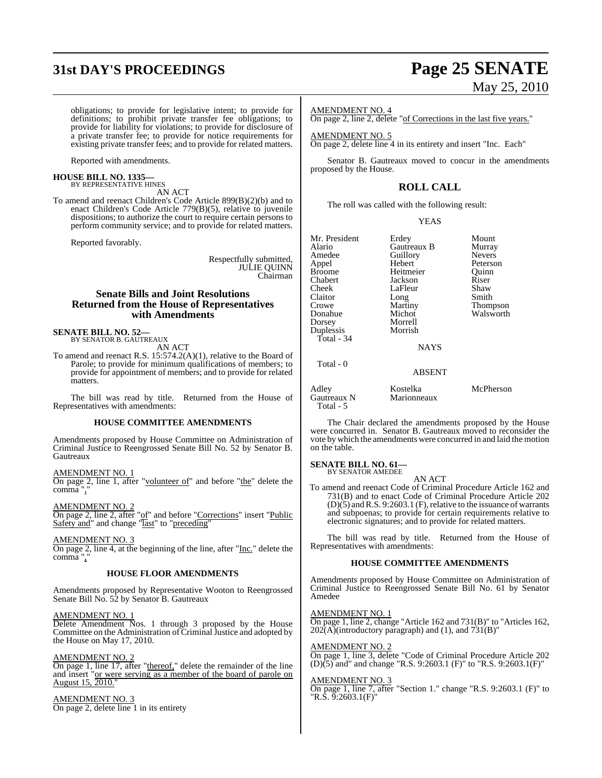# **31st DAY'S PROCEEDINGS Page 25 SENATE**

# May 25, 2010

obligations; to provide for legislative intent; to provide for definitions; to prohibit private transfer fee obligations; to provide for liability for violations; to provide for disclosure of a private transfer fee; to provide for notice requirements for existing private transfer fees; and to provide for related matters.

Reported with amendments.

# **HOUSE BILL NO. 1335—** BY REPRESENTATIVE HINES

AN ACT

To amend and reenact Children's Code Article 899(B)(2)(b) and to enact Children's Code Article 779(B)(5), relative to juvenile dispositions; to authorize the court to require certain persons to perform community service; and to provide for related matters.

Reported favorably.

Respectfully submitted, JULIE QUINN Chairman

### **Senate Bills and Joint Resolutions Returned from the House of Representatives with Amendments**

# **SENATE BILL NO. 52—** BY SENATOR B. GAUTREAUX

AN ACT

To amend and reenact R.S. 15:574.2(A)(1), relative to the Board of Parole; to provide for minimum qualifications of members; to provide for appointment of members; and to provide for related matters.

The bill was read by title. Returned from the House of Representatives with amendments:

#### **HOUSE COMMITTEE AMENDMENTS**

Amendments proposed by House Committee on Administration of Criminal Justice to Reengrossed Senate Bill No. 52 by Senator B. **Gautreaux** 

#### AMENDMENT NO. 1

On page 2, line 1, after "volunteer of" and before "the" delete the comma",

#### AMENDMENT NO. 2

On page 2, line 2, after "of" and before "Corrections" insert "Public Safety and" and change "last" to "preceding"

#### AMENDMENT NO. 3

On page 2, line 4, at the beginning of the line, after " $\underline{\text{Inc}}$ ." delete the comma".

#### **HOUSE FLOOR AMENDMENTS**

Amendments proposed by Representative Wooton to Reengrossed Senate Bill No. 52 by Senator B. Gautreaux

#### AMENDMENT NO. 1

Delete Amendment Nos. 1 through 3 proposed by the House Committee on the Administration of Criminal Justice and adopted by the House on May 17, 2010.

#### AMENDMENT NO. 2

On page 1, line 17, after "thereof," delete the remainder of the line and insert "or were serving as a member of the board of parole on August 15, 2010."

#### AMENDMENT NO. 3

On page 2, delete line 1 in its entirety

#### AMENDMENT NO. 4

On page 2, line 2, delete "of Corrections in the last five years."

AMENDMENT NO. 5 On page 2, delete line 4 in its entirety and insert "Inc. Each"

Senator B. Gautreaux moved to concur in the amendments proposed by the House.

## **ROLL CALL**

The roll was called with the following result:

YEAS

| Mr. President | Erdey               | Mount               |
|---------------|---------------------|---------------------|
| Alario        | Gautreaux B         | Murray              |
| Amedee        | Guillory            | <b>Nevers</b>       |
| Appel         | Hebert <sup>1</sup> | Peterson            |
| Broome        | Heitmeier           | Ouinn               |
| Chabert       | Jackson             | Riser               |
| Cheek         | LaFleur             | Shaw                |
| Claitor       | Long                | Smith               |
| Crowe         | Martiny             | <b>Thompson</b>     |
| Donahue       | Michot              | Walsworth           |
| Dorsey        | Morrell             |                     |
| Duplessis     | Morrish             |                     |
| Total - 34    |                     |                     |
|               | <b>NAYS</b>         |                     |
| Total - 0     |                     |                     |
|               | <b>ABSENT</b>       |                     |
| $A = 11 - 1$  | $V = -11$           | $M = D1$ , $\ldots$ |

Adley Kostelka McPherson Total - 5

The Chair declared the amendments proposed by the House were concurred in. Senator B. Gautreaux moved to reconsider the vote by which the amendments were concurred in and laid the motion on the table.

Marionneaux

#### **SENATE BILL NO. 61—** BY SENATOR AMEDEE

AN ACT To amend and reenact Code of Criminal Procedure Article 162 and 731(B) and to enact Code of Criminal Procedure Article 202  $(D)(5)$  and R.S. 9:2603.1 (F), relative to the issuance of warrants and subpoenas; to provide for certain requirements relative to electronic signatures; and to provide for related matters.

The bill was read by title. Returned from the House of Representatives with amendments:

#### **HOUSE COMMITTEE AMENDMENTS**

Amendments proposed by House Committee on Administration of Criminal Justice to Reengrossed Senate Bill No. 61 by Senator Amedee

<u>AMENDMENT NO. 1</u>

On page 1, line 2, change "Article 162 and 731(B)" to "Articles 162,  $202(A)$ (introductory paragraph) and (1), and  $731(B)$ "

#### AMENDMENT NO. 2

On page 1, line 3, delete "Code of Criminal Procedure Article 202 (D)(5) and" and change "R.S. 9:2603.1 (F)" to "R.S. 9:2603.1(F)"

#### AMENDMENT NO. 3

On page 1, line 7, after "Section 1." change "R.S. 9:2603.1 (F)" to "R.S. 9:2603.1(F)"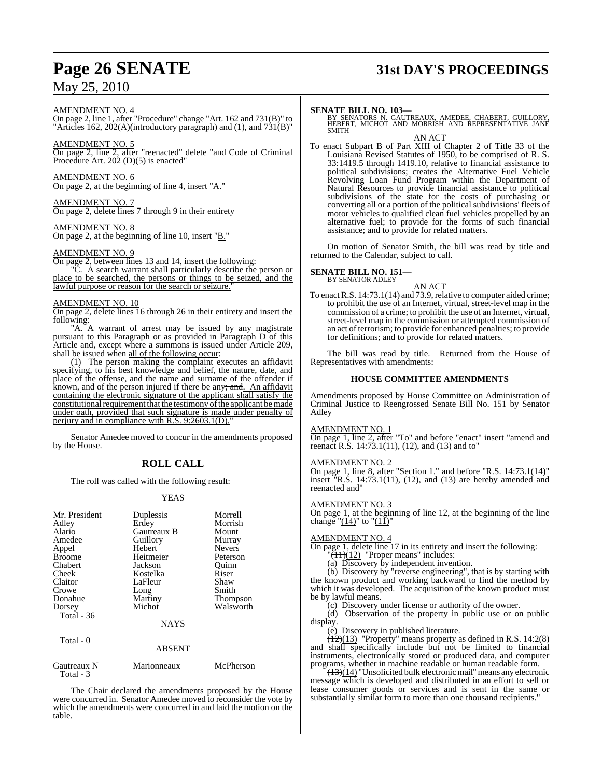#### AMENDMENT NO. 4

On page 2, line 1, after "Procedure" change "Art. 162 and 731(B)" to "Articles 162, 202(A)(introductory paragraph) and (1), and  $731(B)$ "

AMENDMENT NO. 5 On page 2, line 2, after "reenacted" delete "and Code of Criminal

Procedure Art. 202 (D)(5) is enacted"

AMENDMENT NO. 6 On page 2, at the beginning of line 4, insert "A."

AMENDMENT NO. 7 On page 2, delete lines 7 through 9 in their entirety

AMENDMENT NO. 8 On page 2, at the beginning of line 10, insert "B."

### AMENDMENT NO. 9

On page 2, between lines 13 and 14, insert the following: "C. A search warrant shall particularly describe the person or place to be searched, the persons or things to be seized, and the lawful purpose or reason for the search or seizure.

#### AMENDMENT NO. 10

On page 2, delete lines 16 through 26 in their entirety and insert the following:

"A. A warrant of arrest may be issued by any magistrate pursuant to this Paragraph or as provided in Paragraph D of this Article and, except where a summons is issued under Article 209, shall be issued when all of the following occur:

(1) The person making the complaint executes an affidavit specifying, to his best knowledge and belief, the nature, date, and place of the offense, and the name and surname of the offender if known, and of the person injured if there be any; and. An affidavit containing the electronic signature of the applicant shall satisfy the constitutional requirement that the testimony of the applicant be made under oath, provided that such signature is made under penalty of perjury and in compliance with  $R.S. 9:2603.1(D)$ .

Senator Amedee moved to concur in the amendments proposed by the House.

## **ROLL CALL**

The roll was called with the following result:

#### YEAS

| Mr. President<br>Adley<br>Alario<br>Amedee<br>Appel<br><b>Broome</b><br>Chabert<br>Cheek<br>Claitor<br>Crowe<br>Donahue<br>Dorsey | Duplessis<br>Erdey<br>Gautreaux B<br>Guillory<br>Hebert<br>Heitmeier<br>Jackson<br>Kostelka<br>LaFleur<br>Long<br>Martiny<br>Michot | Morrell<br>Morrish<br>Mount<br>Murray<br><b>Nevers</b><br>Peterson<br>Quinn<br>Riser<br>Shaw<br>Smith<br>Thompson<br>Walsworth |
|-----------------------------------------------------------------------------------------------------------------------------------|-------------------------------------------------------------------------------------------------------------------------------------|--------------------------------------------------------------------------------------------------------------------------------|
| Total $-36$                                                                                                                       | <b>NAYS</b>                                                                                                                         |                                                                                                                                |
| Total - 0                                                                                                                         | <b>ABSENT</b>                                                                                                                       |                                                                                                                                |
| Gautreaux N<br>Total - 3                                                                                                          | Marionneaux                                                                                                                         | McPherson                                                                                                                      |

The Chair declared the amendments proposed by the House were concurred in. Senator Amedee moved to reconsider the vote by which the amendments were concurred in and laid the motion on the table.

# **Page 26 SENATE 31st DAY'S PROCEEDINGS**

**SENATE BILL NO. 103—** BY SENATORS N. GAUTREAUX, AMEDEE, CHABERT, GUILLORY, HEBERT, MICHOT AND MORRISH AND REPRESENTATIVE JANE SMITH **AN ACT** 

To enact Subpart B of Part XIII of Chapter 2 of Title 33 of the Louisiana Revised Statutes of 1950, to be comprised of R. S. 33:1419.5 through 1419.10, relative to financial assistance to political subdivisions; creates the Alternative Fuel Vehicle Revolving Loan Fund Program within the Department of Natural Resources to provide financial assistance to political subdivisions of the state for the costs of purchasing or converting all or a portion of the political subdivisions' fleets of motor vehicles to qualified clean fuel vehicles propelled by an alternative fuel; to provide for the forms of such financial assistance; and to provide for related matters.

On motion of Senator Smith, the bill was read by title and returned to the Calendar, subject to call.

#### **SENATE BILL NO. 151—** BY SENATOR ADLEY

AN ACT

To enact R.S. 14:73.1(14) and 73.9, relative to computer aided crime; to prohibit the use of an Internet, virtual, street-level map in the commission of a crime; to prohibit the use of an Internet, virtual, street-level map in the commission or attempted commission of an act of terrorism; to provide for enhanced penalties; to provide for definitions; and to provide for related matters.

The bill was read by title. Returned from the House of Representatives with amendments:

#### **HOUSE COMMITTEE AMENDMENTS**

Amendments proposed by House Committee on Administration of Criminal Justice to Reengrossed Senate Bill No. 151 by Senator Adley

#### **MENDMENT NO. 1**

On page 1, line 2, after "To" and before "enact" insert "amend and reenact R.S. 14:73.1(11), (12), and (13) and to"

#### AMENDMENT NO. 2

On page 1, line 8, after "Section 1." and before "R.S. 14:73.1(14)" insert "R.S. 14:73.1(11), (12), and (13) are hereby amended and reenacted and"

#### AMENDMENT NO. 3

On page 1, at the beginning of line 12, at the beginning of the line change " $(14)$ " to " $(11)$ "

#### AMENDMENT NO. 4

On page 1, delete line 17 in its entirety and insert the following:

 $\sqrt{11}(12)$  "Proper means" includes:

(a) Discovery by independent invention.

(b) Discovery by "reverse engineering", that is by starting with the known product and working backward to find the method by which it was developed. The acquisition of the known product must be by lawful means.

(c) Discovery under license or authority of the owner.

(d) Observation of the property in public use or on public display.

(e) Discovery in published literature.

 $\frac{12}{12}(13)$  "Property" means property as defined in R.S. 14:2(8) and shall specifically include but not be limited to financial instruments, electronically stored or produced data, and computer programs, whether in machine readable or human readable form.

 $(13)(14)$  "Unsolicited bulk electronic mail" means any electronic message which is developed and distributed in an effort to sell or lease consumer goods or services and is sent in the same or substantially similar form to more than one thousand recipients."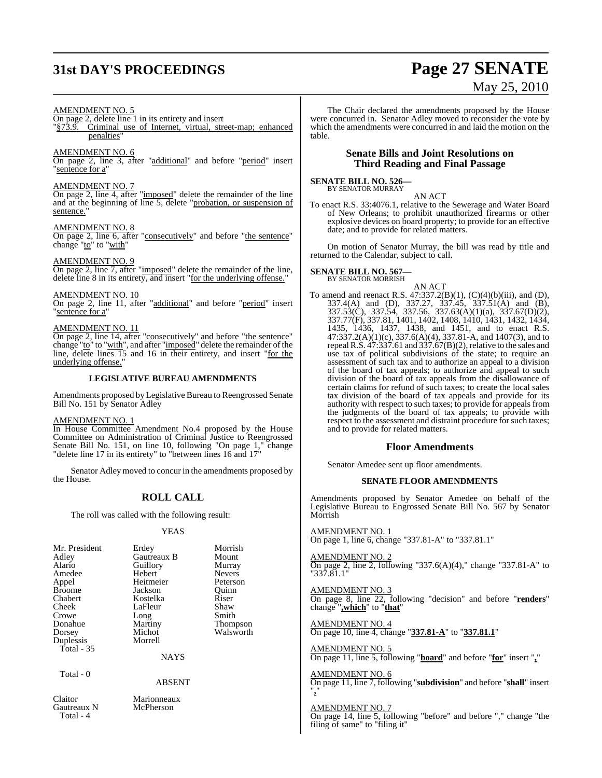# **31st DAY'S PROCEEDINGS Page 27 SENATE**

# May 25, 2010

#### AMENDMENT NO. 5

### On page 2, delete line 1 in its entirety and insert

§73.9. Criminal use of Internet, virtual, street-map; enhanced penalties"

#### AMENDMENT NO. 6

On page 2, line 3, after "additional" and before "period" insert "sentence for a"

#### AMENDMENT NO. 7

On page 2, line 4, after "imposed" delete the remainder of the line and at the beginning of line 5, delete "probation, or suspension of sentence.

#### AMENDMENT NO. 8

On page 2, line 6, after "consecutively" and before "the sentence" change "to" to "with"

#### AMENDMENT NO. 9

On page 2, line 7, after "imposed" delete the remainder of the line, delete line 8 in its entirety, and insert "for the underlying offense."

#### AMENDMENT NO. 10

On page 2, line 11, after "additional" and before "period" insert "sentence for a"

#### AMENDMENT NO. 11

On page 2, line 14, after "consecutively" and before "the sentence" change "to" to "with", and after "imposed" delete the remainder of the line, delete lines 15 and 16 in their entirety, and insert "for the underlying offense."

#### **LEGISLATIVE BUREAU AMENDMENTS**

Amendments proposed by Legislative Bureau to Reengrossed Senate Bill No. 151 by Senator Adley

#### AMENDMENT NO. 1

In House Committee Amendment No.4 proposed by the House Committee on Administration of Criminal Justice to Reengrossed Senate Bill No. 151, on line 10, following "On page 1," change "delete line 17 in its entirety" to "between lines 16 and 17"

Senator Adley moved to concur in the amendments proposed by the House.

#### **ROLL CALL**

The roll was called with the following result:

#### YEAS

| Mr. President | Erdey       | Morrish       |
|---------------|-------------|---------------|
| Adley         | Gautreaux B | Mount         |
| Alario        | Guillory    | Murray        |
| Amedee        | Hebert      | <b>Nevers</b> |
| Appel         | Heitmeier   | Peterson      |
| <b>Broome</b> | Jackson     | Ouinn         |
| Chabert       | Kostelka    | Riser         |
| Cheek         | LaFleur     | Shaw          |
| Crowe         | Long        | Smith         |
| Donahue       | Martiny     | Thompson      |
| Dorsey        | Michot      | Walsworth     |
| Duplessis     | Morrell     |               |
| Total - 35    |             |               |
|               | <b>NAYS</b> |               |
|               |             |               |

Total - 0

#### ABSENT

Claitor Marionneaux<br>
Gautreaux N McPherson Gautreaux N Total - 4

The Chair declared the amendments proposed by the House were concurred in. Senator Adley moved to reconsider the vote by which the amendments were concurred in and laid the motion on the table.

#### **Senate Bills and Joint Resolutions on Third Reading and Final Passage**

#### **SENATE BILL NO. 526—** BY SENATOR MURRAY

AN ACT

To enact R.S. 33:4076.1, relative to the Sewerage and Water Board of New Orleans; to prohibit unauthorized firearms or other explosive devices on board property; to provide for an effective date; and to provide for related matters.

On motion of Senator Murray, the bill was read by title and returned to the Calendar, subject to call.

#### **SENATE BILL NO. 567** BY SENATOR MORRISH

AN ACT

To amend and reenact R.S.  $47:337.2(B)(1)$ ,  $(C)(4)(b)(iii)$ , and  $(D)$ , 337.4(A) and (D), 337.27, 337.45, 337.51(A) and (B), 337.53(C), 337.54, 337.56, 337.63(A)(1)(a), 337.67(D)(2), 337.77(F), 337.81, 1401, 1402, 1408, 1410, 1431, 1432, 1434, 1435, 1436, 1437, 1438, and 1451, and to enact R.S. 47:337.2(A)(1)(c), 337.6(A)(4), 337.81-A, and 1407(3), and to repeal R.S.  $47:337.61$  and  $337.67(B)(2)$ , relative to the sales and use tax of political subdivisions of the state; to require an assessment of such tax and to authorize an appeal to a division of the board of tax appeals; to authorize and appeal to such division of the board of tax appeals from the disallowance of certain claims for refund of such taxes; to create the local sales tax division of the board of tax appeals and provide for its authority with respect to such taxes; to provide for appeals from the judgments of the board of tax appeals; to provide with respect to the assessment and distraint procedure for such taxes; and to provide for related matters.

#### **Floor Amendments**

Senator Amedee sent up floor amendments.

#### **SENATE FLOOR AMENDMENTS**

Amendments proposed by Senator Amedee on behalf of the Legislative Bureau to Engrossed Senate Bill No. 567 by Senator Morrish

#### AMENDMENT NO. 1

On page 1, line 6, change "337.81-A" to "337.81.1"

#### AMENDMENT NO. 2

On page 2, line 2, following "337.6(A)(4)," change "337.81-A" to "337.81.1"

#### AMENDMENT NO. 3

On page 8, line 22, following "decision" and before "**renders**" change "**,which**" to "**that**"

#### AMENDMENT NO. 4 On page 10, line 4, change "**337.81-A**" to "**337.81.1**"

AMENDMENT NO. 5 On page 11, line 5, following "**board**" and before "**for**" insert "**,**"

#### AMENDMENT NO. 6

On page 11, line 7, following "**subdivision**" and before "**shall**" insert "**,**"

#### AMENDMENT NO. 7

On page 14, line 5, following "before" and before "," change "the filing of same" to "filing it"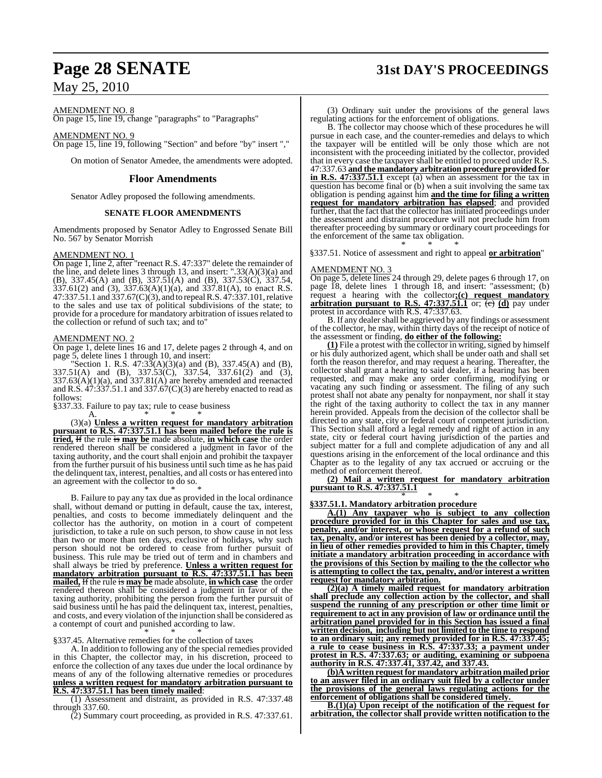# **Page 28 SENATE 31st DAY'S PROCEEDINGS**

AMENDMENT NO. 8

On page 15, line 19, change "paragraphs" to "Paragraphs"

#### AMENDMENT NO. 9

On page 15, line 19, following "Section" and before "by" insert ","

On motion of Senator Amedee, the amendments were adopted.

#### **Floor Amendments**

Senator Adley proposed the following amendments.

#### **SENATE FLOOR AMENDMENTS**

Amendments proposed by Senator Adley to Engrossed Senate Bill No. 567 by Senator Morrish

#### AMENDMENT NO. 1

On page 1, line 2, after "reenact R.S. 47:337" delete the remainder of the line, and delete lines 3 through 13, and insert: ".33(A)(3)(a) and (B), 337.45(A) and (B), 337.51(A) and (B), 337.53(C), 337.54, 337.61(2) and (3), 337.63(A)(1)(a), and 337.81(A), to enact R.S. 47:337.51.1 and 337.67(C)(3), and to repeal R.S. 47:337.101, relative to the sales and use tax of political subdivisions of the state; to provide for a procedure for mandatory arbitration of issues related to the collection or refund of such tax; and to"

#### AMENDMENT NO. 2

On page 1, delete lines 16 and 17, delete pages 2 through 4, and on page 5, delete lines 1 through 10, and insert:

"Section 1. R.S.  $47:33(A)(3)(a)$  and (B),  $337.45(A)$  and (B), 337.51(A) and (B), 337.53(C), 337.54, 337.61(2) and (3),  $337.63(A)(1)(a)$ , and  $337.81(A)$  are hereby amended and reenacted and R.S.  $47:337.51.1$  and  $337.67(C)(3)$  are hereby enacted to read as follows:

§337.33. Failure to pay tax; rule to cease business

A. \* \* \* (3)(a) **Unless a written request for mandatory arbitration pursuant to R.S. 47:337.51.1 has been mailed before the rule is tried,** If the rule is **may be** made absolute, **in which case** the order rendered thereon shall be considered a judgment in favor of the taxing authority, and the court shall enjoin and prohibit the taxpayer from the further pursuit of his business until such time as he has paid the delinquent tax, interest, penalties, and all costs or has entered into an agreement with the collector to do so.

\* \* \* B. Failure to pay any tax due as provided in the local ordinance shall, without demand or putting in default, cause the tax, interest, penalties, and costs to become immediately delinquent and the collector has the authority, on motion in a court of competent jurisdiction, to take a rule on such person, to show cause in not less than two or more than ten days, exclusive of holidays, why such person should not be ordered to cease from further pursuit of business. This rule may be tried out of term and in chambers and shall always be tried by preference. **Unless a written request for mandatory arbitration pursuant to R.S. 47:337.51.1 has been mailed,** If the rule is **may be** made absolute, **in which case** the order rendered thereon shall be considered a judgment in favor of the taxing authority, prohibiting the person from the further pursuit of said business until he has paid the delinquent tax, interest, penalties, and costs, and every violation of the injunction shall be considered as a contempt of court and punished according to law.

\* \* \* §337.45. Alternative remedies for the collection of taxes

A. In addition to following any of the special remedies provided in this Chapter, the collector may, in his discretion, proceed to enforce the collection of any taxes due under the local ordinance by means of any of the following alternative remedies or procedures **unless a written request for mandatory arbitration pursuant to R.S. 47:337.51.1 has been timely mailed**:

(1) Assessment and distraint, as provided in R.S. 47:337.48 through 337.60.

(2) Summary court proceeding, as provided in R.S. 47:337.61.

(3) Ordinary suit under the provisions of the general laws regulating actions for the enforcement of obligations.

B. The collector may choose which of these procedures he will pursue in each case, and the counter-remedies and delays to which the taxpayer will be entitled will be only those which are not inconsistent with the proceeding initiated by the collector, provided that in every case the taxpayer shall be entitled to proceed under R.S. 47:337.63 **and the mandatory arbitration procedure provided for in R.S. 47:337.51.1** except (a) when an assessment for the tax in question has become final or (b) when a suit involving the same tax obligation is pending against him **and the time for filing a written request for mandatory arbitration has elapsed**; and provided further, that the fact that the collector has initiated proceedings under the assessment and distraint procedure will not preclude him from thereafter proceeding by summary or ordinary court proceedings for the enforcement of the same tax obligation. \* \* \*

§337.51. Notice of assessment and right to appeal **or arbitration**"

#### AMENDMENT NO. 3

On page 5, delete lines 24 through 29, delete pages 6 through 17, on page 18, delete lines 1 through 18, and insert: "assessment; (b) request a hearing with the collector**;(c) request mandatory arbitration pursuant to R.S. 47:337.51.1** or; (c) **(d)** pay under protest in accordance with R.S. 47:337.63.

B. If any dealer shall be aggrieved by any findings or assessment of the collector, he may, within thirty days of the receipt of notice of the assessment or finding, **do either of the following:**

**(1)** File a protest with the collector in writing, signed by himself or his duly authorized agent, which shall be under oath and shall set forth the reason therefor, and may request a hearing. Thereafter, the collector shall grant a hearing to said dealer, if a hearing has been requested, and may make any order confirming, modifying or vacating any such finding or assessment. The filing of any such protest shall not abate any penalty for nonpayment, nor shall it stay the right of the taxing authority to collect the tax in any manner herein provided. Appeals from the decision of the collector shall be directed to any state, city or federal court of competent jurisdiction. This Section shall afford a legal remedy and right of action in any state, city or federal court having jurisdiction of the parties and subject matter for a full and complete adjudication of any and all questions arising in the enforcement of the local ordinance and this Chapter as to the legality of any tax accrued or accruing or the method of enforcement thereof.

#### **(2) Mail a written request for mandatory arbitration pursuant to R.S. 47:337.51.1**

#### \* \* \* **§337.51.1. Mandatory arbitration procedure**

**A.(1) Any taxpayer who is subject to any collection procedure provided for in this Chapter for sales and use tax, penalty, and/or interest, or whose request for a refund of such tax, penalty, and/or interest has been denied by a collector, may, in lieu of other remedies provided to him in this Chapter, timely initiate a mandatory arbitration proceeding in accordance with the provisions of this Section by mailing to the the collector who is attempting to collect the tax, penalty, and/or interest a written request for mandatory arbitration.**

**(2)(a) A timely mailed request for mandatory arbitration shall preclude any collection action by the collector, and shall suspend the running of any prescription or other time limit or requirement to act in any provision of law or ordinance until the arbitration panel provided for in this Section has issued a final written decision, including but not limited to the time to respond to an ordinary suit; any remedy provided for in R.S. 47:337.45; a rule to cease business in R.S. 47:337.33; a payment under protest in R.S. 47:337.63; or auditing, examining or subpoena authority in R.S. 47:337.41, 337.42, and 337.43.**

**(b)A written request for mandatory arbitration mailed prior to an answer filed in an ordinary suit filed by a collector under the provisions of the general laws regulating actions for the enforcement of obligations shall be considered timely.** 

**B.(1)(a) Upon receipt of the notification of the request for arbitration, the collector shall provide written notification to the**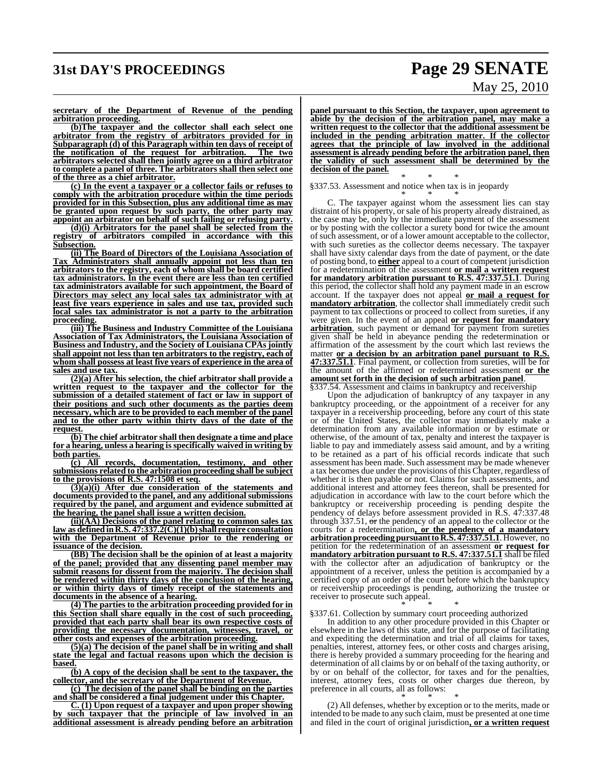# **31st DAY'S PROCEEDINGS Page 29 SENATE**

# May 25, 2010

**secretary of the Department of Revenue of the pending arbitration proceeding.**

**(b)The taxpayer and the collector shall each select one arbitrator from the registry of arbitrators provided for in Subparagraph (d) of this Paragraph within ten days of receipt of the notification of the request for arbitration. The two arbitrators selected shall then jointly agree on a third arbitrator to complete a panel of three. The arbitrators shall then select one of the three as a chief arbitrator.**

**(c) In the event a taxpayer or a collector fails or refuses to comply with the arbitration procedure within the time periods provided for in this Subsection, plus any additional time as may be granted upon request by such party, the other party may appoint an arbitrator on behalf of such failing or refusing party.**

**(d)(i) Arbitrators for the panel shall be selected from the registry of arbitrators compiled in accordance with this Subsection.**

**(ii) The Board of Directors of the Louisiana Association of Tax Administrators shall annually appoint not less than ten arbitrators to the registry, each of whom shall be board certified tax administrators. In the event there are less than ten certified tax administrators available for such appointment, the Board of Directors may select any local sales tax administrator with at least five years experience in sales and use tax, provided such local sales tax administrator is not a party to the arbitration proceeding.**

**(iii) The Business and Industry Committee of the Louisiana Association of Tax Administrators, the Louisiana Association of Business and Industry, and the Society of Louisiana CPAs jointly shall appoint not less than ten arbitrators to the registry, each of whom shall possess at least five years of experience in the area of sales and use tax.**

**(2)(a) After his selection, the chief arbitrator shall provide a written request to the taxpayer and the collector for the submission of a detailed statement of fact or law in support of their positions and such other documents as the parties deem necessary, which are to be provided to each member of the panel and to the other party within thirty days of the date of the request.**

**(b) The chief arbitrator shall then designate a time and place for a hearing, unless a hearing is specifically waived in writing by both parties.**

**(c) All records, documentation, testimony, and other submissions related to the arbitration proceeding shall be subject to the provisions of R.S. 47:1508 et seq.**

**(3)(a)(i) After due consideration of the statements and documents provided to the panel, and any additional submissions required by the panel, and argument and evidence submitted at the hearing, the panel shall issue a written decision.**

**(ii)(AA) Decisions of the panel relating to common sales tax law as defined in R.S. 47:337.2(C)(1)(b)shall require consultation with the Department of Revenue prior to the rendering or issuance of the decision.**

**(BB) The decision shall be the opinion of at least a majority of the panel; provided that any dissenting panel member may submit reasons for dissent from the majority. The decision shall be rendered within thirty days of the conclusion of the hearing, or within thirty days of timely receipt of the statements and documents in the absence of a hearing.**

**(4) The parties to the arbitration proceeding provided for in this Section shall share equally in the cost of such proceeding, provided that each party shall bear its own respective costs of providing the necessary documentation, witnesses, travel, or other costs and expenses of the arbitration proceeding.**

**(5)(a) The decision of the panel shall be in writing and shall state the legal and factual reasons upon which the decision is based.**

**(b) A copy of the decision shall be sent to the taxpayer, the collector, and the secretary of the Department of Revenue.**

**(c) The decision of the panel shall be binding on the parties and shall be considered a final judgement under this Chapter.**

**C. (1) Upon request of a taxpayer and upon proper showing by such taxpayer that the principle of law involved in an additional assessment is already pending before an arbitration** **panel pursuant to this Section, the taxpayer, upon agreement to abide by the decision of the arbitration panel, may make a written request to the collector that the additional assessment be included in the pending arbitration matter. If the collector agrees that the principle of law involved in the additional assessment is already pending before the arbitration panel, then the validity of such assessment shall be determined by the decision of the panel.**

\* \* \* §337.53. Assessment and notice when tax is in jeopardy

\* \* \* C. The taxpayer against whom the assessment lies can stay distraint of his property, or sale of his property already distrained, as the case may be, only by the immediate payment of the assessment or by posting with the collector a surety bond for twice the amount of such assessment, or of a lower amount acceptable to the collector, with such sureties as the collector deems necessary. The taxpayer shall have sixty calendar days from the date of payment, or the date of posting bond, to **either** appeal to a court of competent jurisdiction for a redetermination of the assessment **or mail a written request for mandatory arbitration pursuant to R.S. 47:337.51.1**. During this period, the collector shall hold any payment made in an escrow account. If the taxpayer does not appeal **or mail a request for mandatory arbitration**, the collector shall immediately credit such payment to tax collections or proceed to collect from sureties, if any were given. In the event of an appeal **or request for mandatory arbitration**, such payment or demand for payment from sureties given shall be held in abeyance pending the redetermination or affirmation of the assessment by the court which last reviews the matter **or a decision by an arbitration panel pursuant to R.S. 47:337.51.1**. Final payment, or collection from sureties, will be for the amount of the affirmed or redetermined assessment **or the amount set forth in the decision of such arbitration panel**. §337.54. Assessment and claims in bankruptcy and receivership

Upon the adjudication of bankruptcy of any taxpayer in any bankruptcy proceeding, or the appointment of a receiver for any taxpayer in a receivership proceeding, before any court of this state or of the United States, the collector may immediately make a determination from any available information or by estimate or otherwise, of the amount of tax, penalty and interest the taxpayer is liable to pay and immediately assess said amount, and by a writing to be retained as a part of his official records indicate that such assessment has been made. Such assessment may be made whenever a tax becomes due under the provisions of this Chapter, regardless of whether it is then payable or not. Claims for such assessments, and additional interest and attorney fees thereon, shall be presented for adjudication in accordance with law to the court before which the bankruptcy or receivership proceeding is pending despite the pendency of delays before assessment provided in R.S. 47:337.48 through  $337.51$ , or the pendency of an appeal to the collector or the courts for a redetermination**, or the pendency of a mandatory arbitration proceeding pursuant to R.S. 47:337.51.1**. However, no petition for the redetermination of an assessment **or request for mandatory arbitration pursuant to R.S. 47:337.51.1** shall be filed with the collector after an adjudication of bankruptcy or the appointment of a receiver, unless the petition is accompanied by a certified copy of an order of the court before which the bankruptcy or receivership proceedings is pending, authorizing the trustee or receiver to prosecute such appeal.

\* \* \* §337.61. Collection by summary court proceeding authorized

In addition to any other procedure provided in this Chapter or elsewhere in the laws of this state, and for the purpose of facilitating and expediting the determination and trial of all claims for taxes, penalties, interest, attorney fees, or other costs and charges arising, there is hereby provided a summary proceeding for the hearing and determination of all claims by or on behalf of the taxing authority, or by or on behalf of the collector, for taxes and for the penalties, interest, attorney fees, costs or other charges due thereon, by preference in all courts, all as follows:

\* \* \* (2) All defenses, whether by exception or to the merits, made or intended to be made to any such claim, must be presented at one time and filed in the court of original jurisdiction**, or a written request**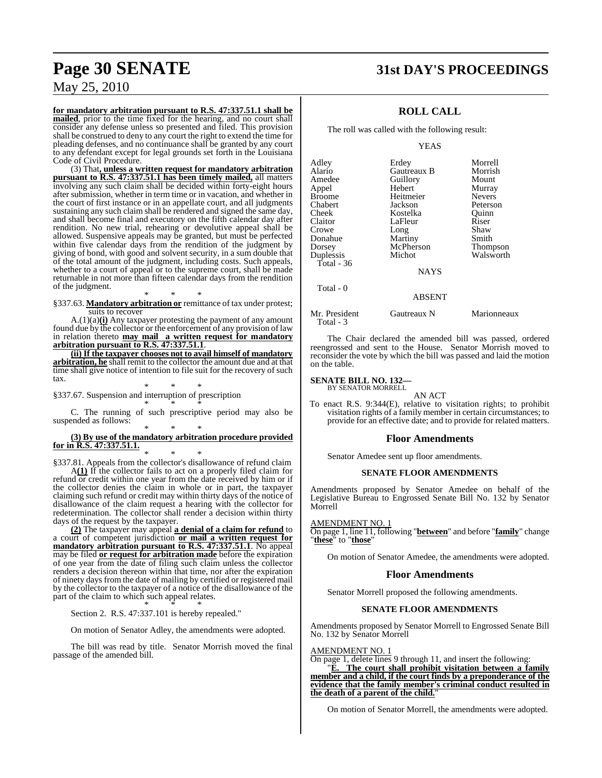# **Page 30 SENATE 31st DAY'S PROCEEDINGS**

## May 25, 2010

**for mandatory arbitration pursuant to R.S. 47:337.51.1 shall be mailed**, prior to the time fixed for the hearing, and no court shall consider any defense unless so presented and filed. This provision shall be construed to deny to any court the right to extend the time for pleading defenses, and no continuance shall be granted by any court to any defendant except for legal grounds set forth in the Louisiana Code of Civil Procedure.

(3) That**, unless a written request for mandatory arbitration pursuant to R.S. 47:337.51.1 has been timely mailed,** all matters involving any such claim shall be decided within forty-eight hours after submission, whether in term time or in vacation, and whether in the court of first instance or in an appellate court, and all judgments sustaining any such claim shall be rendered and signed the same day, and shall become final and executory on the fifth calendar day after rendition. No new trial, rehearing or devolutive appeal shall be allowed. Suspensive appeals may be granted, but must be perfected within five calendar days from the rendition of the judgment by giving of bond, with good and solvent security, in a sum double that of the total amount of the judgment, including costs. Such appeals, whether to a court of appeal or to the supreme court, shall be made returnable in not more than fifteen calendar days from the rendition of the judgment.

\* \* \* §337.63. **Mandatory arbitration or** remittance of tax under protest; suits to recover

A.(1)(a)**(i)** Any taxpayer protesting the payment of any amount found due by the collector or the enforcement of any provision of law in relation thereto **may mail a written request for mandatory arbitration pursuant to R.S. 47:337.51.1**.

**(ii) If the taxpayer chooses not to avail himself of mandatory arbitration, he** shall remit to the collector the amount due and at that time shall give notice of intention to file suit for the recovery of such tax.

\* \* \* §337.67. Suspension and interruption of prescription \* \* \*

C. The running of such prescriptive period may also be suspended as follows:

#### \* \* \* **(3) By use of the mandatory arbitration procedure provided for in R.S. 47:337.51.1.**

\* \* \* §337.81. Appeals from the collector's disallowance of refund claim

A**(1)** If the collector fails to act on a properly filed claim for refund or credit within one year from the date received by him or if the collector denies the claim in whole or in part, the taxpayer claiming such refund or credit may within thirty days of the notice of disallowance of the claim request a hearing with the collector for redetermination. The collector shall render a decision within thirty days of the request by the taxpayer.

**(2)** The taxpayer may appeal **a denial of a claim for refund** to a court of competent jurisdiction **or mail a written request for mandatory arbitration pursuant to R.S. 47:337.51.1**. No appeal may be filed **or request for arbitration made** before the expiration of one year from the date of filing such claim unless the collector renders a decision thereon within that time, nor after the expiration of ninety days from the date of mailing by certified or registered mail by the collector to the taxpayer of a notice of the disallowance of the part of the claim to which such appeal relates. \* \* \*

Section 2. R.S. 47:337.101 is hereby repealed."

On motion of Senator Adley, the amendments were adopted.

The bill was read by title. Senator Morrish moved the final passage of the amended bill.

## **ROLL CALL**

The roll was called with the following result:

#### YEAS

| Adley      | Erdey         | Morrell         |
|------------|---------------|-----------------|
| Alario     | Gautreaux B   | Morrish         |
| Amedee     | Guillory      | Mount           |
| Appel      | Hebert        | Murray          |
| Broome     | Heitmeier     | <b>Nevers</b>   |
| Chabert    | Jackson       | Peterson        |
| Cheek      | Kostelka      | Ouinn           |
| Claitor    | LaFleur       | Riser           |
| Crowe      | Long          | Shaw            |
| Donahue    | Martiny       | Smith           |
| Dorsey     | McPherson     | <b>Thompson</b> |
| Duplessis  | Michot        | Walsworth       |
| Total - 36 |               |                 |
|            | <b>NAYS</b>   |                 |
| Total - 0  |               |                 |
|            | <b>ABSENT</b> |                 |
|            |               |                 |

Mr. President Gautreaux N Marionneaux Total - 3

The Chair declared the amended bill was passed, ordered reengrossed and sent to the House. Senator Morrish moved to reconsider the vote by which the bill was passed and laid the motion on the table.

#### **SENATE BILL NO. 132—** BY SENATOR MORRELL

AN ACT

To enact R.S. 9:344(E), relative to visitation rights; to prohibit visitation rights of a family member in certain circumstances; to provide for an effective date; and to provide for related matters.

#### **Floor Amendments**

Senator Amedee sent up floor amendments.

#### **SENATE FLOOR AMENDMENTS**

Amendments proposed by Senator Amedee on behalf of the Legislative Bureau to Engrossed Senate Bill No. 132 by Senator Morrell

#### AMENDMENT NO. 1

On page 1, line 11, following "**between**" and before "**family**" change "**these**" to "**those**"

On motion of Senator Amedee, the amendments were adopted.

#### **Floor Amendments**

Senator Morrell proposed the following amendments.

#### **SENATE FLOOR AMENDMENTS**

Amendments proposed by Senator Morrell to Engrossed Senate Bill No. 132 by Senator Morrell

#### AMENDMENT NO. 1

On page 1, delete lines 9 through 11, and insert the following:

The court shall prohibit visitation between a family **member and a child, if the court finds by a preponderance of the evidence that the family member's criminal conduct resulted in the death of a parent of the child.** 

On motion of Senator Morrell, the amendments were adopted.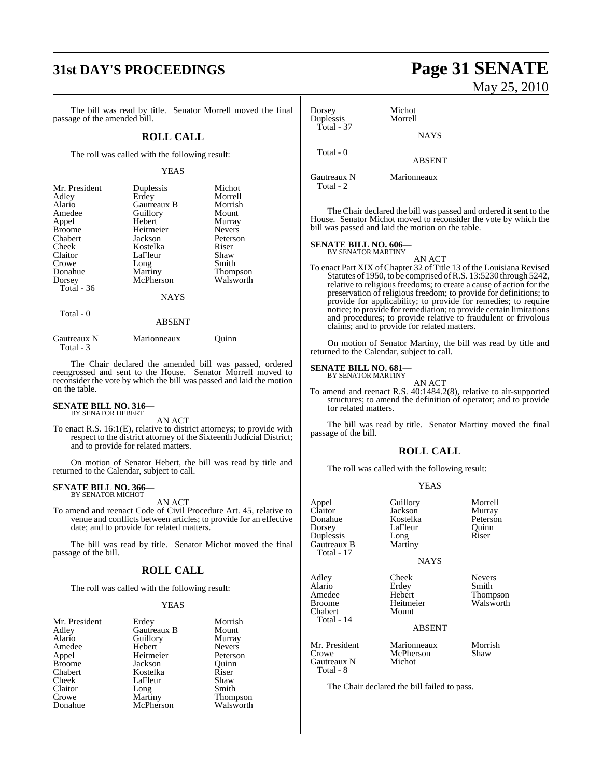# **31st DAY'S PROCEEDINGS Page 31 SENATE**

The bill was read by title. Senator Morrell moved the final passage of the amended bill.

#### **ROLL CALL**

The roll was called with the following result:

#### YEAS

| Mr. President<br>Adley | Duplessis<br>Erdey | Michot<br>Morrell |
|------------------------|--------------------|-------------------|
| Alario                 | Gautreaux B        | Morrish           |
| Amedee                 | Guillory           | Mount             |
| Appel                  | Hebert             | Murray            |
| <b>Broome</b>          | Heitmeier          | <b>Nevers</b>     |
| Chabert                | Jackson            | Peterson          |
| Cheek                  | Kostelka           | Riser             |
| Claitor                | LaFleur            | Shaw              |
| Crowe                  | Long               | Smith             |
| Donahue                | Martiny            | <b>Thompson</b>   |
| Dorsey                 | McPherson          | Walsworth         |
| Total $-36$            |                    |                   |
|                        | <b>NAYS</b>        |                   |
| Total - 0              |                    |                   |
|                        | <b>ABSENT</b>      |                   |

| Gautreaux N | Marionneaux | Ouinn |
|-------------|-------------|-------|
| Total - 3   |             |       |

The Chair declared the amended bill was passed, ordered reengrossed and sent to the House. Senator Morrell moved to reconsider the vote by which the bill was passed and laid the motion on the table.

# **SENATE BILL NO. 316—** BY SENATOR HEBERT

AN ACT

To enact R.S. 16:1(E), relative to district attorneys; to provide with respect to the district attorney of the Sixteenth Judicial District; and to provide for related matters.

On motion of Senator Hebert, the bill was read by title and returned to the Calendar, subject to call.

#### **SENATE BILL NO. 366—** BY SENATOR MICHOT

AN ACT

To amend and reenact Code of Civil Procedure Art. 45, relative to venue and conflicts between articles; to provide for an effective date; and to provide for related matters.

The bill was read by title. Senator Michot moved the final passage of the bill.

#### **ROLL CALL**

The roll was called with the following result:

#### YEAS

| Mr. President | Erdey       | Morrish       |
|---------------|-------------|---------------|
| Adley         | Gautreaux B | Mount         |
| Alario        | Guillory    | Murray        |
| Amedee        | Hebert      | <b>Nevers</b> |
| Appel         | Heitmeier   | Peterson      |
| <b>Broome</b> | Jackson     | Ouinn         |
| Chabert       | Kostelka    | Riser         |
| Cheek         | LaFleur     | Shaw          |
| Claitor       | Long        | Smith         |
| Crowe         | Martiny     | Thompson      |
| Donahue       | McPherson   | Walsworth     |

# May 25, 2010

Dorsey Michot<br>
Duplessis Morrell Duplessis Total - 37 Total - 0

Gautreaux N Marionneaux Total - 2

The Chair declared the bill was passed and ordered it sent to the House. Senator Michot moved to reconsider the vote by which the bill was passed and laid the motion on the table.

**NAYS** 

ABSENT

# **SENATE BILL NO. 606—** BY SENATOR MARTINY

AN ACT

To enact Part XIX of Chapter 32 of Title 13 of the Louisiana Revised Statutes of 1950, to be comprised ofR.S. 13:5230 through 5242, relative to religious freedoms; to create a cause of action for the preservation of religious freedom; to provide for definitions; to provide for applicability; to provide for remedies; to require notice; to provide for remediation; to provide certain limitations and procedures; to provide relative to fraudulent or frivolous claims; and to provide for related matters.

On motion of Senator Martiny, the bill was read by title and returned to the Calendar, subject to call.

#### **SENATE BILL NO. 681—** BY SENATOR MARTINY

AN ACT

To amend and reenact R.S. 40:1484.2(8), relative to air-supported structures; to amend the definition of operator; and to provide for related matters.

The bill was read by title. Senator Martiny moved the final passage of the bill.

#### **ROLL CALL**

The roll was called with the following result:

#### YEAS

Guillory Morrell<br>Jackson Murray Jackson Murray<br>Kostelka Peterson

|                  | Guillory |
|------------------|----------|
| Appel<br>Claitor | Jackson  |
| Donahue          | Kostelka |
| Dorsey           | LaFleur  |
| Duplessis        | Long     |
| Gautreaux B      | Martiny  |
| Total - 17       |          |
|                  |          |

Alario Erdey<br>Amedee Hebert Broome Heitmeier Walsworth<br>
Chabert Mount

NAYS Adley Cheek Nevers

**Thompson** 

#### ABSENT

Mr. President Marionneaux Morrish<br>Crowe McPherson Shaw Gautreaux N Total - 8

Chabert Total - 14

The Chair declared the bill failed to pass.

McPherson<br>Michot

LaFleur Quinn<br>Long Riser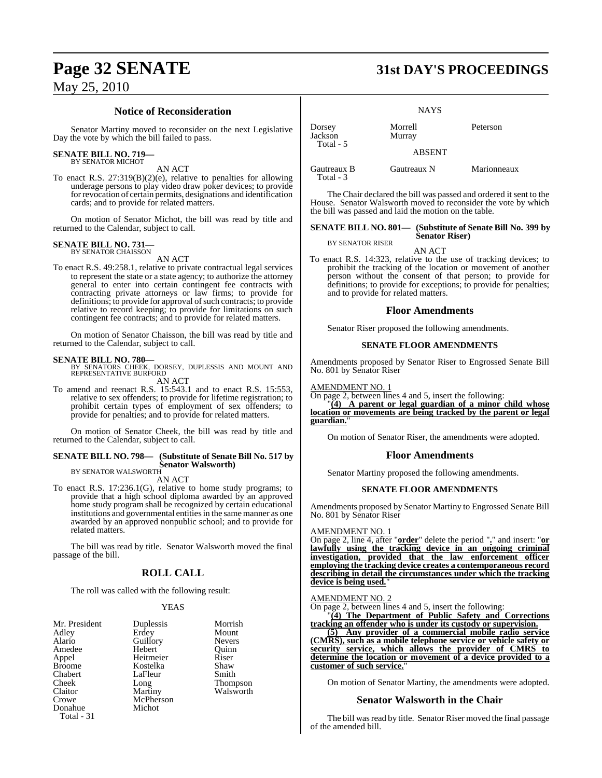### **Notice of Reconsideration**

Senator Martiny moved to reconsider on the next Legislative Day the vote by which the bill failed to pass.

#### **SENATE BILL NO. 719—**

BY SENATOR MICHOT AN ACT

To enact R.S. 27:319(B)(2)(e), relative to penalties for allowing underage persons to play video draw poker devices; to provide for revocation of certain permits, designations and identification cards; and to provide for related matters.

On motion of Senator Michot, the bill was read by title and returned to the Calendar, subject to call.

# **SENATE BILL NO. 731—** BY SENATOR CHAISSON

AN ACT

To enact R.S. 49:258.1, relative to private contractual legal services to represent the state or a state agency; to authorize the attorney general to enter into certain contingent fee contracts with contracting private attorneys or law firms; to provide for definitions; to provide for approval of such contracts; to provide relative to record keeping; to provide for limitations on such contingent fee contracts; and to provide for related matters.

On motion of Senator Chaisson, the bill was read by title and returned to the Calendar, subject to call.

### **SENATE BILL NO. 780—**

BY SENATORS CHEEK, DORSEY, DUPLESSIS AND MOUNT AND REPRESENTATIVE BURFORD AN ACT

To amend and reenact R.S. 15:543.1 and to enact R.S. 15:553, relative to sex offenders; to provide for lifetime registration; to prohibit certain types of employment of sex offenders; to provide for penalties; and to provide for related matters.

On motion of Senator Cheek, the bill was read by title and returned to the Calendar, subject to call.

#### **SENATE BILL NO. 798— (Substitute of Senate Bill No. 517 by Senator Walsworth)**

BY SENATOR WALSWORTH AN ACT

To enact R.S. 17:236.1(G), relative to home study programs; to provide that a high school diploma awarded by an approved home study program shall be recognized by certain educational institutions and governmental entities in the same manner as one awarded by an approved nonpublic school; and to provide for related matters.

The bill was read by title. Senator Walsworth moved the final passage of the bill.

## **ROLL CALL**

The roll was called with the following result:

#### YEAS

| Mr. President<br>Adley<br>Alario<br>Amedee<br>Appel<br><b>Broome</b><br>Chabert<br>Cheek<br>Claitor<br>Crowe<br>Donahue | Duplessis<br>Erdey<br>Guillory<br>Hebert<br>Heitmeier<br>Kostelka<br>LaFleur<br>Long<br>Martiny<br>McPherson<br>Michot | Morrish<br>Mount<br><b>Nevers</b><br>Ouinn<br>Riser<br>Shaw<br>Smith<br>Thompson<br>Walsworth |
|-------------------------------------------------------------------------------------------------------------------------|------------------------------------------------------------------------------------------------------------------------|-----------------------------------------------------------------------------------------------|
| Total - 31                                                                                                              |                                                                                                                        |                                                                                               |

# **Page 32 SENATE 31st DAY'S PROCEEDINGS**

|                                | <b>NAYS</b>       |             |
|--------------------------------|-------------------|-------------|
| Dorsey<br>Jackson<br>Total - 5 | Morrell<br>Murray | Peterson    |
|                                | <b>ABSENT</b>     |             |
| Gautreaux B<br>Total - 3       | Gautreaux N       | Marionneaux |

The Chair declared the bill was passed and ordered it sent to the House. Senator Walsworth moved to reconsider the vote by which the bill was passed and laid the motion on the table.

#### **SENATE BILL NO. 801— (Substitute of Senate Bill No. 399 by Senator Riser)**

AN ACT To enact R.S. 14:323, relative to the use of tracking devices; to prohibit the tracking of the location or movement of another person without the consent of that person; to provide for definitions; to provide for exceptions; to provide for penalties; and to provide for related matters.

#### **Floor Amendments**

Senator Riser proposed the following amendments.

#### **SENATE FLOOR AMENDMENTS**

Amendments proposed by Senator Riser to Engrossed Senate Bill No. 801 by Senator Riser

#### AMENDMENT NO. 1

On page 2, between lines 4 and 5, insert the following:

"**(4) A parent or legal guardian of a minor child whose location or movements are being tracked by the parent or legal guardian.**"

On motion of Senator Riser, the amendments were adopted.

#### **Floor Amendments**

Senator Martiny proposed the following amendments.

#### **SENATE FLOOR AMENDMENTS**

Amendments proposed by Senator Martiny to Engrossed Senate Bill No. 801 by Senator Riser

#### AMENDMENT NO. 1

On page 2, line 4, after "**order**" delete the period "**.**" and insert: "**or lawfully using the tracking device in an ongoing criminal investigation, provided that the law enforcement officer employing the tracking device creates a contemporaneous record describing in detail the circumstances under which the tracking** device is being used.

#### AMENDMENT NO. 2

On page 2, between lines 4 and 5, insert the following:

"**(4) The Department of Public Safety and Corrections tracking an offender who is under its custody or supervision.**

**(5) Any provider of a commercial mobile radio service (CMRS), such as a mobile telephone service or vehicle safety or security service, which allows the provider of CMRS to determine the location or movement of a device provided to a customer of such service.**"

On motion of Senator Martiny, the amendments were adopted.

#### **Senator Walsworth in the Chair**

The bill was read by title. Senator Riser moved the final passage of the amended bill.

BY SENATOR RISER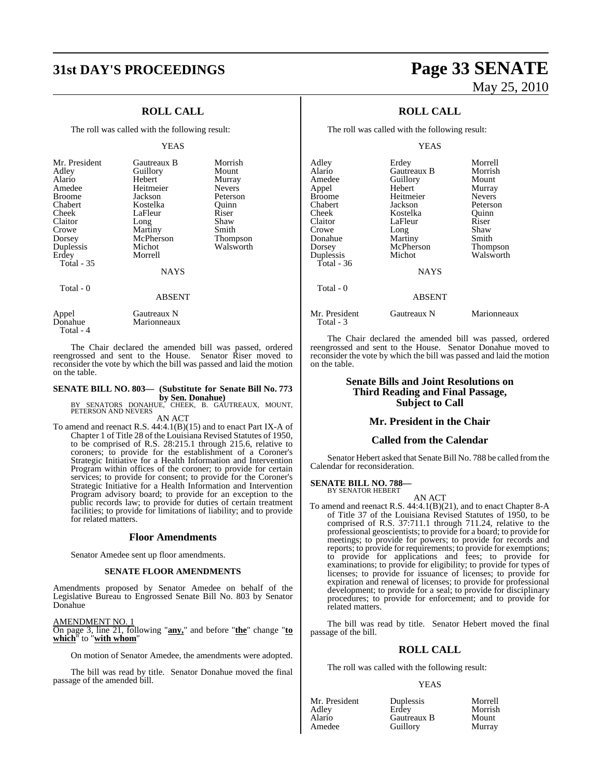# **31st DAY'S PROCEEDINGS Page 33 SENATE**

## **ROLL CALL**

The roll was called with the following result:

#### YEAS

| Mr. President     | Gautreaux B | Morrish       |
|-------------------|-------------|---------------|
| Adley             | Guillory    | Mount         |
| Alario            | Hebert      | Murray        |
| Amedee            | Heitmeier   | <b>Nevers</b> |
| <b>Broome</b>     | Jackson     | Peterson      |
| Chabert           | Kostelka    | Ouinn         |
| Cheek             | LaFleur     | Riser         |
| Claitor           | Long        | Shaw          |
| Crowe             | Martiny     | Smith         |
| Dorsey            | McPherson   | Thompson      |
| Duplessis         | Michot      | Walsworth     |
| Erdey             | Morrell     |               |
| <b>Total - 35</b> |             |               |
|                   | <b>NAYS</b> |               |
| Total - 0         |             |               |

#### Appel Gautreaux N<br>Donahue Marionneaux Marionneaux

Total - 4

The Chair declared the amended bill was passed, ordered reengrossed and sent to the House. Senator Riser moved to reconsider the vote by which the bill was passed and laid the motion on the table.

ABSENT

## **SENATE BILL NO. 803— (Substitute for Senate Bill No. 773**

**by Sen. Donahue)**<br>BY SENATORS DONAHUE, CHEEK, B. GAUTREAUX, MOUNT,<br>PETERSON AND NEVERS

#### AN ACT

To amend and reenact R.S. 44:4.1(B)(15) and to enact Part IX-A of Chapter 1 of Title 28 of the Louisiana Revised Statutes of 1950, to be comprised of R.S. 28:215.1 through 215.6, relative to coroners; to provide for the establishment of a Coroner's Strategic Initiative for a Health Information and Intervention Program within offices of the coroner; to provide for certain services; to provide for consent; to provide for the Coroner's Strategic Initiative for a Health Information and Intervention Program advisory board; to provide for an exception to the public records law; to provide for duties of certain treatment facilities; to provide for limitations of liability; and to provide for related matters.

#### **Floor Amendments**

Senator Amedee sent up floor amendments.

#### **SENATE FLOOR AMENDMENTS**

Amendments proposed by Senator Amedee on behalf of the Legislative Bureau to Engrossed Senate Bill No. 803 by Senator Donahue

AMENDMENT NO. 1

On page 3, line 21, following "**any,**" and before "**the**" change "**to which**" to "**with whom**"

On motion of Senator Amedee, the amendments were adopted.

The bill was read by title. Senator Donahue moved the final passage of the amended bill.

# May 25, 2010

## **ROLL CALL**

The roll was called with the following result:

#### YEAS

| Adley<br>Alario<br>Amedee<br>Appel<br>Broome<br>Chabert<br>Cheek<br>Claitor<br>Crowe | Erdey<br>Gautreaux B<br>Guillory<br>Hebert<br>Heitmeier<br>Jackson<br>Kostelka<br>LaFleur | Morrell<br>Morrish<br>Mount<br>Murray<br><b>Nevers</b><br>Peterson<br>Ouinn<br>Riser<br>Shaw |
|--------------------------------------------------------------------------------------|-------------------------------------------------------------------------------------------|----------------------------------------------------------------------------------------------|
| Donahue                                                                              | Long<br>Martiny                                                                           | Smith                                                                                        |
| Dorsey                                                                               | McPherson                                                                                 | <b>Thompson</b>                                                                              |
| Duplessis<br>Total - 36                                                              | Michot                                                                                    | Walsworth                                                                                    |
|                                                                                      | <b>NAYS</b>                                                                               |                                                                                              |
| Total $-0$                                                                           |                                                                                           |                                                                                              |
|                                                                                      | <b>ABSENT</b>                                                                             |                                                                                              |
| Mr. President<br>Total - 3                                                           | Gautreaux N                                                                               | Marionneaux                                                                                  |

The Chair declared the amended bill was passed, ordered reengrossed and sent to the House. Senator Donahue moved to reconsider the vote by which the bill was passed and laid the motion on the table.

#### **Senate Bills and Joint Resolutions on Third Reading and Final Passage, Subject to Call**

#### **Mr. President in the Chair**

#### **Called from the Calendar**

Senator Hebert asked that Senate Bill No. 788 be called fromthe Calendar for reconsideration.

# **SENATE BILL NO. 788—** BY SENATOR HEBERT

AN ACT

To amend and reenact R.S. 44:4.1(B)(21), and to enact Chapter 8-A of Title 37 of the Louisiana Revised Statutes of 1950, to be comprised of R.S. 37:711.1 through 711.24, relative to the professional geoscientists; to provide for a board; to provide for meetings; to provide for powers; to provide for records and reports; to provide for requirements; to provide for exemptions; to provide for applications and fees; to provide for examinations; to provide for eligibility; to provide for types of licenses; to provide for issuance of licenses; to provide for expiration and renewal of licenses; to provide for professional development; to provide for a seal; to provide for disciplinary procedures; to provide for enforcement; and to provide for related matters.

The bill was read by title. Senator Hebert moved the final passage of the bill.

### **ROLL CALL**

The roll was called with the following result:

#### YEAS

| Mr. President | <b>Duplessis</b> | Morrell |
|---------------|------------------|---------|
| Adley         | Erdev            | Morrish |
| Alario        | Gautreaux B      | Mount   |
| Amedee        | Guillory         | Murray  |

**Alarmy Gautreaux B** Mount<br> **Guillory** Murray Guillory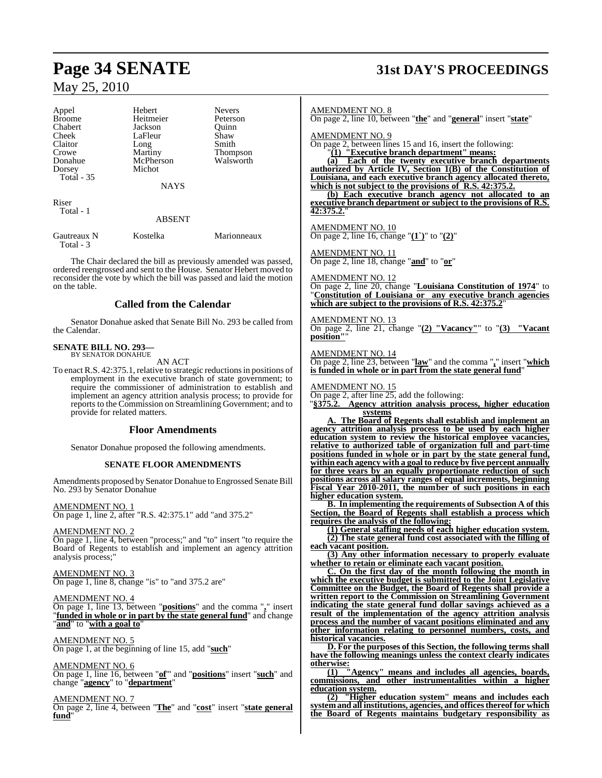| Appel         | Hebert      | <b>Nevers</b>   |
|---------------|-------------|-----------------|
| <b>Broome</b> | Heitmeier   | Peterson        |
| Chabert       | Jackson     | Ouinn           |
| Cheek         | LaFleur     | Shaw            |
| Claitor       | Long        | Smith           |
| Crowe         | Martiny     | <b>Thompson</b> |
| Donahue       | McPherson   | Walsworth       |
| Dorsey        | Michot      |                 |
| Total - 35    |             |                 |
|               | <b>NAYS</b> |                 |
| Riser         |             |                 |
| Total - 1     |             |                 |
|               | ABSENT      |                 |
|               |             |                 |

Gautreaux N Kostelka Marionneaux Total - 3

The Chair declared the bill as previously amended was passed, ordered reengrossed and sent to the House. Senator Hebert moved to reconsider the vote by which the bill was passed and laid the motion on the table.

#### **Called from the Calendar**

Senator Donahue asked that Senate Bill No. 293 be called from the Calendar.

#### **SENATE BILL NO. 293—** BY SENATOR DONAHUE

AN ACT

To enact R.S. 42:375.1, relative to strategic reductionsin positions of employment in the executive branch of state government; to require the commissioner of administration to establish and implement an agency attrition analysis process; to provide for reports to the Commission on Streamlining Government; and to provide for related matters.

#### **Floor Amendments**

Senator Donahue proposed the following amendments.

#### **SENATE FLOOR AMENDMENTS**

Amendments proposed by Senator Donahue to Engrossed Senate Bill No. 293 by Senator Donahue

AMENDMENT NO. 1

On page 1, line 2, after "R.S. 42:375.1" add "and 375.2"

#### AMENDMENT NO. 2

On page 1, line 4, between "process;" and "to" insert "to require the Board of Regents to establish and implement an agency attrition analysis process;"

AMENDMENT NO. 3

On page 1, line 8, change "is" to "and 375.2 are"

#### AMENDMENT NO. 4

On page 1, line 13, between "**positions**" and the comma "**,**" insert "**funded in whole or in part by the state general fund**" and change "**and**" to "**with a goal to**"

AMENDMENT NO. 5 On page 1, at the beginning of line 15, add "**such**"

AMENDMENT NO. 6

On page 1, line 16, between "**of**'" and "**positions**" insert "**such**" and change "**agency**" to "**department**"

AMENDMENT NO. 7

On page 2, line 4, between "**The**" and "**cost**" insert "**state general fund**"

# **Page 34 SENATE 31st DAY'S PROCEEDINGS**

AMENDMENT NO. 8

On page 2, line 10, between "**the**" and "**general**" insert "**state**"

AMENDMENT NO. 9

On page 2, between lines 15 and 16, insert the following:

"**(1) "Executive branch department" means:**

**(a) Each of the twenty executive branch departments authorized by Article IV, Section 1(B) of the Constitution of Louisiana, and each executive branch agency allocated thereto, which is not subject to the provisions of R.S. 42:375.2.**

**(b) Each executive branch agency not allocated to an executive branch department or subject to the provisions of R.S. 42:375.2.**"

AMENDMENT NO. 10 On page 2, line 16, change "**(1`)**" to "**(2)**"

AMENDMENT NO. 11 On page 2, line 18, change "**and**" to "**or**"

AMENDMENT NO. 12

On page 2, line 20, change "**Louisiana Constitution of 1974**" to "**Constitution of Louisiana or any executive branch agencies which are subject to the provisions of R.S. 42:375.2**"

AMENDMENT NO. 13 On page 2, line 21, change "**(2) "Vacancy"**" to "**(3) "Vacant position"**"

AMENDMENT NO. 14

On page 2, line 23, between "**law**" and the comma "**,**" insert "**which is funded in whole or in part from the state general fund**"

AMENDMENT NO. 15

On page 2, after line 25, add the following:

"**§375.2. Agency attrition analysis process, higher education systems**

**A. The Board of Regents shall establish and implement an agency attrition analysis process to be used by each higher education system to review the historical employee vacancies, relative to authorized table of organization full and part-time positions funded in whole or in part by the state general fund, within each agency with a goal to reduce by five percent annually for three years by an equally proportionate reduction of such positions across all salary ranges of equal increments, beginning Fiscal Year 2010-2011, the number of such positions in each higher education system.**

**B. In implementing the requirements of Subsection A of this Section, the Board of Regents shall establish a process which requires the analysis of the following:**

**(1) General staffing needs of each higher education system. (2) The state general fund cost associated with the filling of each vacant position.**

**(3) Any other information necessary to properly evaluate whether to retain or eliminate each vacant position.**

**C. On the first day of the month following the month in which the executive budget is submitted to the Joint Legislative Committee on the Budget, the Board of Regents shall provide a written report to the Commission on Streamlining Government indicating the state general fund dollar savings achieved as a result of the implementation of the agency attrition analysis process and the number of vacant positions eliminated and any other information relating to personnel numbers, costs, and historical vacancies.**

**D. For the purposes of this Section, the following terms shall have the following meanings unless the context clearly indicates otherwise:**

**(1) "Agency" means and includes all agencies, boards, commissions, and other instrumentalities within a higher education system.**

**(2) "Higher education system" means and includes each system and all institutions, agencies, and officesthereof for which the Board of Regents maintains budgetary responsibility as**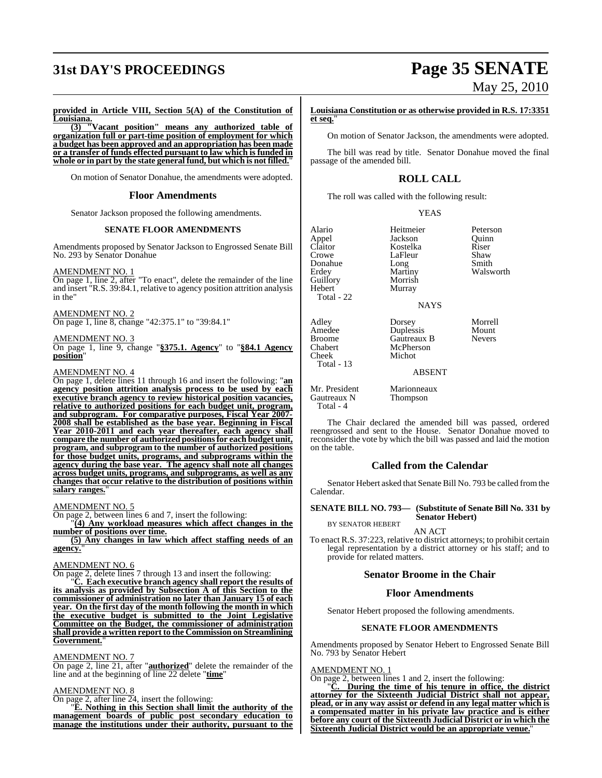# **31st DAY'S PROCEEDINGS Page 35 SENATE**

# May 25, 2010

**provided in Article VIII, Section 5(A) of the Constitution of Louisiana.**

**(3) "Vacant position" means any authorized table of organization full or part-time position of employment for which a budget has been approved and an appropriation has been made or a transfer of funds effected pursuant to law which is funded in whole or in part by the state general fund, but which is not filled.**"

On motion of Senator Donahue, the amendments were adopted.

#### **Floor Amendments**

Senator Jackson proposed the following amendments.

#### **SENATE FLOOR AMENDMENTS**

Amendments proposed by Senator Jackson to Engrossed Senate Bill No. 293 by Senator Donahue

AMENDMENT NO. 1

On page 1, line 2, after "To enact", delete the remainder of the line and insert "R.S. 39:84.1, relative to agency position attrition analysis in the"

AMENDMENT NO. 2 On page 1, line 8, change "42:375.1" to "39:84.1"

#### AMENDMENT NO. 3

On page 1, line 9, change "**§375.1. Agency**" to "**§84.1 Agency position**"

#### AMENDMENT NO. 4

On page 1, delete lines 11 through 16 and insert the following: "**an agency position attrition analysis process to be used by each executive branch agency to review historical position vacancies, relative to authorized positions for each budget unit, program, and subprogram. For comparative purposes, Fiscal Year 2007- 2008 shall be established as the base year. Beginning in Fiscal Year 2010-2011 and each year thereafter, each agency shall compare the number of authorized positionsfor each budget unit, program, and subprogram to the number of authorized positions for those budget units, programs, and subprograms within the agency during the base year. The agency shall note all changes across budget units, programs, and subprograms, as well as any changes that occur relative to the distribution of positions within salary ranges.**"

#### AMENDMENT NO. 5

On page 2, between lines 6 and 7, insert the following:

"**(4) Any workload measures which affect changes in the number of positions over time.**

**(5) Any changes in law which affect staffing needs of an agency.**"

#### AMENDMENT NO. 6

On page 2, delete lines 7 through 13 and insert the following:

"**C. Each executive branch agency shall report the results of its analysis as provided by Subsection A of this Section to the commissioner of administration no later than January 15 of each year. On the first day of the month following the month in which the executive budget is submitted to the Joint Legislative Committee on the Budget, the commissioner of administration shall provide a written report to the Commission on Streamlining Government.**"

#### AMENDMENT NO. 7

On page 2, line 21, after "**authorized**" delete the remainder of the line and at the beginning of line 22 delete "**time**"

#### AMENDMENT NO. 8

On page 2, after line 24, insert the following:

"**E. Nothing in this Section shall limit the authority of the management boards of public post secondary education to manage the institutions under their authority, pursuant to the** **Louisiana Constitution or as otherwise provided in R.S. 17:3351 et seq.**"

On motion of Senator Jackson, the amendments were adopted.

The bill was read by title. Senator Donahue moved the final passage of the amended bill.

## **ROLL CALL**

The roll was called with the following result:

YEAS

| Alario     | Heitmeier   | Peterson  |
|------------|-------------|-----------|
| Appel      | Jackson     | Ouinn     |
| Claitor    | Kostelka    | Riser     |
| Crowe      | LaFleur     | Shaw      |
| Donahue    | Long        | Smith     |
| Erdey      | Martiny     | Walsworth |
| Guillory   | Morrish     |           |
| Hebert     | Murray      |           |
| Total - 22 |             |           |
|            | <b>NAYS</b> |           |

Adley Dorsey Morrell<br>Amedee Duplessis Mount

ABSENT

Total  $-4$ 

Cheek Total - 13

Mr. President Marionneaux<br>Gautreaux N Thompson Thompson

The Chair declared the amended bill was passed, ordered reengrossed and sent to the House. Senator Donahue moved to reconsider the vote by which the bill was passed and laid the motion on the table.

### **Called from the Calendar**

Senator Hebert asked that Senate Bill No. 793 be called fromthe Calendar.

**SENATE BILL NO. 793— (Substitute of Senate Bill No. 331 by Senator Hebert)** BY SENATOR HEBERT

AN ACT

To enact R.S. 37:223, relative to district attorneys; to prohibit certain legal representation by a district attorney or his staff; and to provide for related matters.

#### **Senator Broome in the Chair**

#### **Floor Amendments**

Senator Hebert proposed the following amendments.

#### **SENATE FLOOR AMENDMENTS**

Amendments proposed by Senator Hebert to Engrossed Senate Bill No. 793 by Senator Hebert

#### AMENDMENT NO. 1

On page 2, between lines 1 and 2, insert the following:

"**C. During the time of his tenure in office, the district attorney for the Sixteenth Judicial District shall not appear, plead, or in any way assist or defend in any legal matter which is a compensated matter in his private law practice and is either before any court of the Sixteenth Judicial District or in which the Sixteenth Judicial District would be an appropriate venue.**"

Amedee  $\begin{array}{ccc}\n\text{Duples} & \text{Mount} \\
\text{Broom} & \text{Gautreaux B}\n\end{array}$  Nevers Broome Gautreaux B<br>
Chabert McPherson McPherson<br>Michot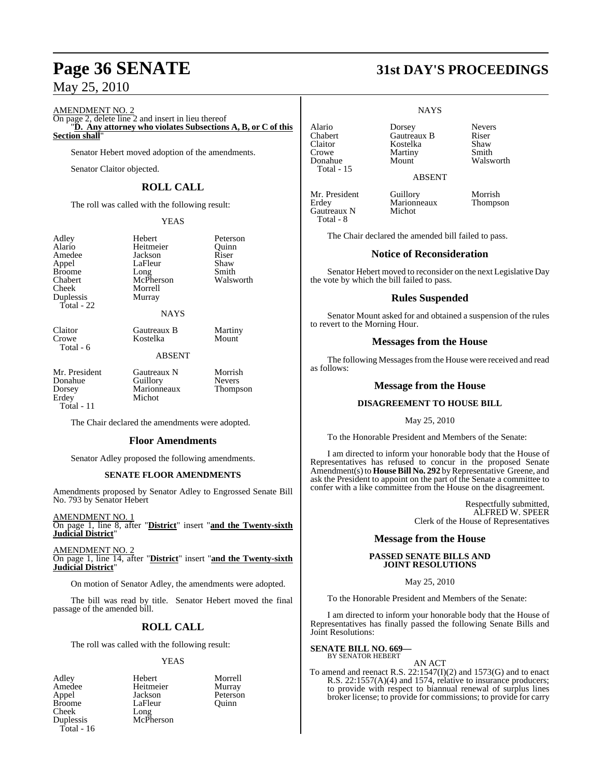AMENDMENT NO. 2

On page 2, delete line 2 and insert in lieu thereof "**D. Any attorney who violates Subsections A, B, or C of this**

**Section shall**"

Senator Hebert moved adoption of the amendments.

Senator Claitor objected.

## **ROLL CALL**

The roll was called with the following result:

#### YEAS

Adley Hebert Peterson Amedee Jackson Riser<br>
Appel LaFleur Shaw Broome Long Smith<br>
Chabert McPherson Walsworth Chabert McPherson<br>Cheek Morrell Duplessis Murray Total - 22

Heitmeier Quinn<br>
Iackson Riser LaFleur Shaw<br>Long Smith Morrell

Kostelka

Claitor **Gautreaux B** Martiny<br>
Crowe **Contract Contract Contract Accord Mount** Total - 6

## ABSENT

NAYS

Mr. President Gautreaux N Morrish<br>
Donahue Guillory Nevers Donahue Guillory Nevers<br>
Dorsey Marionneaux Thompson Erdey Total - 11

The Chair declared the amendments were adopted.

Marionneaux<br>Michot

#### **Floor Amendments**

Senator Adley proposed the following amendments.

#### **SENATE FLOOR AMENDMENTS**

Amendments proposed by Senator Adley to Engrossed Senate Bill No. 793 by Senator Hebert

AMENDMENT NO. 1 On page 1, line 8, after "**District**" insert "**and the Twenty-sixth Judicial District**"

AMENDMENT NO. 2 On page 1, line 14, after "**District**" insert "**and the Twenty-sixth Judicial District**"

On motion of Senator Adley, the amendments were adopted.

The bill was read by title. Senator Hebert moved the final passage of the amended bill.

## **ROLL CALL**

The roll was called with the following result:

### YEAS

Amedee Heitmeier<br>Appel Jackson Cheek Long Duplessis McPherson Total - 16

Adley Hebert Morrell Appel Jackson Peterson<br>Broome LaFleur Quinn Broome LaFleur Quinn<br>Cheek Long

# **Page 36 SENATE 31st DAY'S PROCEEDINGS**

#### **NAYS**

Alario Dorsey Nevers Chabert Gautreaux B Riser<br>Claitor Kostelka Shaw Kostelka Shaw<br>Martiny Smith Walsworth

ABSENT

Mr. President Guillory Morrish<br>
Erdey Marionneaux Thompson Gautreaux N Total - 8

Total - 15

Crowe Martiny<br>
Donahue Mount

Marionneaux<br>Michot

The Chair declared the amended bill failed to pass.

#### **Notice of Reconsideration**

Senator Hebert moved to reconsider on the next Legislative Day the vote by which the bill failed to pass.

#### **Rules Suspended**

Senator Mount asked for and obtained a suspension of the rules to revert to the Morning Hour.

#### **Messages from the House**

The following Messages from the House were received and read as follows:

#### **Message from the House**

#### **DISAGREEMENT TO HOUSE BILL**

May 25, 2010

To the Honorable President and Members of the Senate:

I am directed to inform your honorable body that the House of Representatives has refused to concur in the proposed Senate Amendment(s) to **House Bill No. 292** by Representative Greene, and ask the President to appoint on the part of the Senate a committee to confer with a like committee from the House on the disagreement.

> Respectfully submitted, ALFRED W. SPEER Clerk of the House of Representatives

#### **Message from the House**

#### **PASSED SENATE BILLS AND JOINT RESOLUTIONS**

May 25, 2010

To the Honorable President and Members of the Senate:

I am directed to inform your honorable body that the House of Representatives has finally passed the following Senate Bills and Joint Resolutions:

**SENATE BILL NO. 669—** BY SENATOR HEBERT

#### AN ACT

To amend and reenact R.S.  $22:1547(I)(2)$  and 1573(G) and to enact R.S. 22:1557(A)(4) and 1574, relative to insurance producers; to provide with respect to biannual renewal of surplus lines broker license; to provide for commissions; to provide for carry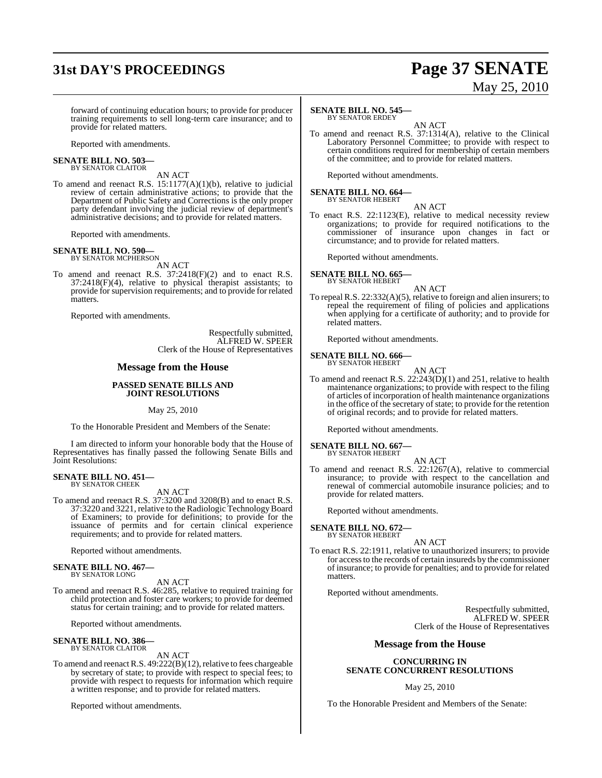# **31st DAY'S PROCEEDINGS Page 37 SENATE**

# May 25, 2010

forward of continuing education hours; to provide for producer training requirements to sell long-term care insurance; and to provide for related matters.

Reported with amendments.

#### **SENATE BILL NO. 503—** BY SENATOR CLAITOR

AN ACT To amend and reenact R.S. 15:1177(A)(1)(b), relative to judicial review of certain administrative actions; to provide that the Department of Public Safety and Corrections is the only proper party defendant involving the judicial review of department's administrative decisions; and to provide for related matters.

Reported with amendments.

#### **SENATE BILL NO. 590—** BY SENATOR MCPHERSON

AN ACT

To amend and reenact R.S. 37:2418(F)(2) and to enact R.S. 37:2418(F)(4), relative to physical therapist assistants; to provide for supervision requirements; and to provide for related matters.

Reported with amendments.

Respectfully submitted, ALFRED W. SPEER Clerk of the House of Representatives

#### **Message from the House**

#### **PASSED SENATE BILLS AND JOINT RESOLUTIONS**

May 25, 2010

To the Honorable President and Members of the Senate:

I am directed to inform your honorable body that the House of Representatives has finally passed the following Senate Bills and Joint Resolutions:

#### **SENATE BILL NO. 451—** BY SENATOR CHEEK

AN ACT

To amend and reenact R.S. 37:3200 and 3208(B) and to enact R.S. 37:3220 and 3221, relative to the Radiologic TechnologyBoard of Examiners; to provide for definitions; to provide for the issuance of permits and for certain clinical experience requirements; and to provide for related matters.

Reported without amendments.

#### **SENATE BILL NO. 467—** BY SENATOR LONG

AN ACT

To amend and reenact R.S. 46:285, relative to required training for child protection and foster care workers; to provide for deemed status for certain training; and to provide for related matters.

Reported without amendments.

#### **SENATE BILL NO. 386—** BY SENATOR CLAITOR

AN ACT

To amend and reenact R.S.  $49:222(B)(12)$ , relative to fees chargeable by secretary of state; to provide with respect to special fees; to provide with respect to requests for information which require a written response; and to provide for related matters.

Reported without amendments.

#### **SENATE BILL NO. 545—**

BY SENATOR ERDEY

AN ACT To amend and reenact R.S. 37:1314(A), relative to the Clinical Laboratory Personnel Committee; to provide with respect to certain conditions required for membership of certain members of the committee; and to provide for related matters.

Reported without amendments.

# **SENATE BILL NO. 664—** BY SENATOR HEBERT

AN ACT

To enact R.S. 22:1123(E), relative to medical necessity review organizations; to provide for required notifications to the commissioner of insurance upon changes in fact or circumstance; and to provide for related matters.

Reported without amendments.

## **SENATE BILL NO. 665—**

BY SENATOR HEBERT

AN ACT To repeal R.S. 22:332(A)(5), relative to foreign and alien insurers; to repeal the requirement of filing of policies and applications when applying for a certificate of authority; and to provide for related matters.

Reported without amendments.

**SENATE BILL NO. 666—** BY SENATOR HEBERT

AN ACT

To amend and reenact R.S. 22:243(D)(1) and 251, relative to health maintenance organizations; to provide with respect to the filing of articles of incorporation of health maintenance organizations in the office of the secretary of state; to provide for the retention of original records; and to provide for related matters.

Reported without amendments.

**SENATE BILL NO. 667—** BY SENATOR HEBERT

- AN ACT
- To amend and reenact R.S. 22:1267(A), relative to commercial insurance; to provide with respect to the cancellation and renewal of commercial automobile insurance policies; and to provide for related matters.

Reported without amendments.

#### **SENATE BILL NO. 672—** BY SENATOR HEBERT

AN ACT

To enact R.S. 22:1911, relative to unauthorized insurers; to provide for accessto the records of certain insureds by the commissioner of insurance; to provide for penalties; and to provide for related matters.

Reported without amendments.

Respectfully submitted, ALFRED W. SPEER Clerk of the House of Representatives

#### **Message from the House**

#### **CONCURRING IN SENATE CONCURRENT RESOLUTIONS**

#### May 25, 2010

To the Honorable President and Members of the Senate: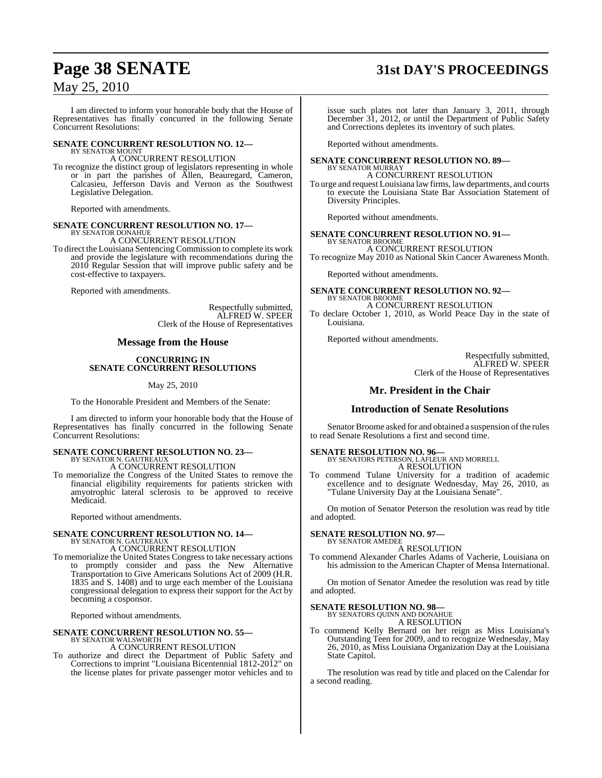# **Page 38 SENATE 31st DAY'S PROCEEDINGS**

## May 25, 2010

I am directed to inform your honorable body that the House of Representatives has finally concurred in the following Senate Concurrent Resolutions:

#### **SENATE CONCURRENT RESOLUTION NO. 12—** BY SENATOR MOUNT

A CONCURRENT RESOLUTION

To recognize the distinct group of legislators representing in whole or in part the parishes of Allen, Beauregard, Cameron, Calcasieu, Jefferson Davis and Vernon as the Southwest Legislative Delegation.

Reported with amendments.

#### **SENATE CONCURRENT RESOLUTION NO. 17—** BY SENATOR DONAHUE

A CONCURRENT RESOLUTION

To direct the Louisiana Sentencing Commission to complete its work and provide the legislature with recommendations during the 2010 Regular Session that will improve public safety and be cost-effective to taxpayers.

Reported with amendments.

Respectfully submitted, ALFRED W. SPEER Clerk of the House of Representatives

#### **Message from the House**

#### **CONCURRING IN SENATE CONCURRENT RESOLUTIONS**

#### May 25, 2010

To the Honorable President and Members of the Senate:

I am directed to inform your honorable body that the House of Representatives has finally concurred in the following Senate Concurrent Resolutions:

# **SENATE CONCURRENT RESOLUTION NO. 23—** BY SENATOR N. GAUTREAUX

A CONCURRENT RESOLUTION

To memorialize the Congress of the United States to remove the financial eligibility requirements for patients stricken with amyotrophic lateral sclerosis to be approved to receive Medicaid.

Reported without amendments.

#### **SENATE CONCURRENT RESOLUTION NO. 14—** BY SENATOR N. GAUTREAUX

A CONCURRENT RESOLUTION

To memorialize the United States Congress to take necessary actions to promptly consider and pass the New Alternative Transportation to Give Americans Solutions Act of 2009 (H.R. 1835 and S. 1408) and to urge each member of the Louisiana congressional delegation to express their support for the Act by becoming a cosponsor.

Reported without amendments.

#### **SENATE CONCURRENT RESOLUTION NO. 55—**

#### BY SENATOR WALSWORTH A CONCURRENT RESOLUTION

To authorize and direct the Department of Public Safety and Corrections to imprint "Louisiana Bicentennial 1812-2012" on the license plates for private passenger motor vehicles and to

issue such plates not later than January 3, 2011, through December 31, 2012, or until the Department of Public Safety and Corrections depletes its inventory of such plates.

Reported without amendments.

#### **SENATE CONCURRENT RESOLUTION NO. 89—**

BY SENATOR MURRAY A CONCURRENT RESOLUTION

To urge and request Louisiana law firms, law departments, and courts to execute the Louisiana State Bar Association Statement of Diversity Principles.

Reported without amendments.

#### **SENATE CONCURRENT RESOLUTION NO. 91—** BY SENATOR BROOME

A CONCURRENT RESOLUTION To recognize May 2010 as National Skin Cancer Awareness Month.

Reported without amendments.

#### **SENATE CONCURRENT RESOLUTION NO. 92—** BY SENATOR BROOME

A CONCURRENT RESOLUTION

To declare October 1, 2010, as World Peace Day in the state of Louisiana.

Reported without amendments.

Respectfully submitted, ALFRED W. SPEER Clerk of the House of Representatives

#### **Mr. President in the Chair**

#### **Introduction of Senate Resolutions**

Senator Broome asked for and obtained a suspension of the rules to read Senate Resolutions a first and second time.

# **SENATE RESOLUTION NO. 96—** BY SENATORS PETERSON, LAFLEUR AND MORRELL

A RESOLUTION To commend Tulane University for a tradition of academic

excellence and to designate Wednesday, May 26, 2010, as "Tulane University Day at the Louisiana Senate".

On motion of Senator Peterson the resolution was read by title and adopted.

**SENATE RESOLUTION NO. 97—**

#### BY SENATOR AMEDEE A RESOLUTION

To commend Alexander Charles Adams of Vacherie, Louisiana on his admission to the American Chapter of Mensa International.

On motion of Senator Amedee the resolution was read by title and adopted.

# **SENATE RESOLUTION NO. 98—** BY SENATORS QUINN AND DONAHUE

A RESOLUTION

To commend Kelly Bernard on her reign as Miss Louisiana's Outstanding Teen for 2009, and to recognize Wednesday, May 26, 2010, as Miss Louisiana Organization Day at the Louisiana State Capitol.

The resolution was read by title and placed on the Calendar for a second reading.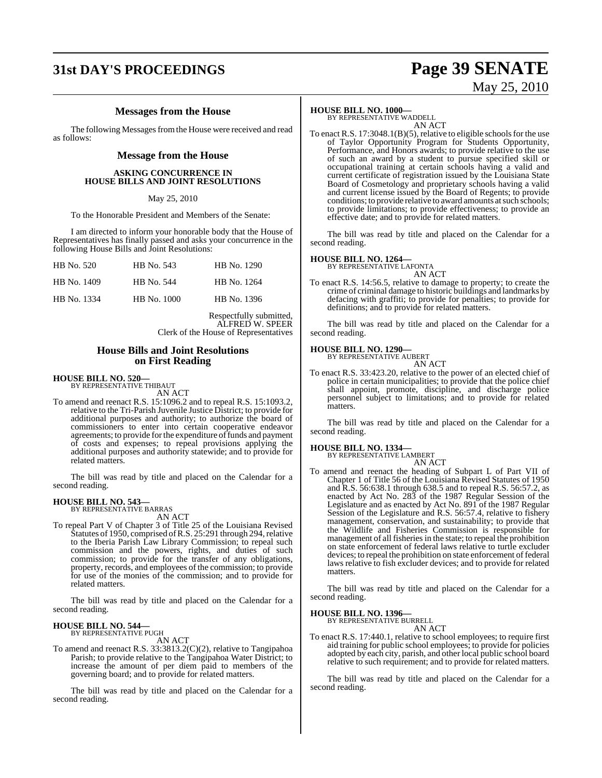# **31st DAY'S PROCEEDINGS Page 39 SENATE**

# May 25, 2010

### **Messages from the House**

The following Messages from the House were received and read as follows:

#### **Message from the House**

#### **ASKING CONCURRENCE IN HOUSE BILLS AND JOINT RESOLUTIONS**

May 25, 2010

To the Honorable President and Members of the Senate:

I am directed to inform your honorable body that the House of Representatives has finally passed and asks your concurrence in the following House Bills and Joint Resolutions:

| HB No. 520  | HB No. 543  | HB No. 1290 |
|-------------|-------------|-------------|
| HB No. 1409 | HB No. 544  | HB No. 1264 |
| HB No. 1334 | HB No. 1000 | HB No. 1396 |

Respectfully submitted, ALFRED W. SPEER Clerk of the House of Representatives

#### **House Bills and Joint Resolutions on First Reading**

# **HOUSE BILL NO. 520—** BY REPRESENTATIVE THIBAUT

AN ACT

To amend and reenact R.S. 15:1096.2 and to repeal R.S. 15:1093.2, relative to the Tri-Parish Juvenile Justice District; to provide for additional purposes and authority; to authorize the board of commissioners to enter into certain cooperative endeavor agreements; to provide for the expenditure of funds and payment of costs and expenses; to repeal provisions applying the additional purposes and authority statewide; and to provide for related matters.

The bill was read by title and placed on the Calendar for a second reading.

# **HOUSE BILL NO. 543—** BY REPRESENTATIVE BARRAS

AN ACT

To repeal Part V of Chapter 3 of Title 25 of the Louisiana Revised Statutes of 1950, comprised of R.S. 25:291 through 294, relative to the Iberia Parish Law Library Commission; to repeal such commission and the powers, rights, and duties of such commission; to provide for the transfer of any obligations, property, records, and employees of the commission; to provide for use of the monies of the commission; and to provide for related matters.

The bill was read by title and placed on the Calendar for a second reading.

# **HOUSE BILL NO. 544—** BY REPRESENTATIVE PUGH

AN ACT

To amend and reenact R.S. 33:3813.2(C)(2), relative to Tangipahoa Parish; to provide relative to the Tangipahoa Water District; to increase the amount of per diem paid to members of the governing board; and to provide for related matters.

The bill was read by title and placed on the Calendar for a second reading.

#### **HOUSE BILL NO. 1000—**

BY REPRESENTATIVE WADDELL AN ACT

To enact R.S.  $17:3048.1(B)(5)$ , relative to eligible schools for the use of Taylor Opportunity Program for Students Opportunity, Performance, and Honors awards; to provide relative to the use of such an award by a student to pursue specified skill or occupational training at certain schools having a valid and current certificate of registration issued by the Louisiana State Board of Cosmetology and proprietary schools having a valid and current license issued by the Board of Regents; to provide conditions; to provide relative to award amounts at such schools; to provide limitations; to provide effectiveness; to provide an effective date; and to provide for related matters.

The bill was read by title and placed on the Calendar for a second reading.

#### **HOUSE BILL NO. 1264—**

BY REPRESENTATIVE LAFONTA

- AN ACT
- To enact R.S. 14:56.5, relative to damage to property; to create the crime of criminal damage to historic buildings and landmarks by defacing with graffiti; to provide for penalties; to provide for definitions; and to provide for related matters.

The bill was read by title and placed on the Calendar for a second reading.

#### **HOUSE BILL NO. 1290—** BY REPRESENTATIVE AUBERT

AN ACT

To enact R.S. 33:423.20, relative to the power of an elected chief of police in certain municipalities; to provide that the police chief shall appoint, promote, discipline, and discharge police personnel subject to limitations; and to provide for related matters.

The bill was read by title and placed on the Calendar for a second reading.

#### **HOUSE BILL NO. 1334—**

BY REPRESENTATIVE LAMBERT AN ACT

To amend and reenact the heading of Subpart L of Part VII of Chapter 1 of Title 56 of the Louisiana Revised Statutes of 1950 and R.S. 56:638.1 through 638.5 and to repeal R.S. 56:57.2, as enacted by Act No. 283 of the 1987 Regular Session of the Legislature and as enacted by Act No. 891 of the 1987 Regular Session of the Legislature and R.S. 56:57.4, relative to fishery management, conservation, and sustainability; to provide that the Wildlife and Fisheries Commission is responsible for management of all fisheries in the state; to repeal the prohibition on state enforcement of federal laws relative to turtle excluder devices; to repeal the prohibition on state enforcement of federal laws relative to fish excluder devices; and to provide for related matters.

The bill was read by title and placed on the Calendar for a second reading.

# **HOUSE BILL NO. 1396—** BY REPRESENTATIVE BURRELL

AN ACT

To enact R.S. 17:440.1, relative to school employees; to require first aid training for public school employees; to provide for policies adopted by each city, parish, and other local public school board relative to such requirement; and to provide for related matters.

The bill was read by title and placed on the Calendar for a second reading.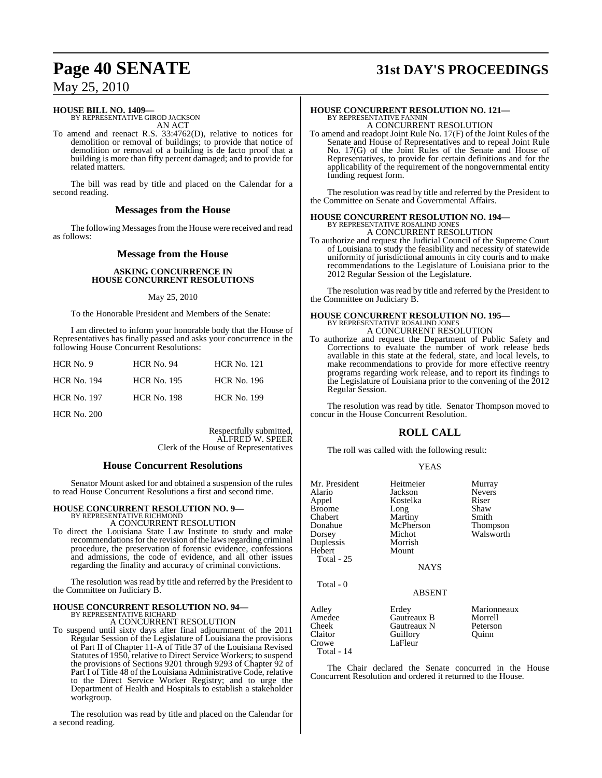# **Page 40 SENATE 31st DAY'S PROCEEDINGS**

## May 25, 2010

# **HOUSE BILL NO. 1409—** BY REPRESENTATIVE GIROD JACKSON

AN ACT

To amend and reenact R.S. 33:4762(D), relative to notices for demolition or removal of buildings; to provide that notice of demolition or removal of a building is de facto proof that a building is more than fifty percent damaged; and to provide for related matters.

The bill was read by title and placed on the Calendar for a second reading.

#### **Messages from the House**

The following Messages from the House were received and read as follows:

#### **Message from the House**

#### **ASKING CONCURRENCE IN HOUSE CONCURRENT RESOLUTIONS**

#### May 25, 2010

To the Honorable President and Members of the Senate:

I am directed to inform your honorable body that the House of Representatives has finally passed and asks your concurrence in the following House Concurrent Resolutions:

| HCR No. 9          | $HCR$ No. 94       | <b>HCR No. 121</b> |
|--------------------|--------------------|--------------------|
| <b>HCR No. 194</b> | <b>HCR No. 195</b> | <b>HCR No. 196</b> |
| <b>HCR No. 197</b> | <b>HCR No. 198</b> | <b>HCR No. 199</b> |

HCR No. 200

Respectfully submitted, ALFRED W. SPEER Clerk of the House of Representatives

#### **House Concurrent Resolutions**

Senator Mount asked for and obtained a suspension of the rules to read House Concurrent Resolutions a first and second time.

#### **HOUSE CONCURRENT RESOLUTION NO. 9—** BY REPRESENTATIVE RICHMOND

A CONCURRENT RESOLUTION

To direct the Louisiana State Law Institute to study and make recommendations for the revision of the laws regarding criminal procedure, the preservation of forensic evidence, confessions and admissions, the code of evidence, and all other issues regarding the finality and accuracy of criminal convictions.

The resolution was read by title and referred by the President to the Committee on Judiciary B.

#### **HOUSE CONCURRENT RESOLUTION NO. 94—** BY REPRESENTATIVE RICHARD

A CONCURRENT RESOLUTION

To suspend until sixty days after final adjournment of the 2011 Regular Session of the Legislature of Louisiana the provisions of Part II of Chapter 11-A of Title 37 of the Louisiana Revised Statutes of 1950, relative to Direct Service Workers; to suspend the provisions of Sections 9201 through 9293 of Chapter 92 of Part I of Title 48 of the Louisiana Administrative Code, relative to the Direct Service Worker Registry; and to urge the Department of Health and Hospitals to establish a stakeholder workgroup.

The resolution was read by title and placed on the Calendar for a second reading.

## **HOUSE CONCURRENT RESOLUTION NO. 121—** BY REPRESENTATIVE FANNIN A CONCURRENT RESOLUTION

To amend and readopt Joint Rule No. 17(F) of the Joint Rules of the Senate and House of Representatives and to repeal Joint Rule No. 17(G) of the Joint Rules of the Senate and House of Representatives, to provide for certain definitions and for the applicability of the requirement of the nongovernmental entity funding request form.

The resolution was read by title and referred by the President to the Committee on Senate and Governmental Affairs.

## **HOUSE CONCURRENT RESOLUTION NO. 194—** BY REPRESENTATIVE ROSALIND JONES A CONCURRENT RESOLUTION

To authorize and request the Judicial Council of the Supreme Court of Louisiana to study the feasibility and necessity of statewide uniformity of jurisdictional amounts in city courts and to make recommendations to the Legislature of Louisiana prior to the 2012 Regular Session of the Legislature.

The resolution was read by title and referred by the President to the Committee on Judiciary B.

## **HOUSE CONCURRENT RESOLUTION NO. 195—** BY REPRESENTATIVE ROSALIND JONES A CONCURRENT RESOLUTION

To authorize and request the Department of Public Safety and Corrections to evaluate the number of work release beds available in this state at the federal, state, and local levels, to make recommendations to provide for more effective reentry programs regarding work release, and to report its findings to the Legislature of Louisiana prior to the convening of the 2012 Regular Session.

The resolution was read by title. Senator Thompson moved to concur in the House Concurrent Resolution.

### **ROLL CALL**

The roll was called with the following result:

#### YEAS

| Mr. President<br>Alario<br>Appel<br><b>Broome</b><br>Chabert<br>Donahue<br>Dorsey<br>Duplessis<br>Hebert<br>Total - $25$ | Heitmeier<br>Jackson<br>Kostelka<br>Long<br>Martiny<br>McPherson<br>Michot<br>Morrish<br>Mount<br><b>NAYS</b> | Murray<br><b>Nevers</b><br>Riser<br>Shaw<br>Smith<br>Thompson<br>Walsworth |
|--------------------------------------------------------------------------------------------------------------------------|---------------------------------------------------------------------------------------------------------------|----------------------------------------------------------------------------|
| Total - 0                                                                                                                | ABSENT                                                                                                        |                                                                            |
| Adley<br>Amedee<br>Cheek<br>Claitor<br>Crowe<br>Total - 14                                                               | Erdey<br>Gautreaux B<br>Gautreaux N<br>Guillory<br>LaFleur                                                    | Marionneaux<br>Morrell<br>Peterson<br>Ouinn                                |

The Chair declared the Senate concurred in the House Concurrent Resolution and ordered it returned to the House.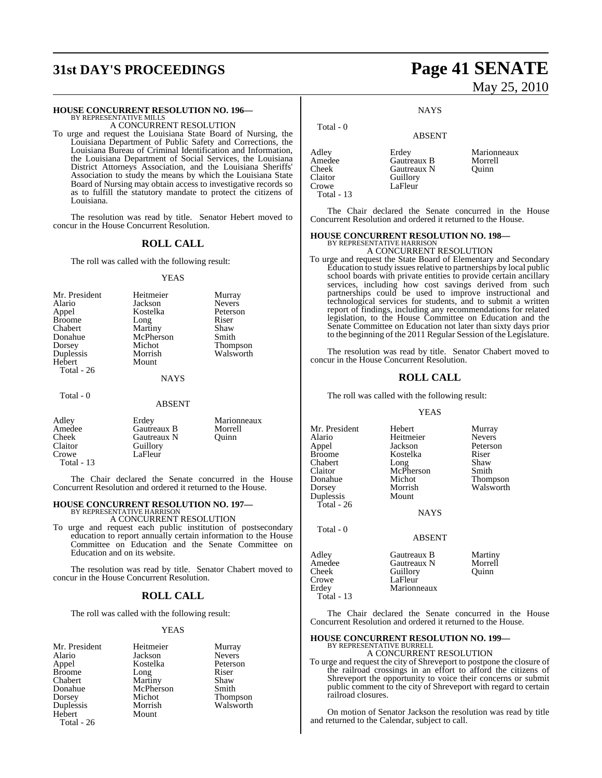# **31st DAY'S PROCEEDINGS Page 41 SENATE**

#### **HOUSE CONCURRENT RESOLUTION NO. 196—**

BY REPRESENTATIVE MILLS A CONCURRENT RESOLUTION

To urge and request the Louisiana State Board of Nursing, the Louisiana Department of Public Safety and Corrections, the Louisiana Bureau of Criminal Identification and Information, the Louisiana Department of Social Services, the Louisiana District Attorneys Association, and the Louisiana Sheriffs' Association to study the means by which the Louisiana State Board of Nursing may obtain access to investigative records so as to fulfill the statutory mandate to protect the citizens of Louisiana.

The resolution was read by title. Senator Hebert moved to concur in the House Concurrent Resolution.

#### **ROLL CALL**

The roll was called with the following result:

#### YEAS

| Mr. President | Heitmeier   | Murray          |
|---------------|-------------|-----------------|
| Alario        | Jackson     | <b>Nevers</b>   |
| Appel         | Kostelka    | Peterson        |
| <b>Broome</b> | Long        | Riser           |
| Chabert       | Martiny     | Shaw            |
| Donahue       | McPherson   | Smith           |
| Dorsey        | Michot      | <b>Thompson</b> |
| Duplessis     | Morrish     | Walsworth       |
| Hebert        | Mount       |                 |
| Total - 26    |             |                 |
|               | <b>NAYS</b> |                 |
| Total - 0     |             |                 |

#### ABSENT

| Adley<br>Amedee | Erdey<br>Gautreaux B | Marionneaux<br>Morrell |
|-----------------|----------------------|------------------------|
| Cheek           | Gautreaux N          | Ouinn                  |
| Claitor         | Guillory             |                        |
| Crowe           | LaFleur              |                        |
| Total - $13$    |                      |                        |

The Chair declared the Senate concurred in the House Concurrent Resolution and ordered it returned to the House.

# **HOUSE CONCURRENT RESOLUTION NO. 197—** BY REPRESENTATIVE HARRISON

A CONCURRENT RESOLUTION

To urge and request each public institution of postsecondary education to report annually certain information to the House Committee on Education and the Senate Committee on Education and on its website.

The resolution was read by title. Senator Chabert moved to concur in the House Concurrent Resolution.

#### **ROLL CALL**

The roll was called with the following result:

#### YEAS

Mr. President Heitmeier Murray<br>Alario Jackson Nevers Alario Jackson Nevers Broome Long Riser<br>
Chabert Martiny Shaw Chabert Martiny Shaw Donahue McPherson<br>Dorsey Michot Dorsey Michot Thompson Hebert Total - 26

Kostelka Peterson<br>Long Riser Morrish Walsworth

# May 25, 2010

**NAYS** 

#### ABSENT

Adley Erdey Marionneaux<br>Amedee Gautreaux B Morrell Amedee Gautreaux B Morrel<br>Cheek Gautreaux N Ouinn Cheek Gautreaux N<br>Claitor Guillory Claitor Guillory<br>Crowe LaFleur LaFleur

Total - 0

Total - 13

The Chair declared the Senate concurred in the House Concurrent Resolution and ordered it returned to the House.

#### **HOUSE CONCURRENT RESOLUTION NO. 198—**

BY REPRESENTATIVE HARRISON A CONCURRENT RESOLUTION

To urge and request the State Board of Elementary and Secondary Education to study issues relative to partnerships by local public school boards with private entities to provide certain ancillary services, including how cost savings derived from such partnerships could be used to improve instructional and technological services for students, and to submit a written report of findings, including any recommendations for related legislation, to the House Committee on Education and the Senate Committee on Education not later than sixty days prior to the beginning of the 2011 Regular Session of the Legislature.

The resolution was read by title. Senator Chabert moved to concur in the House Concurrent Resolution.

#### **ROLL CALL**

The roll was called with the following result:

#### YEAS

Mr. President Hebert Murray<br>Alario Heitmeier Nevers Alario Heitmeier<br>Appel Jackson Appel Jackson Peterson Chabert Long Shaw<br>Claitor McPherson Smith Claitor McPherson<br>Donahue Michot Donahue Michot Thompson Duplessis Mount Total - 26

Total - 0

Kostelka Riser<br>Long Shaw Walsworth

NAYS

#### ABSENT

| Adley        | Gautreaux B | Martiny |
|--------------|-------------|---------|
| Amedee       | Gautreaux N | Morrell |
| Cheek        | Guillory    | Ouinn   |
| Crowe        | LaFleur     |         |
| Erdev        | Marionneaux |         |
| Total - $13$ |             |         |
|              |             |         |

The Chair declared the Senate concurred in the House Concurrent Resolution and ordered it returned to the House.

#### **HOUSE CONCURRENT RESOLUTION NO. 199—** BY REPRESENTATIVE BURRELL

A CONCURRENT RESOLUTION

To urge and request the city of Shreveport to postpone the closure of the railroad crossings in an effort to afford the citizens of Shreveport the opportunity to voice their concerns or submit public comment to the city of Shreveport with regard to certain railroad closures.

On motion of Senator Jackson the resolution was read by title and returned to the Calendar, subject to call.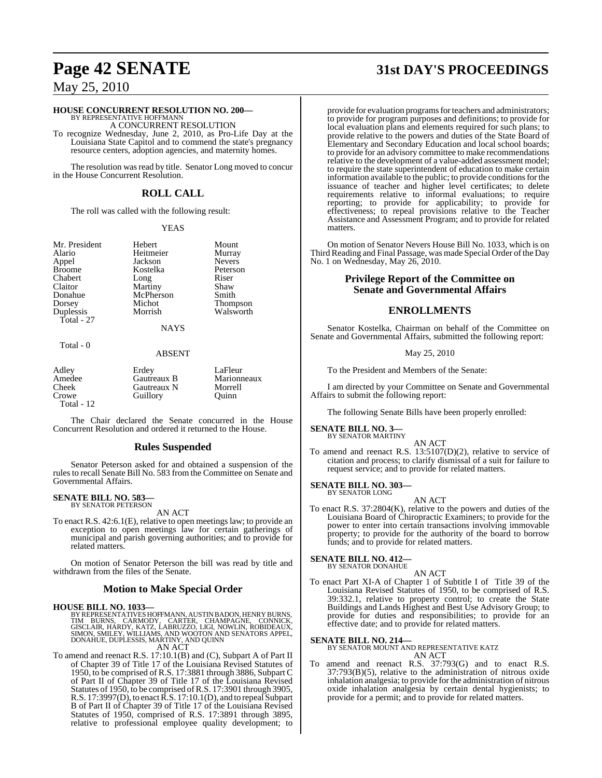### **HOUSE CONCURRENT RESOLUTION NO. 200—**

BY REPRESENTATIVE HOFFMANN A CONCURRENT RESOLUTION

To recognize Wednesday, June 2, 2010, as Pro-Life Day at the Louisiana State Capitol and to commend the state's pregnancy resource centers, adoption agencies, and maternity homes.

The resolution was read by title. Senator Long moved to concur in the House Concurrent Resolution.

## **ROLL CALL**

The roll was called with the following result:

#### YEAS

Mr. President Hebert Mount<br>Alario Heitmeier Murray Alario Heitmeier Murray Appel Jackson Nevers<br>Broome Kostelka Peterson Broome Kostelka Peters<br>Chabert Long Riser Claitor Martiny Shaw<br>
Donahue McPherson Smith Donahue McPherson<br>Dorsey Michot Duplessis Total - 27

Total - 0

Long Michot Thompson<br>
Morrish Walsworth

NAYS

#### ABSENT

| Adley      | Erdev       | LaFleur     |
|------------|-------------|-------------|
| Amedee     | Gautreaux B | Marionneaux |
| Cheek      | Gautreaux N | Morrell     |
| Crowe      | Guillory    | Ouinn       |
| Total - 12 |             |             |

The Chair declared the Senate concurred in the House Concurrent Resolution and ordered it returned to the House.

#### **Rules Suspended**

Senator Peterson asked for and obtained a suspension of the rules to recall Senate Bill No. 583 from the Committee on Senate and Governmental Affairs.

#### **SENATE BILL NO. 583** BY SENATOR PETERSON

AN ACT

To enact R.S. 42:6.1(E), relative to open meetings law; to provide an exception to open meetings law for certain gatherings of municipal and parish governing authorities; and to provide for related matters.

On motion of Senator Peterson the bill was read by title and withdrawn from the files of the Senate.

#### **Motion to Make Special Order**

#### **HOUSE BILL NO. 1033—**

BY REPRESENTATIVES HOFFMANN, AUSTIN BADON, HENRY BURNS,<br>TIM BURNS, CARMODY, CARTER, CHAMPAGNE, CONNICK,<br>GISCLAIR, HARDY, KATZ, LABRUZZO, LIGI, NOWLIN, ROBIDEAUX,<br>SIMON, SMILEY, WILLIAMS, AND WOOTON AND SENATORS APPEL,<br>DONA AN ACT

To amend and reenact R.S. 17:10.1(B) and (C), Subpart A of Part II of Chapter 39 of Title 17 of the Louisiana Revised Statutes of 1950, to be comprised of R.S. 17:3881 through 3886, Subpart C of Part II of Chapter 39 of Title 17 of the Louisiana Revised Statutes of 1950, to be comprised ofR.S. 17:3901 through 3905, R.S. 17:3997(D), to enact R.S. 17:10.1(D), and to repeal Subpart B of Part II of Chapter 39 of Title 17 of the Louisiana Revised Statutes of 1950, comprised of R.S. 17:3891 through 3895, relative to professional employee quality development; to

# **Page 42 SENATE 31st DAY'S PROCEEDINGS**

provide for evaluation programs for teachers and administrators; to provide for program purposes and definitions; to provide for local evaluation plans and elements required for such plans; to provide relative to the powers and duties of the State Board of Elementary and Secondary Education and local school boards; to provide for an advisory committee to make recommendations relative to the development of a value-added assessment model; to require the state superintendent of education to make certain information available to the public; to provide conditions for the issuance of teacher and higher level certificates; to delete requirements relative to informal evaluations; to require reporting; to provide for applicability; to provide for effectiveness; to repeal provisions relative to the Teacher Assistance and Assessment Program; and to provide for related matters.

On motion of Senator Nevers House Bill No. 1033, which is on Third Reading and Final Passage, was made Special Order ofthe Day No. 1 on Wednesday, May 26, 2010.

### **Privilege Report of the Committee on Senate and Governmental Affairs**

#### **ENROLLMENTS**

Senator Kostelka, Chairman on behalf of the Committee on Senate and Governmental Affairs, submitted the following report:

May 25, 2010

To the President and Members of the Senate:

I am directed by your Committee on Senate and Governmental Affairs to submit the following report:

The following Senate Bills have been properly enrolled:

#### **SENATE BILL NO. 3—** BY SENATOR MARTINY

AN ACT

To amend and reenact R.S. 13:5107(D)(2), relative to service of citation and process; to clarify dismissal of a suit for failure to request service; and to provide for related matters.

#### **SENATE BILL NO. 303—** BY SENATOR LONG

AN ACT

To enact R.S. 37:2804(K), relative to the powers and duties of the Louisiana Board of Chiropractic Examiners; to provide for the power to enter into certain transactions involving immovable property; to provide for the authority of the board to borrow funds; and to provide for related matters.

#### **SENATE BILL NO. 412—** BY SENATOR DONAHUE

AN ACT

To enact Part XI-A of Chapter 1 of Subtitle I of Title 39 of the Louisiana Revised Statutes of 1950, to be comprised of R.S. 39:332.1, relative to property control; to create the State Buildings and Lands Highest and Best Use Advisory Group; to provide for duties and responsibilities; to provide for an effective date; and to provide for related matters.

#### **SENATE BILL NO. 214—**

BY SENATOR MOUNT AND REPRESENTATIVE KATZ AN ACT

To amend and reenact R.S. 37:793(G) and to enact R.S. 37:793(B)(5), relative to the administration of nitrous oxide inhalation analgesia; to provide for the administration of nitrous oxide inhalation analgesia by certain dental hygienists; to provide for a permit; and to provide for related matters.